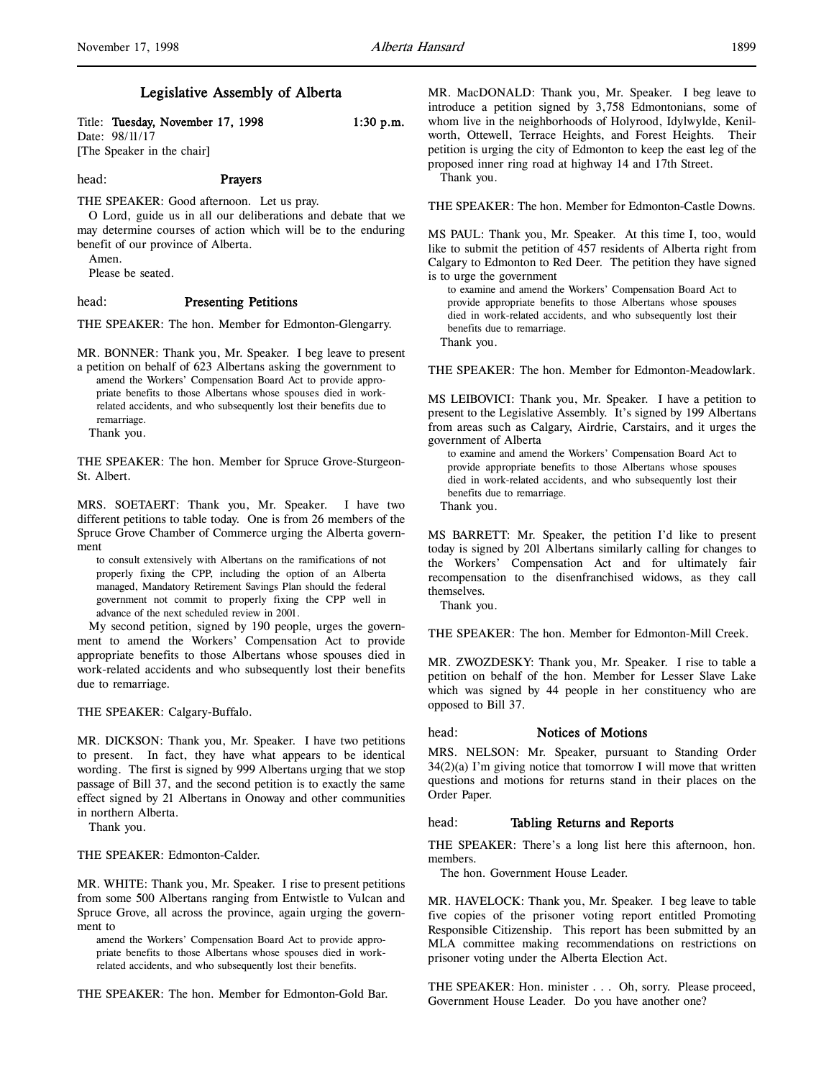# Legislative Assembly of Alberta

Title: Tuesday, November 17, 1998 1:30 p.m. Date: 98/11/17 [The Speaker in the chair]

### head: Prayers

THE SPEAKER: Good afternoon. Let us pray.

O Lord, guide us in all our deliberations and debate that we may determine courses of action which will be to the enduring benefit of our province of Alberta.

Amen.

Please be seated.

## head: Presenting Petitions

THE SPEAKER: The hon. Member for Edmonton-Glengarry.

MR. BONNER: Thank you, Mr. Speaker. I beg leave to present a petition on behalf of 623 Albertans asking the government to

amend the Workers' Compensation Board Act to provide appropriate benefits to those Albertans whose spouses died in workrelated accidents, and who subsequently lost their benefits due to remarriage.

Thank you.

THE SPEAKER: The hon. Member for Spruce Grove-Sturgeon-St. Albert.

MRS. SOETAERT: Thank you, Mr. Speaker. I have two different petitions to table today. One is from 26 members of the Spruce Grove Chamber of Commerce urging the Alberta government

to consult extensively with Albertans on the ramifications of not properly fixing the CPP, including the option of an Alberta managed, Mandatory Retirement Savings Plan should the federal government not commit to properly fixing the CPP well in advance of the next scheduled review in 2001.

My second petition, signed by 190 people, urges the government to amend the Workers' Compensation Act to provide appropriate benefits to those Albertans whose spouses died in work-related accidents and who subsequently lost their benefits due to remarriage.

THE SPEAKER: Calgary-Buffalo.

MR. DICKSON: Thank you, Mr. Speaker. I have two petitions to present. In fact, they have what appears to be identical wording. The first is signed by 999 Albertans urging that we stop passage of Bill 37, and the second petition is to exactly the same effect signed by 21 Albertans in Onoway and other communities in northern Alberta.

Thank you.

THE SPEAKER: Edmonton-Calder.

MR. WHITE: Thank you, Mr. Speaker. I rise to present petitions from some 500 Albertans ranging from Entwistle to Vulcan and Spruce Grove, all across the province, again urging the government to

amend the Workers' Compensation Board Act to provide appropriate benefits to those Albertans whose spouses died in workrelated accidents, and who subsequently lost their benefits.

THE SPEAKER: The hon. Member for Edmonton-Gold Bar.

MR. MacDONALD: Thank you, Mr. Speaker. I beg leave to introduce a petition signed by 3,758 Edmontonians, some of whom live in the neighborhoods of Holyrood, Idylwylde, Kenilworth, Ottewell, Terrace Heights, and Forest Heights. Their petition is urging the city of Edmonton to keep the east leg of the proposed inner ring road at highway 14 and 17th Street.

Thank you.

THE SPEAKER: The hon. Member for Edmonton-Castle Downs.

MS PAUL: Thank you, Mr. Speaker. At this time I, too, would like to submit the petition of 457 residents of Alberta right from Calgary to Edmonton to Red Deer. The petition they have signed is to urge the government

to examine and amend the Workers' Compensation Board Act to provide appropriate benefits to those Albertans whose spouses died in work-related accidents, and who subsequently lost their benefits due to remarriage. Thank you.

THE SPEAKER: The hon. Member for Edmonton-Meadowlark.

MS LEIBOVICI: Thank you, Mr. Speaker. I have a petition to present to the Legislative Assembly. It's signed by 199 Albertans from areas such as Calgary, Airdrie, Carstairs, and it urges the government of Alberta

to examine and amend the Workers' Compensation Board Act to provide appropriate benefits to those Albertans whose spouses died in work-related accidents, and who subsequently lost their benefits due to remarriage.

Thank you.

MS BARRETT: Mr. Speaker, the petition I'd like to present today is signed by 201 Albertans similarly calling for changes to the Workers' Compensation Act and for ultimately fair recompensation to the disenfranchised widows, as they call themselves.

Thank you.

THE SPEAKER: The hon. Member for Edmonton-Mill Creek.

MR. ZWOZDESKY: Thank you, Mr. Speaker. I rise to table a petition on behalf of the hon. Member for Lesser Slave Lake which was signed by 44 people in her constituency who are opposed to Bill 37.

# head: Notices of Motions

MRS. NELSON: Mr. Speaker, pursuant to Standing Order  $34(2)(a)$  I'm giving notice that tomorrow I will move that written questions and motions for returns stand in their places on the Order Paper.

### head: Tabling Returns and Reports

THE SPEAKER: There's a long list here this afternoon, hon. members.

The hon. Government House Leader.

MR. HAVELOCK: Thank you, Mr. Speaker. I beg leave to table five copies of the prisoner voting report entitled Promoting Responsible Citizenship. This report has been submitted by an MLA committee making recommendations on restrictions on prisoner voting under the Alberta Election Act.

THE SPEAKER: Hon. minister . . . Oh, sorry. Please proceed, Government House Leader. Do you have another one?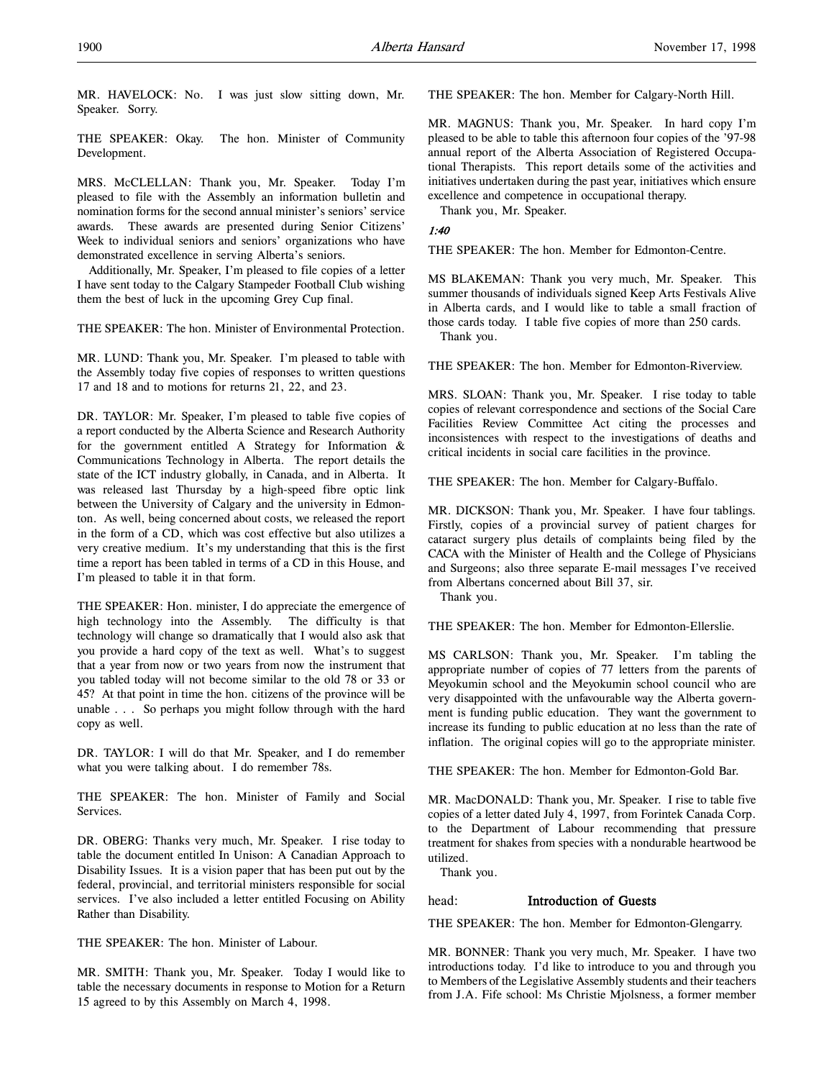MR. HAVELOCK: No. I was just slow sitting down, Mr. Speaker. Sorry.

THE SPEAKER: Okay. The hon. Minister of Community Development.

MRS. McCLELLAN: Thank you, Mr. Speaker. Today I'm pleased to file with the Assembly an information bulletin and nomination forms for the second annual minister's seniors' service awards. These awards are presented during Senior Citizens' Week to individual seniors and seniors' organizations who have demonstrated excellence in serving Alberta's seniors.

Additionally, Mr. Speaker, I'm pleased to file copies of a letter I have sent today to the Calgary Stampeder Football Club wishing them the best of luck in the upcoming Grey Cup final.

THE SPEAKER: The hon. Minister of Environmental Protection.

MR. LUND: Thank you, Mr. Speaker. I'm pleased to table with the Assembly today five copies of responses to written questions 17 and 18 and to motions for returns 21, 22, and 23.

DR. TAYLOR: Mr. Speaker, I'm pleased to table five copies of a report conducted by the Alberta Science and Research Authority for the government entitled A Strategy for Information & Communications Technology in Alberta. The report details the state of the ICT industry globally, in Canada, and in Alberta. It was released last Thursday by a high-speed fibre optic link between the University of Calgary and the university in Edmonton. As well, being concerned about costs, we released the report in the form of a CD, which was cost effective but also utilizes a very creative medium. It's my understanding that this is the first time a report has been tabled in terms of a CD in this House, and I'm pleased to table it in that form.

THE SPEAKER: Hon. minister, I do appreciate the emergence of high technology into the Assembly. The difficulty is that technology will change so dramatically that I would also ask that you provide a hard copy of the text as well. What's to suggest that a year from now or two years from now the instrument that you tabled today will not become similar to the old 78 or 33 or 45? At that point in time the hon. citizens of the province will be unable . . . So perhaps you might follow through with the hard copy as well.

DR. TAYLOR: I will do that Mr. Speaker, and I do remember what you were talking about. I do remember 78s.

THE SPEAKER: The hon. Minister of Family and Social Services.

DR. OBERG: Thanks very much, Mr. Speaker. I rise today to table the document entitled In Unison: A Canadian Approach to Disability Issues. It is a vision paper that has been put out by the federal, provincial, and territorial ministers responsible for social services. I've also included a letter entitled Focusing on Ability Rather than Disability.

THE SPEAKER: The hon. Minister of Labour.

MR. SMITH: Thank you, Mr. Speaker. Today I would like to table the necessary documents in response to Motion for a Return 15 agreed to by this Assembly on March 4, 1998.

THE SPEAKER: The hon. Member for Calgary-North Hill.

MR. MAGNUS: Thank you, Mr. Speaker. In hard copy I'm pleased to be able to table this afternoon four copies of the '97-98 annual report of the Alberta Association of Registered Occupational Therapists. This report details some of the activities and initiatives undertaken during the past year, initiatives which ensure excellence and competence in occupational therapy.

Thank you, Mr. Speaker.

# 1:40

THE SPEAKER: The hon. Member for Edmonton-Centre.

MS BLAKEMAN: Thank you very much, Mr. Speaker. This summer thousands of individuals signed Keep Arts Festivals Alive in Alberta cards, and I would like to table a small fraction of those cards today. I table five copies of more than 250 cards. Thank you.

THE SPEAKER: The hon. Member for Edmonton-Riverview.

MRS. SLOAN: Thank you, Mr. Speaker. I rise today to table copies of relevant correspondence and sections of the Social Care Facilities Review Committee Act citing the processes and inconsistences with respect to the investigations of deaths and critical incidents in social care facilities in the province.

THE SPEAKER: The hon. Member for Calgary-Buffalo.

MR. DICKSON: Thank you, Mr. Speaker. I have four tablings. Firstly, copies of a provincial survey of patient charges for cataract surgery plus details of complaints being filed by the CACA with the Minister of Health and the College of Physicians and Surgeons; also three separate E-mail messages I've received from Albertans concerned about Bill 37, sir.

Thank you.

THE SPEAKER: The hon. Member for Edmonton-Ellerslie.

MS CARLSON: Thank you, Mr. Speaker. I'm tabling the appropriate number of copies of 77 letters from the parents of Meyokumin school and the Meyokumin school council who are very disappointed with the unfavourable way the Alberta government is funding public education. They want the government to increase its funding to public education at no less than the rate of inflation. The original copies will go to the appropriate minister.

THE SPEAKER: The hon. Member for Edmonton-Gold Bar.

MR. MacDONALD: Thank you, Mr. Speaker. I rise to table five copies of a letter dated July 4, 1997, from Forintek Canada Corp. to the Department of Labour recommending that pressure treatment for shakes from species with a nondurable heartwood be utilized.

Thank you.

# head: Introduction of Guests

THE SPEAKER: The hon. Member for Edmonton-Glengarry.

MR. BONNER: Thank you very much, Mr. Speaker. I have two introductions today. I'd like to introduce to you and through you to Members of the Legislative Assembly students and their teachers from J.A. Fife school: Ms Christie Mjolsness, a former member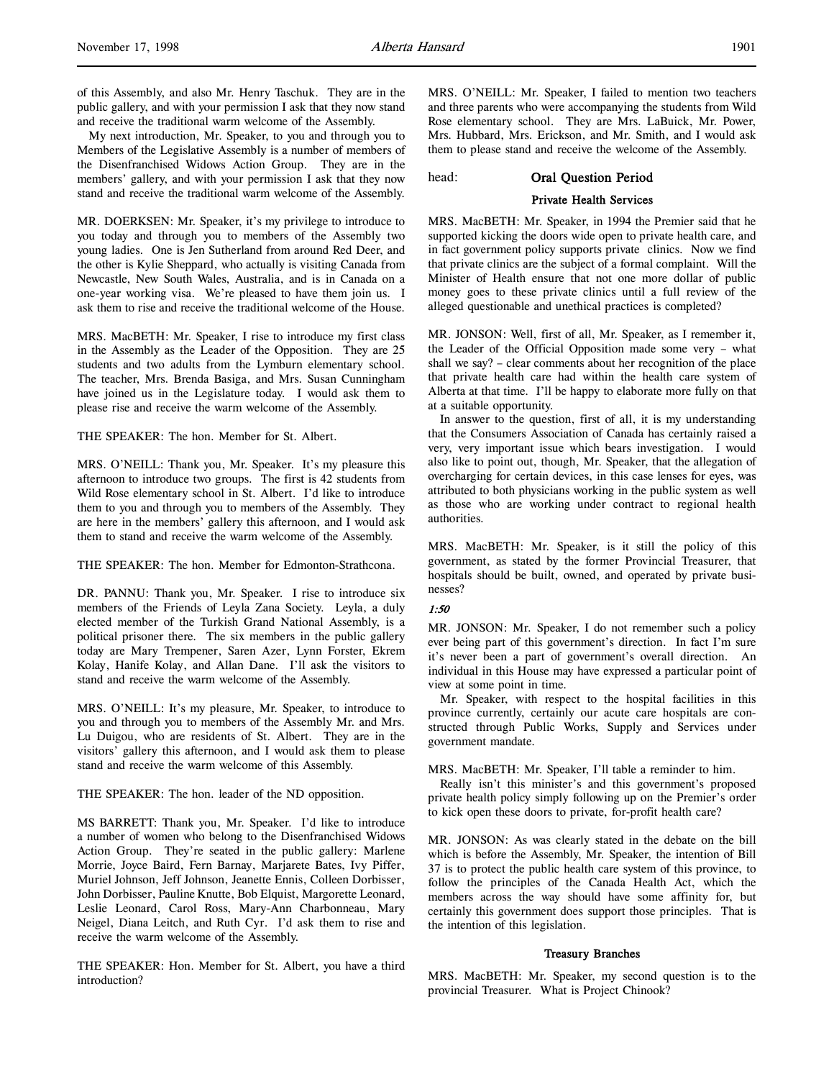of this Assembly, and also Mr. Henry Taschuk. They are in the public gallery, and with your permission I ask that they now stand and receive the traditional warm welcome of the Assembly.

My next introduction, Mr. Speaker, to you and through you to Members of the Legislative Assembly is a number of members of the Disenfranchised Widows Action Group. They are in the members' gallery, and with your permission I ask that they now stand and receive the traditional warm welcome of the Assembly.

MR. DOERKSEN: Mr. Speaker, it's my privilege to introduce to you today and through you to members of the Assembly two young ladies. One is Jen Sutherland from around Red Deer, and the other is Kylie Sheppard, who actually is visiting Canada from Newcastle, New South Wales, Australia, and is in Canada on a one-year working visa. We're pleased to have them join us. I ask them to rise and receive the traditional welcome of the House.

MRS. MacBETH: Mr. Speaker, I rise to introduce my first class in the Assembly as the Leader of the Opposition. They are 25 students and two adults from the Lymburn elementary school. The teacher, Mrs. Brenda Basiga, and Mrs. Susan Cunningham have joined us in the Legislature today. I would ask them to please rise and receive the warm welcome of the Assembly.

THE SPEAKER: The hon. Member for St. Albert.

MRS. O'NEILL: Thank you, Mr. Speaker. It's my pleasure this afternoon to introduce two groups. The first is 42 students from Wild Rose elementary school in St. Albert. I'd like to introduce them to you and through you to members of the Assembly. They are here in the members' gallery this afternoon, and I would ask them to stand and receive the warm welcome of the Assembly.

THE SPEAKER: The hon. Member for Edmonton-Strathcona.

DR. PANNU: Thank you, Mr. Speaker. I rise to introduce six members of the Friends of Leyla Zana Society. Leyla, a duly elected member of the Turkish Grand National Assembly, is a political prisoner there. The six members in the public gallery today are Mary Trempener, Saren Azer, Lynn Forster, Ekrem Kolay, Hanife Kolay, and Allan Dane. I'll ask the visitors to stand and receive the warm welcome of the Assembly.

MRS. O'NEILL: It's my pleasure, Mr. Speaker, to introduce to you and through you to members of the Assembly Mr. and Mrs. Lu Duigou, who are residents of St. Albert. They are in the visitors' gallery this afternoon, and I would ask them to please stand and receive the warm welcome of this Assembly.

THE SPEAKER: The hon. leader of the ND opposition.

MS BARRETT: Thank you, Mr. Speaker. I'd like to introduce a number of women who belong to the Disenfranchised Widows Action Group. They're seated in the public gallery: Marlene Morrie, Joyce Baird, Fern Barnay, Marjarete Bates, Ivy Piffer, Muriel Johnson, Jeff Johnson, Jeanette Ennis, Colleen Dorbisser, John Dorbisser, Pauline Knutte, Bob Elquist, Margorette Leonard, Leslie Leonard, Carol Ross, Mary-Ann Charbonneau, Mary Neigel, Diana Leitch, and Ruth Cyr. I'd ask them to rise and receive the warm welcome of the Assembly.

THE SPEAKER: Hon. Member for St. Albert, you have a third introduction?

MRS. O'NEILL: Mr. Speaker, I failed to mention two teachers and three parents who were accompanying the students from Wild Rose elementary school. They are Mrs. LaBuick, Mr. Power, Mrs. Hubbard, Mrs. Erickson, and Mr. Smith, and I would ask them to please stand and receive the welcome of the Assembly.

# head: Oral Question Period

# Private Health Services

MRS. MacBETH: Mr. Speaker, in 1994 the Premier said that he supported kicking the doors wide open to private health care, and in fact government policy supports private clinics. Now we find that private clinics are the subject of a formal complaint. Will the Minister of Health ensure that not one more dollar of public money goes to these private clinics until a full review of the alleged questionable and unethical practices is completed?

MR. JONSON: Well, first of all, Mr. Speaker, as I remember it, the Leader of the Official Opposition made some very – what shall we say? – clear comments about her recognition of the place that private health care had within the health care system of Alberta at that time. I'll be happy to elaborate more fully on that at a suitable opportunity.

In answer to the question, first of all, it is my understanding that the Consumers Association of Canada has certainly raised a very, very important issue which bears investigation. I would also like to point out, though, Mr. Speaker, that the allegation of overcharging for certain devices, in this case lenses for eyes, was attributed to both physicians working in the public system as well as those who are working under contract to regional health authorities.

MRS. MacBETH: Mr. Speaker, is it still the policy of this government, as stated by the former Provincial Treasurer, that hospitals should be built, owned, and operated by private businesses?

# 1:50

MR. JONSON: Mr. Speaker, I do not remember such a policy ever being part of this government's direction. In fact I'm sure it's never been a part of government's overall direction. An individual in this House may have expressed a particular point of view at some point in time.

Mr. Speaker, with respect to the hospital facilities in this province currently, certainly our acute care hospitals are constructed through Public Works, Supply and Services under government mandate.

MRS. MacBETH: Mr. Speaker, I'll table a reminder to him.

Really isn't this minister's and this government's proposed private health policy simply following up on the Premier's order to kick open these doors to private, for-profit health care?

MR. JONSON: As was clearly stated in the debate on the bill which is before the Assembly, Mr. Speaker, the intention of Bill 37 is to protect the public health care system of this province, to follow the principles of the Canada Health Act, which the members across the way should have some affinity for, but certainly this government does support those principles. That is the intention of this legislation.

# Treasury Branches

MRS. MacBETH: Mr. Speaker, my second question is to the provincial Treasurer. What is Project Chinook?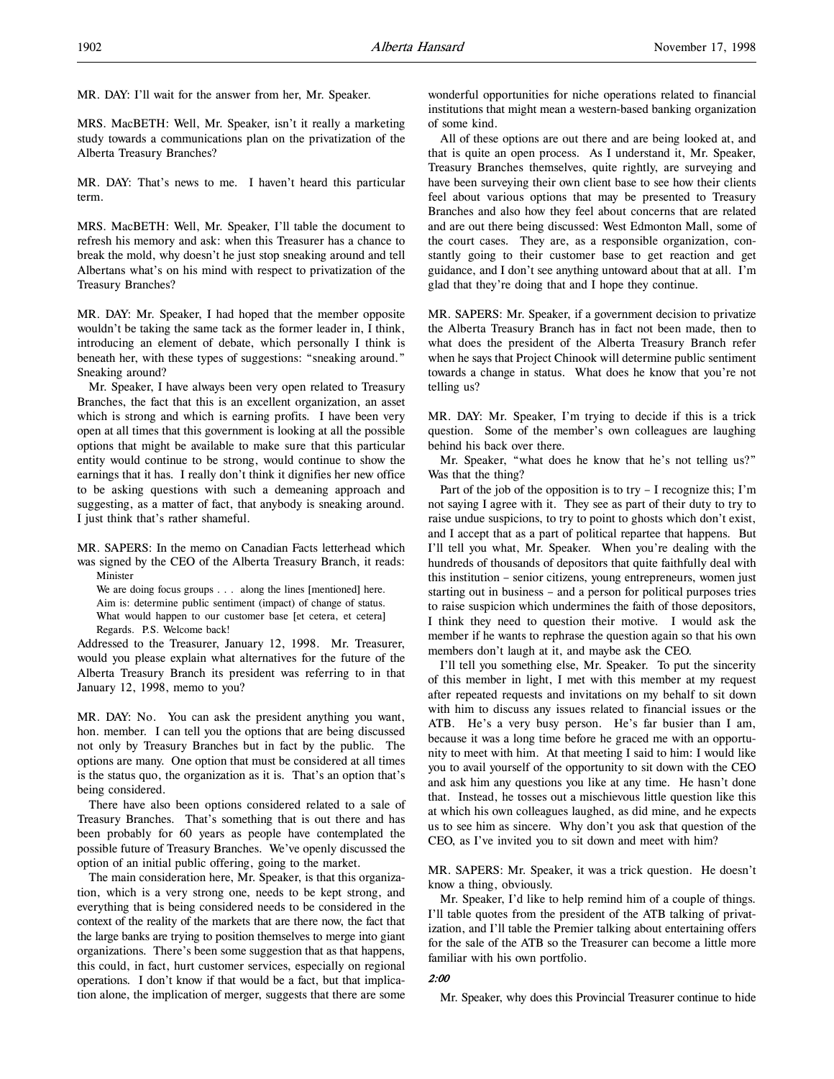MR. DAY: I'll wait for the answer from her, Mr. Speaker.

MRS. MacBETH: Well, Mr. Speaker, isn't it really a marketing study towards a communications plan on the privatization of the Alberta Treasury Branches?

MR. DAY: That's news to me. I haven't heard this particular term.

MRS. MacBETH: Well, Mr. Speaker, I'll table the document to refresh his memory and ask: when this Treasurer has a chance to break the mold, why doesn't he just stop sneaking around and tell Albertans what's on his mind with respect to privatization of the Treasury Branches?

MR. DAY: Mr. Speaker, I had hoped that the member opposite wouldn't be taking the same tack as the former leader in, I think, introducing an element of debate, which personally I think is beneath her, with these types of suggestions: "sneaking around." Sneaking around?

Mr. Speaker, I have always been very open related to Treasury Branches, the fact that this is an excellent organization, an asset which is strong and which is earning profits. I have been very open at all times that this government is looking at all the possible options that might be available to make sure that this particular entity would continue to be strong, would continue to show the earnings that it has. I really don't think it dignifies her new office to be asking questions with such a demeaning approach and suggesting, as a matter of fact, that anybody is sneaking around. I just think that's rather shameful.

MR. SAPERS: In the memo on Canadian Facts letterhead which was signed by the CEO of the Alberta Treasury Branch, it reads: Minister

We are doing focus groups . . . along the lines [mentioned] here. Aim is: determine public sentiment (impact) of change of status. What would happen to our customer base [et cetera, et cetera] Regards. P.S. Welcome back!

Addressed to the Treasurer, January 12, 1998. Mr. Treasurer, would you please explain what alternatives for the future of the Alberta Treasury Branch its president was referring to in that January 12, 1998, memo to you?

MR. DAY: No. You can ask the president anything you want, hon. member. I can tell you the options that are being discussed not only by Treasury Branches but in fact by the public. The options are many. One option that must be considered at all times is the status quo, the organization as it is. That's an option that's being considered.

There have also been options considered related to a sale of Treasury Branches. That's something that is out there and has been probably for 60 years as people have contemplated the possible future of Treasury Branches. We've openly discussed the option of an initial public offering, going to the market.

The main consideration here, Mr. Speaker, is that this organization, which is a very strong one, needs to be kept strong, and everything that is being considered needs to be considered in the context of the reality of the markets that are there now, the fact that the large banks are trying to position themselves to merge into giant organizations. There's been some suggestion that as that happens, this could, in fact, hurt customer services, especially on regional operations. I don't know if that would be a fact, but that implication alone, the implication of merger, suggests that there are some

wonderful opportunities for niche operations related to financial institutions that might mean a western-based banking organization of some kind.

All of these options are out there and are being looked at, and that is quite an open process. As I understand it, Mr. Speaker, Treasury Branches themselves, quite rightly, are surveying and have been surveying their own client base to see how their clients feel about various options that may be presented to Treasury Branches and also how they feel about concerns that are related and are out there being discussed: West Edmonton Mall, some of the court cases. They are, as a responsible organization, constantly going to their customer base to get reaction and get guidance, and I don't see anything untoward about that at all. I'm glad that they're doing that and I hope they continue.

MR. SAPERS: Mr. Speaker, if a government decision to privatize the Alberta Treasury Branch has in fact not been made, then to what does the president of the Alberta Treasury Branch refer when he says that Project Chinook will determine public sentiment towards a change in status. What does he know that you're not telling us?

MR. DAY: Mr. Speaker, I'm trying to decide if this is a trick question. Some of the member's own colleagues are laughing behind his back over there.

Mr. Speaker, "what does he know that he's not telling us?" Was that the thing?

Part of the job of the opposition is to try – I recognize this; I'm not saying I agree with it. They see as part of their duty to try to raise undue suspicions, to try to point to ghosts which don't exist, and I accept that as a part of political repartee that happens. But I'll tell you what, Mr. Speaker. When you're dealing with the hundreds of thousands of depositors that quite faithfully deal with this institution – senior citizens, young entrepreneurs, women just starting out in business – and a person for political purposes tries to raise suspicion which undermines the faith of those depositors, I think they need to question their motive. I would ask the member if he wants to rephrase the question again so that his own members don't laugh at it, and maybe ask the CEO.

I'll tell you something else, Mr. Speaker. To put the sincerity of this member in light, I met with this member at my request after repeated requests and invitations on my behalf to sit down with him to discuss any issues related to financial issues or the ATB. He's a very busy person. He's far busier than I am, because it was a long time before he graced me with an opportunity to meet with him. At that meeting I said to him: I would like you to avail yourself of the opportunity to sit down with the CEO and ask him any questions you like at any time. He hasn't done that. Instead, he tosses out a mischievous little question like this at which his own colleagues laughed, as did mine, and he expects us to see him as sincere. Why don't you ask that question of the CEO, as I've invited you to sit down and meet with him?

MR. SAPERS: Mr. Speaker, it was a trick question. He doesn't know a thing, obviously.

Mr. Speaker, I'd like to help remind him of a couple of things. I'll table quotes from the president of the ATB talking of privatization, and I'll table the Premier talking about entertaining offers for the sale of the ATB so the Treasurer can become a little more familiar with his own portfolio.

## 2:00

Mr. Speaker, why does this Provincial Treasurer continue to hide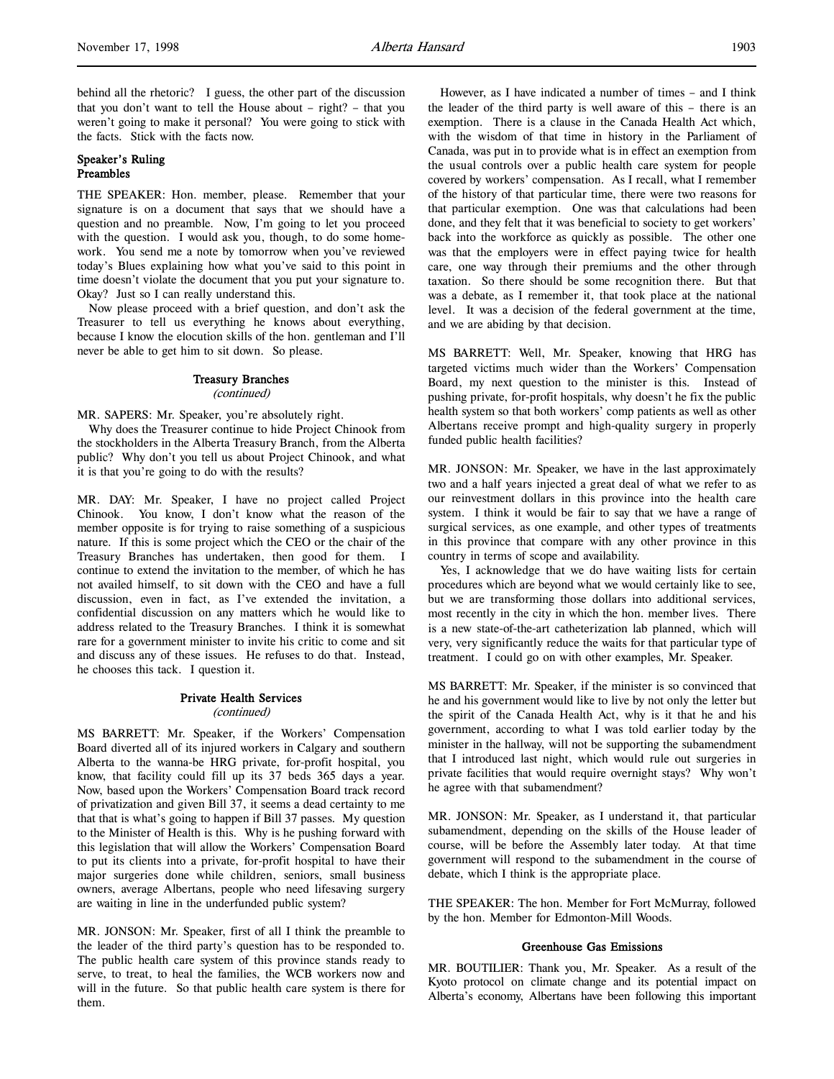behind all the rhetoric? I guess, the other part of the discussion that you don't want to tell the House about – right? – that you weren't going to make it personal? You were going to stick with the facts. Stick with the facts now.

# Speaker's Ruling Preambles

THE SPEAKER: Hon. member, please. Remember that your signature is on a document that says that we should have a question and no preamble. Now, I'm going to let you proceed with the question. I would ask you, though, to do some homework. You send me a note by tomorrow when you've reviewed today's Blues explaining how what you've said to this point in time doesn't violate the document that you put your signature to. Okay? Just so I can really understand this.

Now please proceed with a brief question, and don't ask the Treasurer to tell us everything he knows about everything, because I know the elocution skills of the hon. gentleman and I'll never be able to get him to sit down. So please.

# Treasury Branches

#### (continued)

MR. SAPERS: Mr. Speaker, you're absolutely right.

Why does the Treasurer continue to hide Project Chinook from the stockholders in the Alberta Treasury Branch, from the Alberta public? Why don't you tell us about Project Chinook, and what it is that you're going to do with the results?

MR. DAY: Mr. Speaker, I have no project called Project Chinook. You know, I don't know what the reason of the member opposite is for trying to raise something of a suspicious nature. If this is some project which the CEO or the chair of the Treasury Branches has undertaken, then good for them. I continue to extend the invitation to the member, of which he has not availed himself, to sit down with the CEO and have a full discussion, even in fact, as I've extended the invitation, a confidential discussion on any matters which he would like to address related to the Treasury Branches. I think it is somewhat rare for a government minister to invite his critic to come and sit and discuss any of these issues. He refuses to do that. Instead, he chooses this tack. I question it.

# Private Health Services (continued)

MS BARRETT: Mr. Speaker, if the Workers' Compensation Board diverted all of its injured workers in Calgary and southern Alberta to the wanna-be HRG private, for-profit hospital, you know, that facility could fill up its 37 beds 365 days a year. Now, based upon the Workers' Compensation Board track record of privatization and given Bill 37, it seems a dead certainty to me that that is what's going to happen if Bill 37 passes. My question to the Minister of Health is this. Why is he pushing forward with this legislation that will allow the Workers' Compensation Board to put its clients into a private, for-profit hospital to have their major surgeries done while children, seniors, small business owners, average Albertans, people who need lifesaving surgery are waiting in line in the underfunded public system?

MR. JONSON: Mr. Speaker, first of all I think the preamble to the leader of the third party's question has to be responded to. The public health care system of this province stands ready to serve, to treat, to heal the families, the WCB workers now and will in the future. So that public health care system is there for them.

However, as I have indicated a number of times – and I think the leader of the third party is well aware of this – there is an exemption. There is a clause in the Canada Health Act which, with the wisdom of that time in history in the Parliament of Canada, was put in to provide what is in effect an exemption from the usual controls over a public health care system for people covered by workers' compensation. As I recall, what I remember of the history of that particular time, there were two reasons for that particular exemption. One was that calculations had been done, and they felt that it was beneficial to society to get workers' back into the workforce as quickly as possible. The other one was that the employers were in effect paying twice for health care, one way through their premiums and the other through taxation. So there should be some recognition there. But that was a debate, as I remember it, that took place at the national level. It was a decision of the federal government at the time, and we are abiding by that decision.

MS BARRETT: Well, Mr. Speaker, knowing that HRG has targeted victims much wider than the Workers' Compensation Board, my next question to the minister is this. Instead of pushing private, for-profit hospitals, why doesn't he fix the public health system so that both workers' comp patients as well as other Albertans receive prompt and high-quality surgery in properly funded public health facilities?

MR. JONSON: Mr. Speaker, we have in the last approximately two and a half years injected a great deal of what we refer to as our reinvestment dollars in this province into the health care system. I think it would be fair to say that we have a range of surgical services, as one example, and other types of treatments in this province that compare with any other province in this country in terms of scope and availability.

Yes, I acknowledge that we do have waiting lists for certain procedures which are beyond what we would certainly like to see, but we are transforming those dollars into additional services, most recently in the city in which the hon. member lives. There is a new state-of-the-art catheterization lab planned, which will very, very significantly reduce the waits for that particular type of treatment. I could go on with other examples, Mr. Speaker.

MS BARRETT: Mr. Speaker, if the minister is so convinced that he and his government would like to live by not only the letter but the spirit of the Canada Health Act, why is it that he and his government, according to what I was told earlier today by the minister in the hallway, will not be supporting the subamendment that I introduced last night, which would rule out surgeries in private facilities that would require overnight stays? Why won't he agree with that subamendment?

MR. JONSON: Mr. Speaker, as I understand it, that particular subamendment, depending on the skills of the House leader of course, will be before the Assembly later today. At that time government will respond to the subamendment in the course of debate, which I think is the appropriate place.

THE SPEAKER: The hon. Member for Fort McMurray, followed by the hon. Member for Edmonton-Mill Woods.

## Greenhouse Gas Emissions

MR. BOUTILIER: Thank you, Mr. Speaker. As a result of the Kyoto protocol on climate change and its potential impact on Alberta's economy, Albertans have been following this important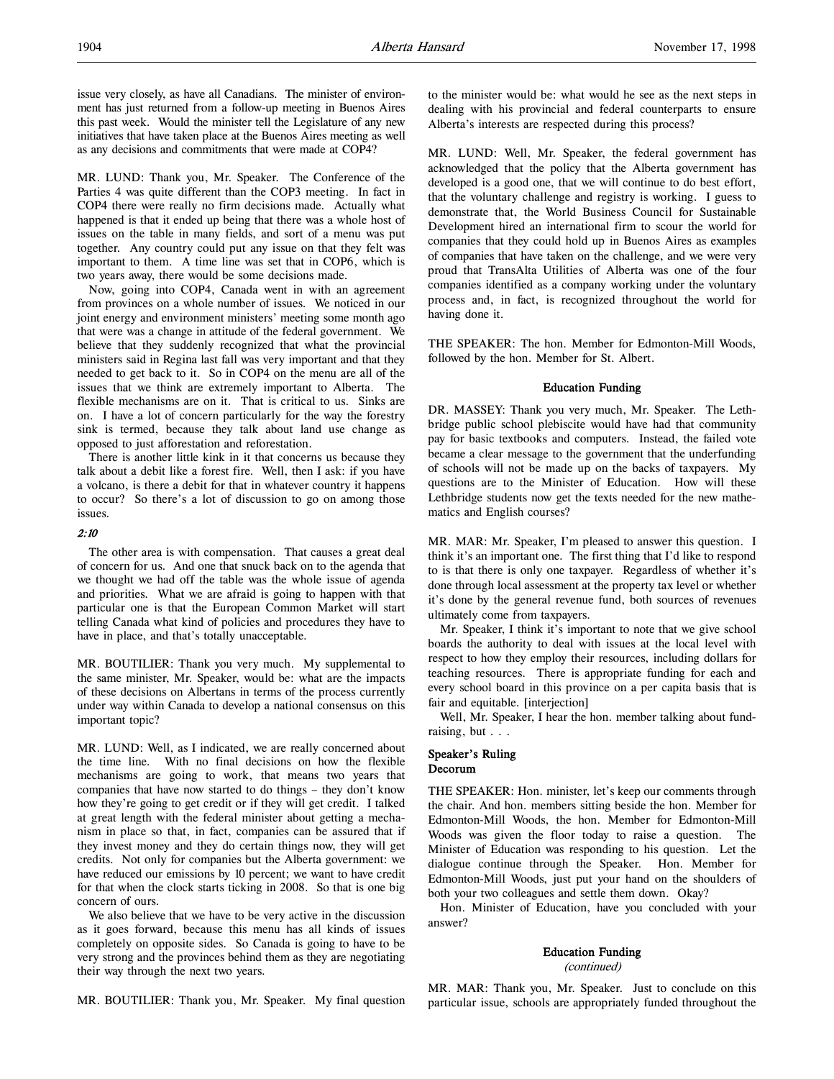MR. LUND: Thank you, Mr. Speaker. The Conference of the Parties 4 was quite different than the COP3 meeting. In fact in COP4 there were really no firm decisions made. Actually what happened is that it ended up being that there was a whole host of issues on the table in many fields, and sort of a menu was put together. Any country could put any issue on that they felt was important to them. A time line was set that in COP6, which is two years away, there would be some decisions made.

Now, going into COP4, Canada went in with an agreement from provinces on a whole number of issues. We noticed in our joint energy and environment ministers' meeting some month ago that were was a change in attitude of the federal government. We believe that they suddenly recognized that what the provincial ministers said in Regina last fall was very important and that they needed to get back to it. So in COP4 on the menu are all of the issues that we think are extremely important to Alberta. The flexible mechanisms are on it. That is critical to us. Sinks are on. I have a lot of concern particularly for the way the forestry sink is termed, because they talk about land use change as opposed to just afforestation and reforestation.

There is another little kink in it that concerns us because they talk about a debit like a forest fire. Well, then I ask: if you have a volcano, is there a debit for that in whatever country it happens to occur? So there's a lot of discussion to go on among those issues.

### 2:10

The other area is with compensation. That causes a great deal of concern for us. And one that snuck back on to the agenda that we thought we had off the table was the whole issue of agenda and priorities. What we are afraid is going to happen with that particular one is that the European Common Market will start telling Canada what kind of policies and procedures they have to have in place, and that's totally unacceptable.

MR. BOUTILIER: Thank you very much. My supplemental to the same minister, Mr. Speaker, would be: what are the impacts of these decisions on Albertans in terms of the process currently under way within Canada to develop a national consensus on this important topic?

MR. LUND: Well, as I indicated, we are really concerned about the time line. With no final decisions on how the flexible mechanisms are going to work, that means two years that companies that have now started to do things – they don't know how they're going to get credit or if they will get credit. I talked at great length with the federal minister about getting a mechanism in place so that, in fact, companies can be assured that if they invest money and they do certain things now, they will get credits. Not only for companies but the Alberta government: we have reduced our emissions by 10 percent; we want to have credit for that when the clock starts ticking in 2008. So that is one big concern of ours.

We also believe that we have to be very active in the discussion as it goes forward, because this menu has all kinds of issues completely on opposite sides. So Canada is going to have to be very strong and the provinces behind them as they are negotiating their way through the next two years.

MR. BOUTILIER: Thank you, Mr. Speaker. My final question

to the minister would be: what would he see as the next steps in dealing with his provincial and federal counterparts to ensure Alberta's interests are respected during this process?

MR. LUND: Well, Mr. Speaker, the federal government has acknowledged that the policy that the Alberta government has developed is a good one, that we will continue to do best effort, that the voluntary challenge and registry is working. I guess to demonstrate that, the World Business Council for Sustainable Development hired an international firm to scour the world for companies that they could hold up in Buenos Aires as examples of companies that have taken on the challenge, and we were very proud that TransAlta Utilities of Alberta was one of the four companies identified as a company working under the voluntary process and, in fact, is recognized throughout the world for having done it.

THE SPEAKER: The hon. Member for Edmonton-Mill Woods, followed by the hon. Member for St. Albert.

### Education Funding

DR. MASSEY: Thank you very much, Mr. Speaker. The Lethbridge public school plebiscite would have had that community pay for basic textbooks and computers. Instead, the failed vote became a clear message to the government that the underfunding of schools will not be made up on the backs of taxpayers. My questions are to the Minister of Education. How will these Lethbridge students now get the texts needed for the new mathematics and English courses?

MR. MAR: Mr. Speaker, I'm pleased to answer this question. I think it's an important one. The first thing that I'd like to respond to is that there is only one taxpayer. Regardless of whether it's done through local assessment at the property tax level or whether it's done by the general revenue fund, both sources of revenues ultimately come from taxpayers.

Mr. Speaker, I think it's important to note that we give school boards the authority to deal with issues at the local level with respect to how they employ their resources, including dollars for teaching resources. There is appropriate funding for each and every school board in this province on a per capita basis that is fair and equitable. [interjection]

Well, Mr. Speaker, I hear the hon. member talking about fundraising, but . . .

# Speaker's Ruling Decorum

THE SPEAKER: Hon. minister, let's keep our comments through the chair. And hon. members sitting beside the hon. Member for Edmonton-Mill Woods, the hon. Member for Edmonton-Mill Woods was given the floor today to raise a question. The Minister of Education was responding to his question. Let the dialogue continue through the Speaker. Hon. Member for Edmonton-Mill Woods, just put your hand on the shoulders of both your two colleagues and settle them down. Okay?

Hon. Minister of Education, have you concluded with your answer?

# Education Funding

#### (continued)

MR. MAR: Thank you, Mr. Speaker. Just to conclude on this particular issue, schools are appropriately funded throughout the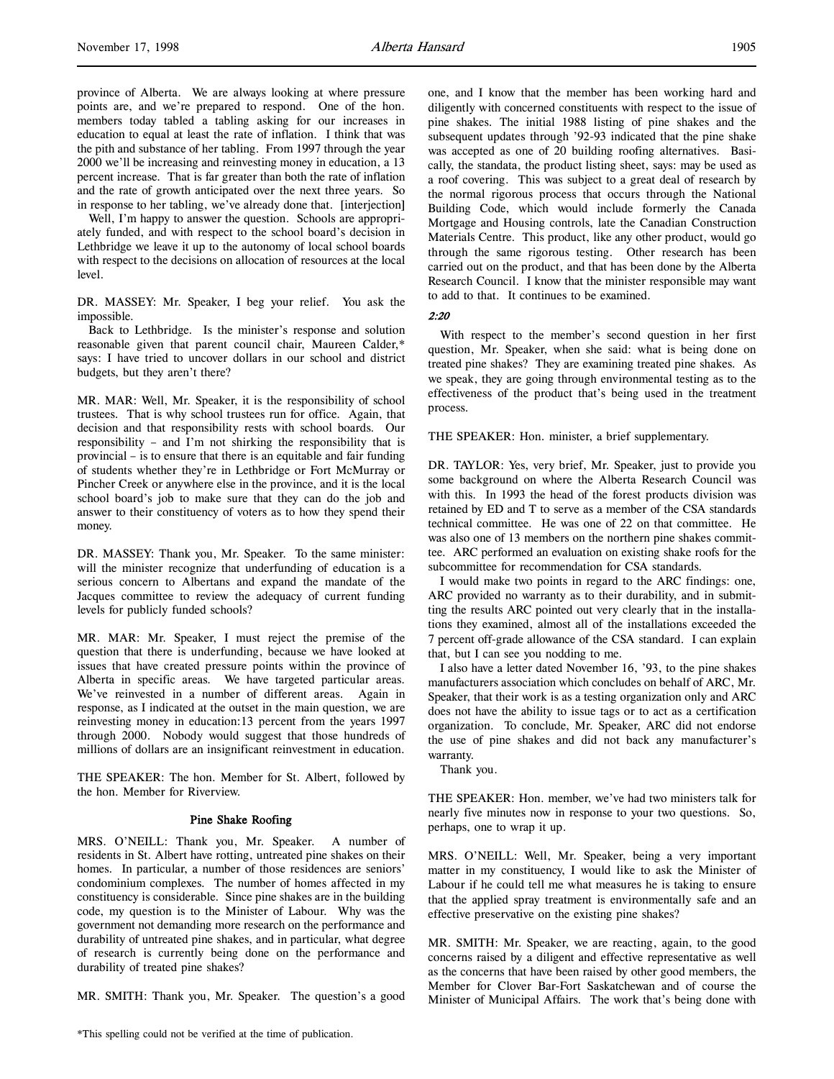Well, I'm happy to answer the question. Schools are appropriately funded, and with respect to the school board's decision in Lethbridge we leave it up to the autonomy of local school boards with respect to the decisions on allocation of resources at the local level.

DR. MASSEY: Mr. Speaker, I beg your relief. You ask the impossible.

Back to Lethbridge. Is the minister's response and solution reasonable given that parent council chair, Maureen Calder,\* says: I have tried to uncover dollars in our school and district budgets, but they aren't there?

MR. MAR: Well, Mr. Speaker, it is the responsibility of school trustees. That is why school trustees run for office. Again, that decision and that responsibility rests with school boards. Our responsibility – and I'm not shirking the responsibility that is provincial – is to ensure that there is an equitable and fair funding of students whether they're in Lethbridge or Fort McMurray or Pincher Creek or anywhere else in the province, and it is the local school board's job to make sure that they can do the job and answer to their constituency of voters as to how they spend their money.

DR. MASSEY: Thank you, Mr. Speaker. To the same minister: will the minister recognize that underfunding of education is a serious concern to Albertans and expand the mandate of the Jacques committee to review the adequacy of current funding levels for publicly funded schools?

MR. MAR: Mr. Speaker, I must reject the premise of the question that there is underfunding, because we have looked at issues that have created pressure points within the province of Alberta in specific areas. We have targeted particular areas. We've reinvested in a number of different areas. Again in response, as I indicated at the outset in the main question, we are reinvesting money in education:13 percent from the years 1997 through 2000. Nobody would suggest that those hundreds of millions of dollars are an insignificant reinvestment in education.

THE SPEAKER: The hon. Member for St. Albert, followed by the hon. Member for Riverview.

# Pine Shake Roofing

MRS. O'NEILL: Thank you, Mr. Speaker. A number of residents in St. Albert have rotting, untreated pine shakes on their homes. In particular, a number of those residences are seniors' condominium complexes. The number of homes affected in my constituency is considerable. Since pine shakes are in the building code, my question is to the Minister of Labour. Why was the government not demanding more research on the performance and durability of untreated pine shakes, and in particular, what degree of research is currently being done on the performance and durability of treated pine shakes?

MR. SMITH: Thank you, Mr. Speaker. The question's a good

one, and I know that the member has been working hard and diligently with concerned constituents with respect to the issue of pine shakes. The initial 1988 listing of pine shakes and the subsequent updates through '92-93 indicated that the pine shake was accepted as one of 20 building roofing alternatives. Basically, the standata, the product listing sheet, says: may be used as a roof covering. This was subject to a great deal of research by the normal rigorous process that occurs through the National Building Code, which would include formerly the Canada Mortgage and Housing controls, late the Canadian Construction Materials Centre. This product, like any other product, would go through the same rigorous testing. Other research has been carried out on the product, and that has been done by the Alberta Research Council. I know that the minister responsible may want to add to that. It continues to be examined.

2:20

With respect to the member's second question in her first question, Mr. Speaker, when she said: what is being done on treated pine shakes? They are examining treated pine shakes. As we speak, they are going through environmental testing as to the effectiveness of the product that's being used in the treatment process.

THE SPEAKER: Hon. minister, a brief supplementary.

DR. TAYLOR: Yes, very brief, Mr. Speaker, just to provide you some background on where the Alberta Research Council was with this. In 1993 the head of the forest products division was retained by ED and T to serve as a member of the CSA standards technical committee. He was one of 22 on that committee. He was also one of 13 members on the northern pine shakes committee. ARC performed an evaluation on existing shake roofs for the subcommittee for recommendation for CSA standards.

I would make two points in regard to the ARC findings: one, ARC provided no warranty as to their durability, and in submitting the results ARC pointed out very clearly that in the installations they examined, almost all of the installations exceeded the 7 percent off-grade allowance of the CSA standard. I can explain that, but I can see you nodding to me.

I also have a letter dated November 16, '93, to the pine shakes manufacturers association which concludes on behalf of ARC, Mr. Speaker, that their work is as a testing organization only and ARC does not have the ability to issue tags or to act as a certification organization. To conclude, Mr. Speaker, ARC did not endorse the use of pine shakes and did not back any manufacturer's warranty.

Thank you.

THE SPEAKER: Hon. member, we've had two ministers talk for nearly five minutes now in response to your two questions. So, perhaps, one to wrap it up.

MRS. O'NEILL: Well, Mr. Speaker, being a very important matter in my constituency, I would like to ask the Minister of Labour if he could tell me what measures he is taking to ensure that the applied spray treatment is environmentally safe and an effective preservative on the existing pine shakes?

MR. SMITH: Mr. Speaker, we are reacting, again, to the good concerns raised by a diligent and effective representative as well as the concerns that have been raised by other good members, the Member for Clover Bar-Fort Saskatchewan and of course the Minister of Municipal Affairs. The work that's being done with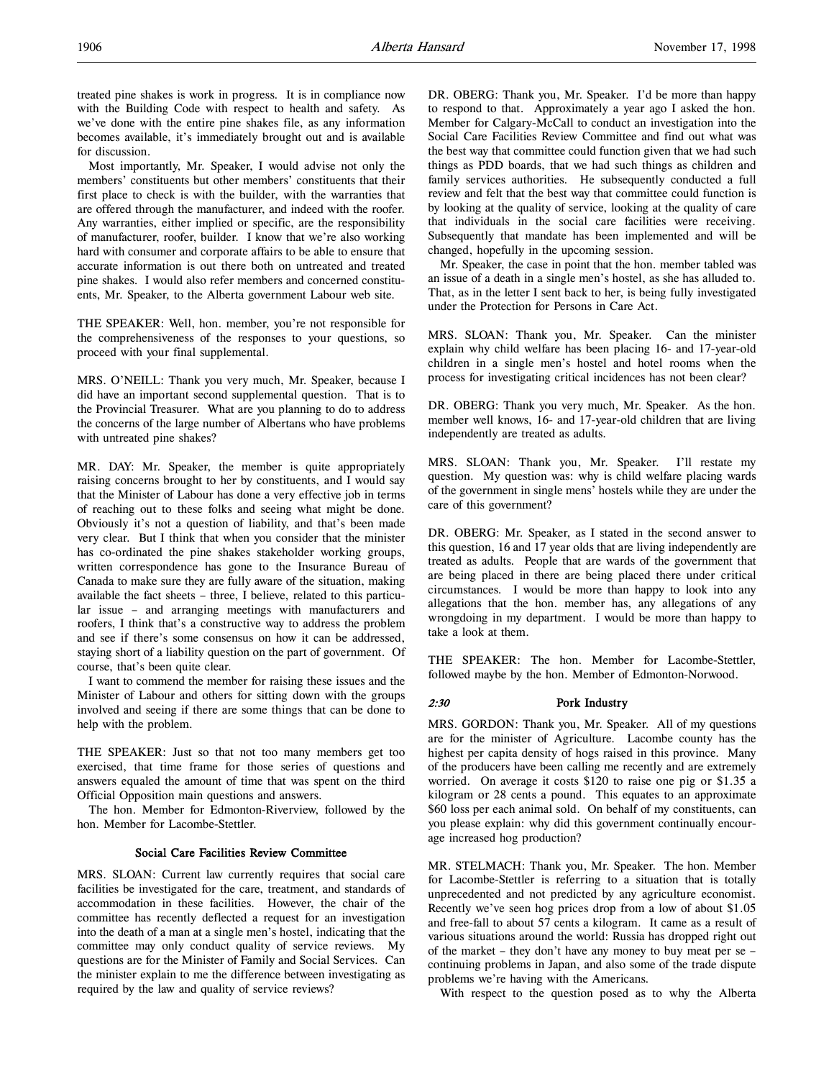treated pine shakes is work in progress. It is in compliance now with the Building Code with respect to health and safety. As we've done with the entire pine shakes file, as any information becomes available, it's immediately brought out and is available for discussion.

Most importantly, Mr. Speaker, I would advise not only the members' constituents but other members' constituents that their first place to check is with the builder, with the warranties that are offered through the manufacturer, and indeed with the roofer. Any warranties, either implied or specific, are the responsibility of manufacturer, roofer, builder. I know that we're also working hard with consumer and corporate affairs to be able to ensure that accurate information is out there both on untreated and treated pine shakes. I would also refer members and concerned constituents, Mr. Speaker, to the Alberta government Labour web site.

THE SPEAKER: Well, hon. member, you're not responsible for the comprehensiveness of the responses to your questions, so proceed with your final supplemental.

MRS. O'NEILL: Thank you very much, Mr. Speaker, because I did have an important second supplemental question. That is to the Provincial Treasurer. What are you planning to do to address the concerns of the large number of Albertans who have problems with untreated pine shakes?

MR. DAY: Mr. Speaker, the member is quite appropriately raising concerns brought to her by constituents, and I would say that the Minister of Labour has done a very effective job in terms of reaching out to these folks and seeing what might be done. Obviously it's not a question of liability, and that's been made very clear. But I think that when you consider that the minister has co-ordinated the pine shakes stakeholder working groups, written correspondence has gone to the Insurance Bureau of Canada to make sure they are fully aware of the situation, making available the fact sheets – three, I believe, related to this particular issue – and arranging meetings with manufacturers and roofers, I think that's a constructive way to address the problem and see if there's some consensus on how it can be addressed, staying short of a liability question on the part of government. Of course, that's been quite clear.

I want to commend the member for raising these issues and the Minister of Labour and others for sitting down with the groups involved and seeing if there are some things that can be done to help with the problem.

THE SPEAKER: Just so that not too many members get too exercised, that time frame for those series of questions and answers equaled the amount of time that was spent on the third Official Opposition main questions and answers.

The hon. Member for Edmonton-Riverview, followed by the hon. Member for Lacombe-Stettler.

# Social Care Facilities Review Committee

MRS. SLOAN: Current law currently requires that social care facilities be investigated for the care, treatment, and standards of accommodation in these facilities. However, the chair of the committee has recently deflected a request for an investigation into the death of a man at a single men's hostel, indicating that the committee may only conduct quality of service reviews. My questions are for the Minister of Family and Social Services. Can the minister explain to me the difference between investigating as required by the law and quality of service reviews?

DR. OBERG: Thank you, Mr. Speaker. I'd be more than happy to respond to that. Approximately a year ago I asked the hon. Member for Calgary-McCall to conduct an investigation into the Social Care Facilities Review Committee and find out what was the best way that committee could function given that we had such things as PDD boards, that we had such things as children and family services authorities. He subsequently conducted a full review and felt that the best way that committee could function is by looking at the quality of service, looking at the quality of care that individuals in the social care facilities were receiving. Subsequently that mandate has been implemented and will be changed, hopefully in the upcoming session.

Mr. Speaker, the case in point that the hon. member tabled was an issue of a death in a single men's hostel, as she has alluded to. That, as in the letter I sent back to her, is being fully investigated under the Protection for Persons in Care Act.

MRS. SLOAN: Thank you, Mr. Speaker. Can the minister explain why child welfare has been placing 16- and 17-year-old children in a single men's hostel and hotel rooms when the process for investigating critical incidences has not been clear?

DR. OBERG: Thank you very much, Mr. Speaker. As the hon. member well knows, 16- and 17-year-old children that are living independently are treated as adults.

MRS. SLOAN: Thank you, Mr. Speaker. I'll restate my question. My question was: why is child welfare placing wards of the government in single mens' hostels while they are under the care of this government?

DR. OBERG: Mr. Speaker, as I stated in the second answer to this question, 16 and 17 year olds that are living independently are treated as adults. People that are wards of the government that are being placed in there are being placed there under critical circumstances. I would be more than happy to look into any allegations that the hon. member has, any allegations of any wrongdoing in my department. I would be more than happy to take a look at them.

THE SPEAKER: The hon. Member for Lacombe-Stettler, followed maybe by the hon. Member of Edmonton-Norwood.

# 2:30 Pork Industry

MRS. GORDON: Thank you, Mr. Speaker. All of my questions are for the minister of Agriculture. Lacombe county has the highest per capita density of hogs raised in this province. Many of the producers have been calling me recently and are extremely worried. On average it costs \$120 to raise one pig or \$1.35 a kilogram or 28 cents a pound. This equates to an approximate \$60 loss per each animal sold. On behalf of my constituents, can you please explain: why did this government continually encourage increased hog production?

MR. STELMACH: Thank you, Mr. Speaker. The hon. Member for Lacombe-Stettler is referring to a situation that is totally unprecedented and not predicted by any agriculture economist. Recently we've seen hog prices drop from a low of about \$1.05 and free-fall to about 57 cents a kilogram. It came as a result of various situations around the world: Russia has dropped right out of the market – they don't have any money to buy meat per se – continuing problems in Japan, and also some of the trade dispute problems we're having with the Americans.

With respect to the question posed as to why the Alberta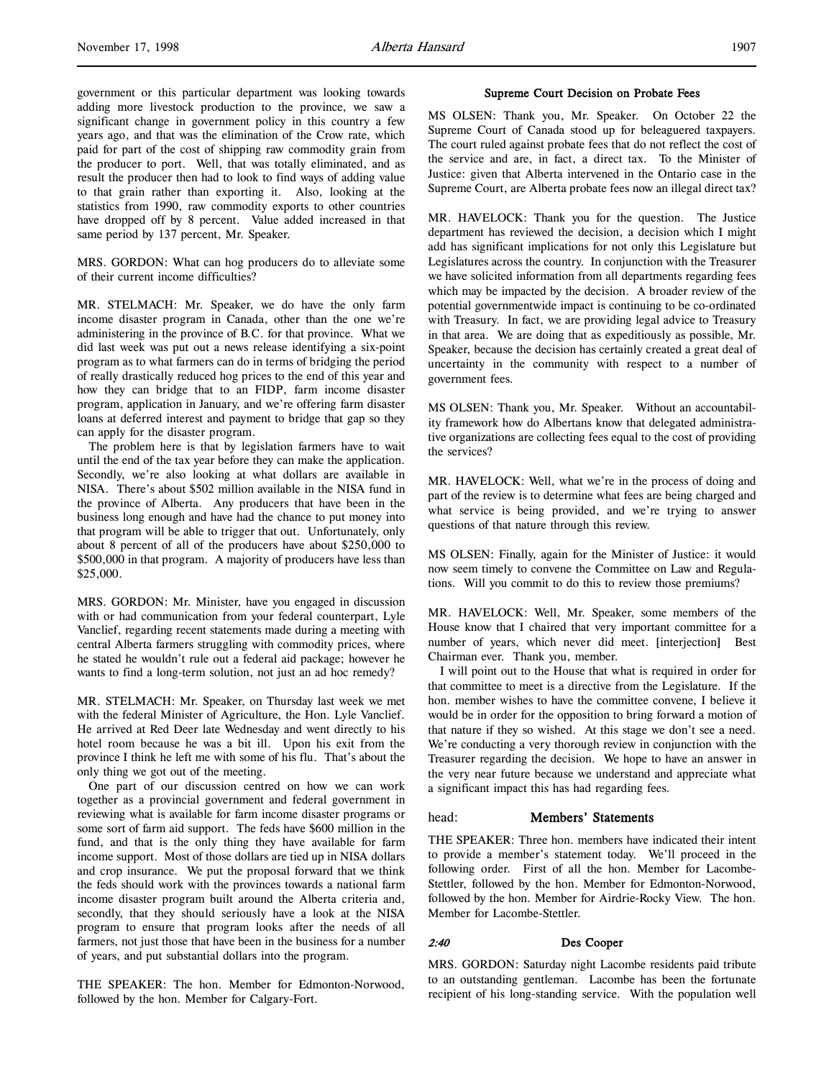government or this particular department was looking towards adding more livestock production to the province, we saw a significant change in government policy in this country a few years ago, and that was the elimination of the Crow rate, which paid for part of the cost of shipping raw commodity grain from the producer to port. Well, that was totally eliminated, and as result the producer then had to look to find ways of adding value to that grain rather than exporting it. Also, looking at the statistics from 1990, raw commodity exports to other countries have dropped off by 8 percent. Value added increased in that same period by 137 percent, Mr. Speaker.

MRS. GORDON: What can hog producers do to alleviate some of their current income difficulties?

MR. STELMACH: Mr. Speaker, we do have the only farm income disaster program in Canada, other than the one we're administering in the province of B.C. for that province. What we did last week was put out a news release identifying a six-point program as to what farmers can do in terms of bridging the period of really drastically reduced hog prices to the end of this year and how they can bridge that to an FIDP, farm income disaster program, application in January, and we're offering farm disaster loans at deferred interest and payment to bridge that gap so they can apply for the disaster program.

The problem here is that by legislation farmers have to wait until the end of the tax year before they can make the application. Secondly, we're also looking at what dollars are available in NISA. There's about \$502 million available in the NISA fund in the province of Alberta. Any producers that have been in the business long enough and have had the chance to put money into that program will be able to trigger that out. Unfortunately, only about 8 percent of all of the producers have about \$250,000 to \$500,000 in that program. A majority of producers have less than \$25,000.

MRS. GORDON: Mr. Minister, have you engaged in discussion with or had communication from your federal counterpart, Lyle Vanclief, regarding recent statements made during a meeting with central Alberta farmers struggling with commodity prices, where he stated he wouldn't rule out a federal aid package; however he wants to find a long-term solution, not just an ad hoc remedy?

MR. STELMACH: Mr. Speaker, on Thursday last week we met with the federal Minister of Agriculture, the Hon. Lyle Vanclief. He arrived at Red Deer late Wednesday and went directly to his hotel room because he was a bit ill. Upon his exit from the province I think he left me with some of his flu. That's about the only thing we got out of the meeting.

One part of our discussion centred on how we can work together as a provincial government and federal government in reviewing what is available for farm income disaster programs or some sort of farm aid support. The feds have \$600 million in the fund, and that is the only thing they have available for farm income support. Most of those dollars are tied up in NISA dollars and crop insurance. We put the proposal forward that we think the feds should work with the provinces towards a national farm income disaster program built around the Alberta criteria and, secondly, that they should seriously have a look at the NISA program to ensure that program looks after the needs of all farmers, not just those that have been in the business for a number of years, and put substantial dollars into the program.

THE SPEAKER: The hon. Member for Edmonton-Norwood, followed by the hon. Member for Calgary-Fort.

#### Supreme Court Decision on Probate Fees

MS OLSEN: Thank you, Mr. Speaker. On October 22 the Supreme Court of Canada stood up for beleaguered taxpayers. The court ruled against probate fees that do not reflect the cost of the service and are, in fact, a direct tax. To the Minister of Justice: given that Alberta intervened in the Ontario case in the Supreme Court, are Alberta probate fees now an illegal direct tax?

MR. HAVELOCK: Thank you for the question. The Justice department has reviewed the decision, a decision which I might add has significant implications for not only this Legislature but Legislatures across the country. In conjunction with the Treasurer we have solicited information from all departments regarding fees which may be impacted by the decision. A broader review of the potential governmentwide impact is continuing to be co-ordinated with Treasury. In fact, we are providing legal advice to Treasury in that area. We are doing that as expeditiously as possible, Mr. Speaker, because the decision has certainly created a great deal of uncertainty in the community with respect to a number of government fees.

MS OLSEN: Thank you, Mr. Speaker. Without an accountability framework how do Albertans know that delegated administrative organizations are collecting fees equal to the cost of providing the services?

MR. HAVELOCK: Well, what we're in the process of doing and part of the review is to determine what fees are being charged and what service is being provided, and we're trying to answer questions of that nature through this review.

MS OLSEN: Finally, again for the Minister of Justice: it would now seem timely to convene the Committee on Law and Regulations. Will you commit to do this to review those premiums?

MR. HAVELOCK: Well, Mr. Speaker, some members of the House know that I chaired that very important committee for a number of years, which never did meet. [interjection] Best Chairman ever. Thank you, member.

I will point out to the House that what is required in order for that committee to meet is a directive from the Legislature. If the hon. member wishes to have the committee convene, I believe it would be in order for the opposition to bring forward a motion of that nature if they so wished. At this stage we don't see a need. We're conducting a very thorough review in conjunction with the Treasurer regarding the decision. We hope to have an answer in the very near future because we understand and appreciate what a significant impact this has had regarding fees.

# head: Members' Statements

THE SPEAKER: Three hon. members have indicated their intent to provide a member's statement today. We'll proceed in the following order. First of all the hon. Member for Lacombe-Stettler, followed by the hon. Member for Edmonton-Norwood, followed by the hon. Member for Airdrie-Rocky View. The hon. Member for Lacombe-Stettler.

# 2:40 Des Cooper

MRS. GORDON: Saturday night Lacombe residents paid tribute to an outstanding gentleman. Lacombe has been the fortunate recipient of his long-standing service. With the population well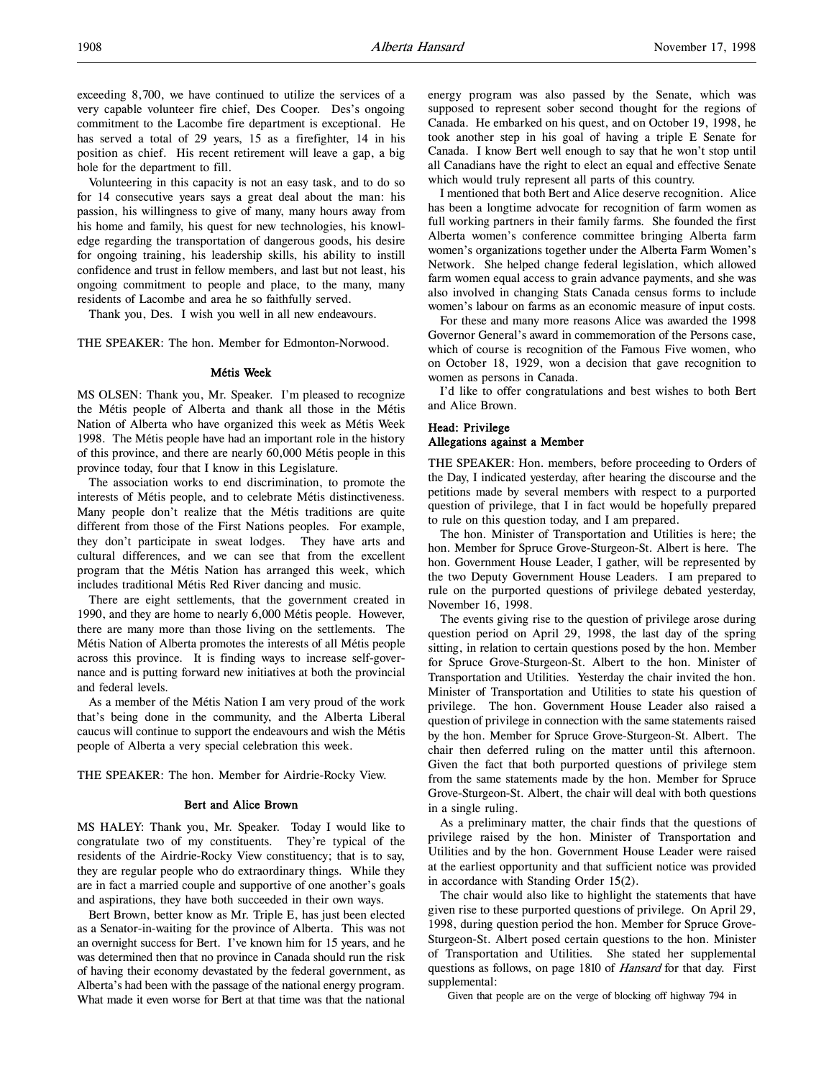exceeding 8,700, we have continued to utilize the services of a very capable volunteer fire chief, Des Cooper. Des's ongoing commitment to the Lacombe fire department is exceptional. He has served a total of 29 years, 15 as a firefighter, 14 in his position as chief. His recent retirement will leave a gap, a big hole for the department to fill.

Volunteering in this capacity is not an easy task, and to do so for 14 consecutive years says a great deal about the man: his passion, his willingness to give of many, many hours away from his home and family, his quest for new technologies, his knowledge regarding the transportation of dangerous goods, his desire for ongoing training, his leadership skills, his ability to instill confidence and trust in fellow members, and last but not least, his ongoing commitment to people and place, to the many, many residents of Lacombe and area he so faithfully served.

Thank you, Des. I wish you well in all new endeavours.

THE SPEAKER: The hon. Member for Edmonton-Norwood.

#### Métis Week

MS OLSEN: Thank you, Mr. Speaker. I'm pleased to recognize the Métis people of Alberta and thank all those in the Métis Nation of Alberta who have organized this week as Métis Week 1998. The Métis people have had an important role in the history of this province, and there are nearly 60,000 Métis people in this province today, four that I know in this Legislature.

The association works to end discrimination, to promote the interests of Métis people, and to celebrate Métis distinctiveness. Many people don't realize that the Métis traditions are quite different from those of the First Nations peoples. For example, they don't participate in sweat lodges. They have arts and cultural differences, and we can see that from the excellent program that the Métis Nation has arranged this week, which includes traditional Métis Red River dancing and music.

There are eight settlements, that the government created in 1990, and they are home to nearly 6,000 Métis people. However, there are many more than those living on the settlements. The Métis Nation of Alberta promotes the interests of all Métis people across this province. It is finding ways to increase self-governance and is putting forward new initiatives at both the provincial and federal levels.

As a member of the Métis Nation I am very proud of the work that's being done in the community, and the Alberta Liberal caucus will continue to support the endeavours and wish the Métis people of Alberta a very special celebration this week.

THE SPEAKER: The hon. Member for Airdrie-Rocky View.

#### Bert and Alice Brown

MS HALEY: Thank you, Mr. Speaker. Today I would like to congratulate two of my constituents. They're typical of the residents of the Airdrie-Rocky View constituency; that is to say, they are regular people who do extraordinary things. While they are in fact a married couple and supportive of one another's goals and aspirations, they have both succeeded in their own ways.

Bert Brown, better know as Mr. Triple E, has just been elected as a Senator-in-waiting for the province of Alberta. This was not an overnight success for Bert. I've known him for 15 years, and he was determined then that no province in Canada should run the risk of having their economy devastated by the federal government, as Alberta's had been with the passage of the national energy program. What made it even worse for Bert at that time was that the national

energy program was also passed by the Senate, which was supposed to represent sober second thought for the regions of Canada. He embarked on his quest, and on October 19, 1998, he took another step in his goal of having a triple E Senate for Canada. I know Bert well enough to say that he won't stop until all Canadians have the right to elect an equal and effective Senate which would truly represent all parts of this country.

I mentioned that both Bert and Alice deserve recognition. Alice has been a longtime advocate for recognition of farm women as full working partners in their family farms. She founded the first Alberta women's conference committee bringing Alberta farm women's organizations together under the Alberta Farm Women's Network. She helped change federal legislation, which allowed farm women equal access to grain advance payments, and she was also involved in changing Stats Canada census forms to include women's labour on farms as an economic measure of input costs.

For these and many more reasons Alice was awarded the 1998 Governor General's award in commemoration of the Persons case, which of course is recognition of the Famous Five women, who on October 18, 1929, won a decision that gave recognition to women as persons in Canada.

I'd like to offer congratulations and best wishes to both Bert and Alice Brown.

# Head: Privilege Allegations against a Member

THE SPEAKER: Hon. members, before proceeding to Orders of the Day, I indicated yesterday, after hearing the discourse and the petitions made by several members with respect to a purported question of privilege, that I in fact would be hopefully prepared to rule on this question today, and I am prepared.

The hon. Minister of Transportation and Utilities is here; the hon. Member for Spruce Grove-Sturgeon-St. Albert is here. The hon. Government House Leader, I gather, will be represented by the two Deputy Government House Leaders. I am prepared to rule on the purported questions of privilege debated yesterday, November 16, 1998.

The events giving rise to the question of privilege arose during question period on April 29, 1998, the last day of the spring sitting, in relation to certain questions posed by the hon. Member for Spruce Grove-Sturgeon-St. Albert to the hon. Minister of Transportation and Utilities. Yesterday the chair invited the hon. Minister of Transportation and Utilities to state his question of privilege. The hon. Government House Leader also raised a question of privilege in connection with the same statements raised by the hon. Member for Spruce Grove-Sturgeon-St. Albert. The chair then deferred ruling on the matter until this afternoon. Given the fact that both purported questions of privilege stem from the same statements made by the hon. Member for Spruce Grove-Sturgeon-St. Albert, the chair will deal with both questions in a single ruling.

As a preliminary matter, the chair finds that the questions of privilege raised by the hon. Minister of Transportation and Utilities and by the hon. Government House Leader were raised at the earliest opportunity and that sufficient notice was provided in accordance with Standing Order 15(2).

The chair would also like to highlight the statements that have given rise to these purported questions of privilege. On April 29, 1998, during question period the hon. Member for Spruce Grove-Sturgeon-St. Albert posed certain questions to the hon. Minister of Transportation and Utilities. She stated her supplemental questions as follows, on page 1810 of *Hansard* for that day. First supplemental:

Given that people are on the verge of blocking off highway 794 in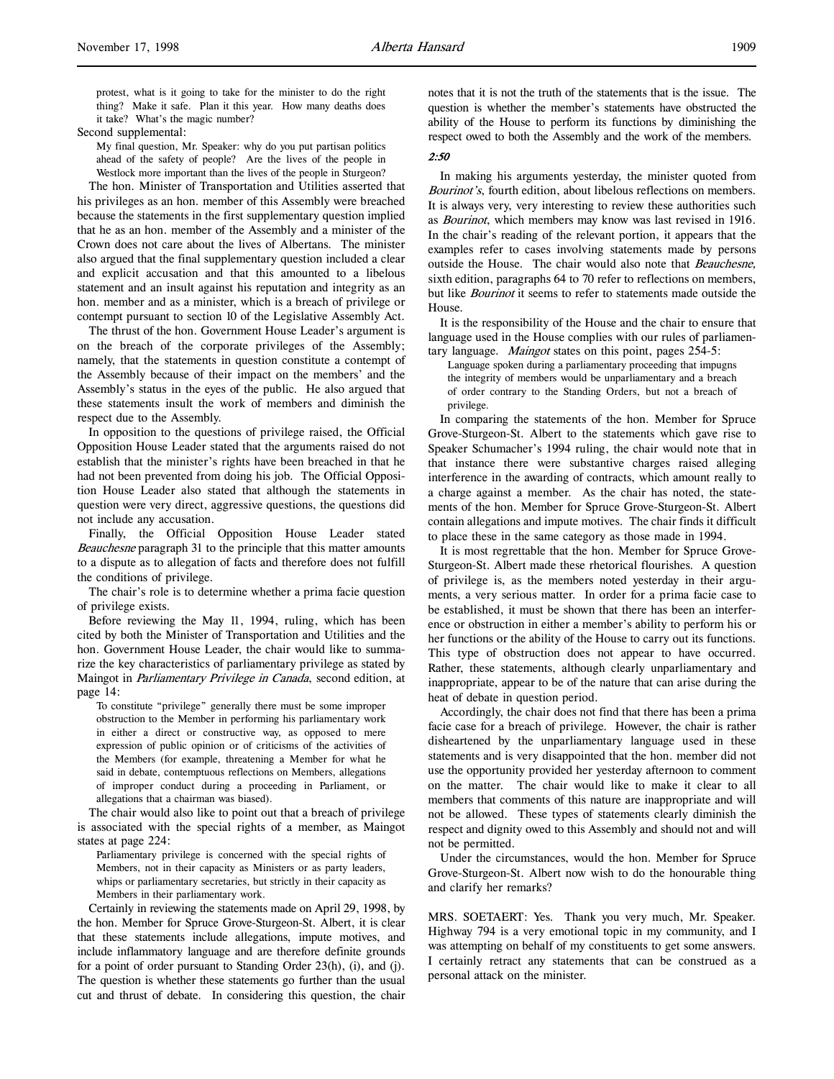protest, what is it going to take for the minister to do the right thing? Make it safe. Plan it this year. How many deaths does it take? What's the magic number?

# Second supplemental:

My final question, Mr. Speaker: why do you put partisan politics ahead of the safety of people? Are the lives of the people in Westlock more important than the lives of the people in Sturgeon?

The hon. Minister of Transportation and Utilities asserted that his privileges as an hon. member of this Assembly were breached because the statements in the first supplementary question implied that he as an hon. member of the Assembly and a minister of the Crown does not care about the lives of Albertans. The minister also argued that the final supplementary question included a clear and explicit accusation and that this amounted to a libelous statement and an insult against his reputation and integrity as an hon. member and as a minister, which is a breach of privilege or contempt pursuant to section 10 of the Legislative Assembly Act.

The thrust of the hon. Government House Leader's argument is on the breach of the corporate privileges of the Assembly; namely, that the statements in question constitute a contempt of the Assembly because of their impact on the members' and the Assembly's status in the eyes of the public. He also argued that these statements insult the work of members and diminish the respect due to the Assembly.

In opposition to the questions of privilege raised, the Official Opposition House Leader stated that the arguments raised do not establish that the minister's rights have been breached in that he had not been prevented from doing his job. The Official Opposition House Leader also stated that although the statements in question were very direct, aggressive questions, the questions did not include any accusation.

Finally, the Official Opposition House Leader stated Beauchesne paragraph 31 to the principle that this matter amounts to a dispute as to allegation of facts and therefore does not fulfill the conditions of privilege.

The chair's role is to determine whether a prima facie question of privilege exists.

Before reviewing the May 11, 1994, ruling, which has been cited by both the Minister of Transportation and Utilities and the hon. Government House Leader, the chair would like to summarize the key characteristics of parliamentary privilege as stated by Maingot in *Parliamentary Privilege in Canada*, second edition, at page 14:

To constitute "privilege" generally there must be some improper obstruction to the Member in performing his parliamentary work in either a direct or constructive way, as opposed to mere expression of public opinion or of criticisms of the activities of the Members (for example, threatening a Member for what he said in debate, contemptuous reflections on Members, allegations of improper conduct during a proceeding in Parliament, or allegations that a chairman was biased).

The chair would also like to point out that a breach of privilege is associated with the special rights of a member, as Maingot states at page 224:

Parliamentary privilege is concerned with the special rights of Members, not in their capacity as Ministers or as party leaders, whips or parliamentary secretaries, but strictly in their capacity as Members in their parliamentary work.

Certainly in reviewing the statements made on April 29, 1998, by the hon. Member for Spruce Grove-Sturgeon-St. Albert, it is clear that these statements include allegations, impute motives, and include inflammatory language and are therefore definite grounds for a point of order pursuant to Standing Order 23(h), (i), and (j). The question is whether these statements go further than the usual cut and thrust of debate. In considering this question, the chair

notes that it is not the truth of the statements that is the issue. The question is whether the member's statements have obstructed the ability of the House to perform its functions by diminishing the respect owed to both the Assembly and the work of the members.

#### 2:50

In making his arguments yesterday, the minister quoted from Bourinot's, fourth edition, about libelous reflections on members. It is always very, very interesting to review these authorities such as Bourinot, which members may know was last revised in 1916. In the chair's reading of the relevant portion, it appears that the examples refer to cases involving statements made by persons outside the House. The chair would also note that Beauchesne, sixth edition, paragraphs 64 to 70 refer to reflections on members, but like Bourinot it seems to refer to statements made outside the House.

It is the responsibility of the House and the chair to ensure that language used in the House complies with our rules of parliamentary language. *Maingot* states on this point, pages 254-5:

Language spoken during a parliamentary proceeding that impugns the integrity of members would be unparliamentary and a breach of order contrary to the Standing Orders, but not a breach of privilege.

In comparing the statements of the hon. Member for Spruce Grove-Sturgeon-St. Albert to the statements which gave rise to Speaker Schumacher's 1994 ruling, the chair would note that in that instance there were substantive charges raised alleging interference in the awarding of contracts, which amount really to a charge against a member. As the chair has noted, the statements of the hon. Member for Spruce Grove-Sturgeon-St. Albert contain allegations and impute motives. The chair finds it difficult to place these in the same category as those made in 1994.

It is most regrettable that the hon. Member for Spruce Grove-Sturgeon-St. Albert made these rhetorical flourishes. A question of privilege is, as the members noted yesterday in their arguments, a very serious matter. In order for a prima facie case to be established, it must be shown that there has been an interference or obstruction in either a member's ability to perform his or her functions or the ability of the House to carry out its functions. This type of obstruction does not appear to have occurred. Rather, these statements, although clearly unparliamentary and inappropriate, appear to be of the nature that can arise during the heat of debate in question period.

Accordingly, the chair does not find that there has been a prima facie case for a breach of privilege. However, the chair is rather disheartened by the unparliamentary language used in these statements and is very disappointed that the hon. member did not use the opportunity provided her yesterday afternoon to comment on the matter. The chair would like to make it clear to all members that comments of this nature are inappropriate and will not be allowed. These types of statements clearly diminish the respect and dignity owed to this Assembly and should not and will not be permitted.

Under the circumstances, would the hon. Member for Spruce Grove-Sturgeon-St. Albert now wish to do the honourable thing and clarify her remarks?

MRS. SOETAERT: Yes. Thank you very much, Mr. Speaker. Highway 794 is a very emotional topic in my community, and I was attempting on behalf of my constituents to get some answers. I certainly retract any statements that can be construed as a personal attack on the minister.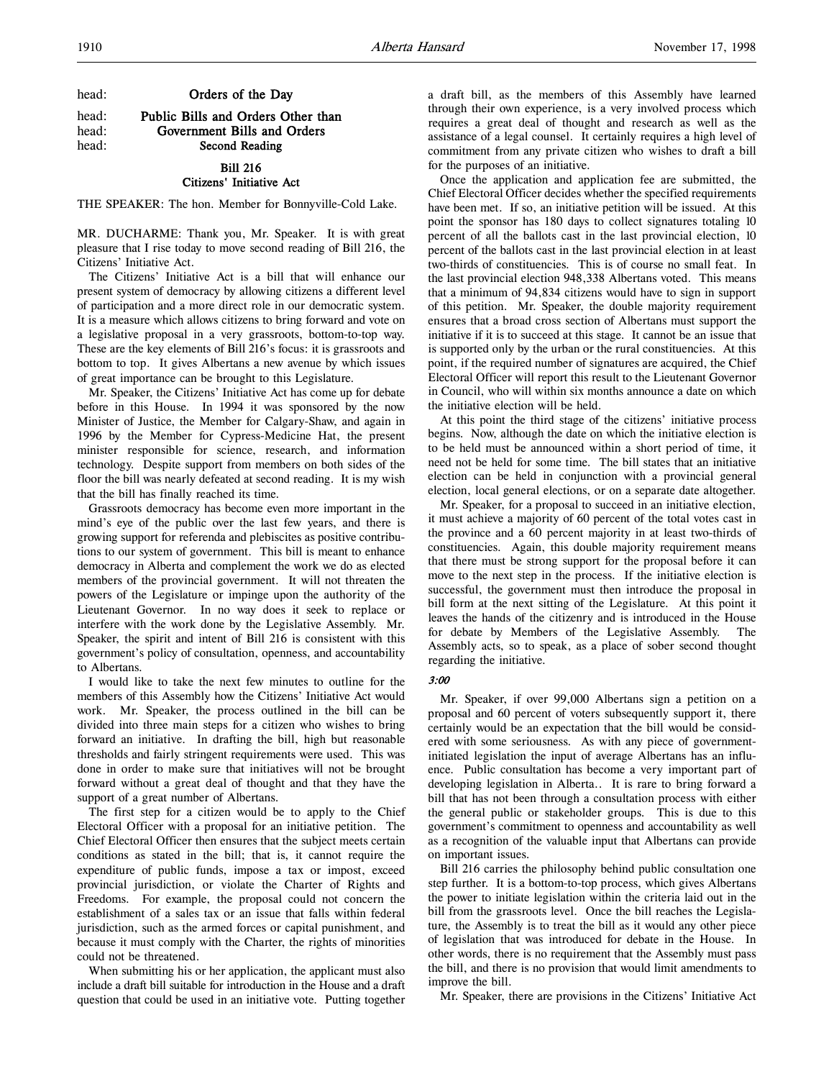head: **Orders of the Day** 

head: **Public Bills and Orders Other than**<br>head: **Government Bills and Orders** Government Bills and Orders head: Second Reading

### Bill 216 Citizens' Initiative Act

THE SPEAKER: The hon. Member for Bonnyville-Cold Lake.

MR. DUCHARME: Thank you, Mr. Speaker. It is with great pleasure that I rise today to move second reading of Bill 216, the Citizens' Initiative Act.

The Citizens' Initiative Act is a bill that will enhance our present system of democracy by allowing citizens a different level of participation and a more direct role in our democratic system. It is a measure which allows citizens to bring forward and vote on a legislative proposal in a very grassroots, bottom-to-top way. These are the key elements of Bill 216's focus: it is grassroots and bottom to top. It gives Albertans a new avenue by which issues of great importance can be brought to this Legislature.

Mr. Speaker, the Citizens' Initiative Act has come up for debate before in this House. In 1994 it was sponsored by the now Minister of Justice, the Member for Calgary-Shaw, and again in 1996 by the Member for Cypress-Medicine Hat, the present minister responsible for science, research, and information technology. Despite support from members on both sides of the floor the bill was nearly defeated at second reading. It is my wish that the bill has finally reached its time.

Grassroots democracy has become even more important in the mind's eye of the public over the last few years, and there is growing support for referenda and plebiscites as positive contributions to our system of government. This bill is meant to enhance democracy in Alberta and complement the work we do as elected members of the provincial government. It will not threaten the powers of the Legislature or impinge upon the authority of the Lieutenant Governor. In no way does it seek to replace or interfere with the work done by the Legislative Assembly. Mr. Speaker, the spirit and intent of Bill 216 is consistent with this government's policy of consultation, openness, and accountability to Albertans.

I would like to take the next few minutes to outline for the members of this Assembly how the Citizens' Initiative Act would work. Mr. Speaker, the process outlined in the bill can be divided into three main steps for a citizen who wishes to bring forward an initiative. In drafting the bill, high but reasonable thresholds and fairly stringent requirements were used. This was done in order to make sure that initiatives will not be brought forward without a great deal of thought and that they have the support of a great number of Albertans.

The first step for a citizen would be to apply to the Chief Electoral Officer with a proposal for an initiative petition. The Chief Electoral Officer then ensures that the subject meets certain conditions as stated in the bill; that is, it cannot require the expenditure of public funds, impose a tax or impost, exceed provincial jurisdiction, or violate the Charter of Rights and Freedoms. For example, the proposal could not concern the establishment of a sales tax or an issue that falls within federal jurisdiction, such as the armed forces or capital punishment, and because it must comply with the Charter, the rights of minorities could not be threatened.

When submitting his or her application, the applicant must also include a draft bill suitable for introduction in the House and a draft question that could be used in an initiative vote. Putting together a draft bill, as the members of this Assembly have learned through their own experience, is a very involved process which requires a great deal of thought and research as well as the assistance of a legal counsel. It certainly requires a high level of commitment from any private citizen who wishes to draft a bill for the purposes of an initiative.

Once the application and application fee are submitted, the Chief Electoral Officer decides whether the specified requirements have been met. If so, an initiative petition will be issued. At this point the sponsor has 180 days to collect signatures totaling 10 percent of all the ballots cast in the last provincial election, 10 percent of the ballots cast in the last provincial election in at least two-thirds of constituencies. This is of course no small feat. In the last provincial election 948,338 Albertans voted. This means that a minimum of 94,834 citizens would have to sign in support of this petition. Mr. Speaker, the double majority requirement ensures that a broad cross section of Albertans must support the initiative if it is to succeed at this stage. It cannot be an issue that is supported only by the urban or the rural constituencies. At this point, if the required number of signatures are acquired, the Chief Electoral Officer will report this result to the Lieutenant Governor in Council, who will within six months announce a date on which the initiative election will be held.

At this point the third stage of the citizens' initiative process begins. Now, although the date on which the initiative election is to be held must be announced within a short period of time, it need not be held for some time. The bill states that an initiative election can be held in conjunction with a provincial general election, local general elections, or on a separate date altogether.

Mr. Speaker, for a proposal to succeed in an initiative election, it must achieve a majority of 60 percent of the total votes cast in the province and a 60 percent majority in at least two-thirds of constituencies. Again, this double majority requirement means that there must be strong support for the proposal before it can move to the next step in the process. If the initiative election is successful, the government must then introduce the proposal in bill form at the next sitting of the Legislature. At this point it leaves the hands of the citizenry and is introduced in the House for debate by Members of the Legislative Assembly. The Assembly acts, so to speak, as a place of sober second thought regarding the initiative.

# 3:00

Mr. Speaker, if over 99,000 Albertans sign a petition on a proposal and 60 percent of voters subsequently support it, there certainly would be an expectation that the bill would be considered with some seriousness. As with any piece of governmentinitiated legislation the input of average Albertans has an influence. Public consultation has become a very important part of developing legislation in Alberta.. It is rare to bring forward a bill that has not been through a consultation process with either the general public or stakeholder groups. This is due to this government's commitment to openness and accountability as well as a recognition of the valuable input that Albertans can provide on important issues.

Bill 216 carries the philosophy behind public consultation one step further. It is a bottom-to-top process, which gives Albertans the power to initiate legislation within the criteria laid out in the bill from the grassroots level. Once the bill reaches the Legislature, the Assembly is to treat the bill as it would any other piece of legislation that was introduced for debate in the House. In other words, there is no requirement that the Assembly must pass the bill, and there is no provision that would limit amendments to improve the bill.

Mr. Speaker, there are provisions in the Citizens' Initiative Act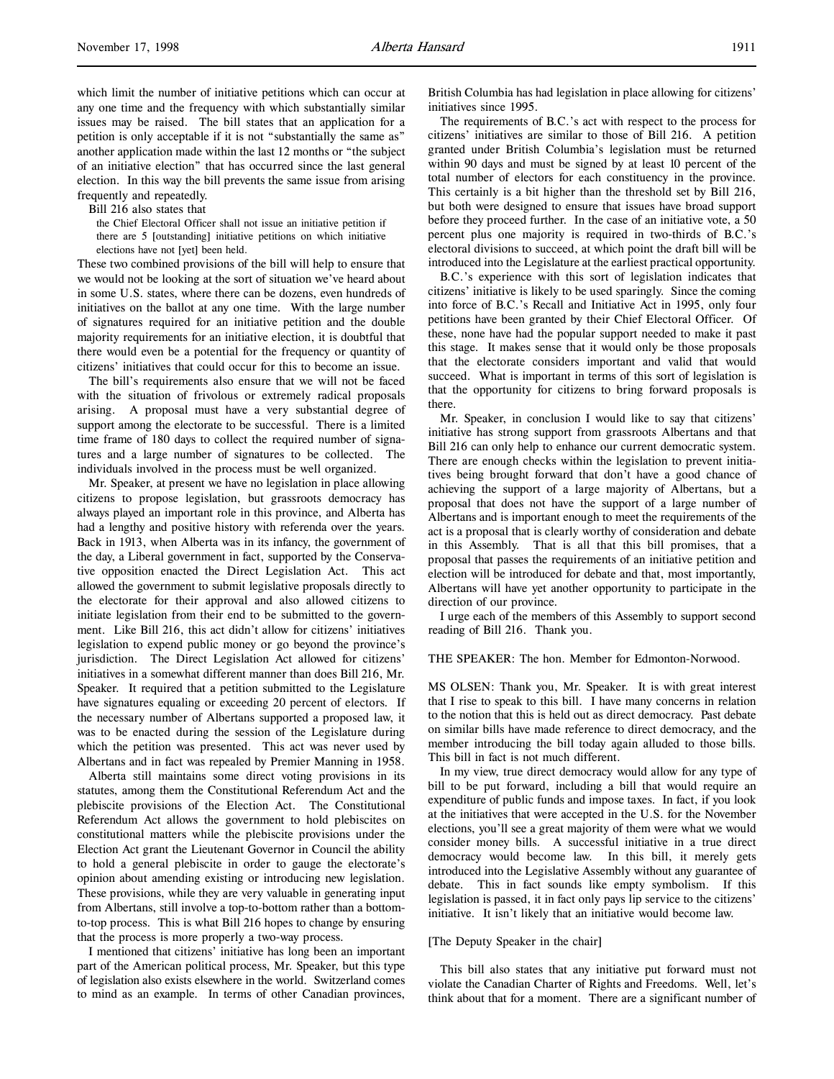which limit the number of initiative petitions which can occur at any one time and the frequency with which substantially similar issues may be raised. The bill states that an application for a petition is only acceptable if it is not "substantially the same as" another application made within the last 12 months or "the subject of an initiative election" that has occurred since the last general election. In this way the bill prevents the same issue from arising frequently and repeatedly.

Bill 216 also states that

the Chief Electoral Officer shall not issue an initiative petition if there are 5 [outstanding] initiative petitions on which initiative elections have not [yet] been held.

These two combined provisions of the bill will help to ensure that we would not be looking at the sort of situation we've heard about in some U.S. states, where there can be dozens, even hundreds of initiatives on the ballot at any one time. With the large number of signatures required for an initiative petition and the double majority requirements for an initiative election, it is doubtful that there would even be a potential for the frequency or quantity of citizens' initiatives that could occur for this to become an issue.

The bill's requirements also ensure that we will not be faced with the situation of frivolous or extremely radical proposals arising. A proposal must have a very substantial degree of support among the electorate to be successful. There is a limited time frame of 180 days to collect the required number of signatures and a large number of signatures to be collected. The individuals involved in the process must be well organized.

Mr. Speaker, at present we have no legislation in place allowing citizens to propose legislation, but grassroots democracy has always played an important role in this province, and Alberta has had a lengthy and positive history with referenda over the years. Back in 1913, when Alberta was in its infancy, the government of the day, a Liberal government in fact, supported by the Conservative opposition enacted the Direct Legislation Act. This act allowed the government to submit legislative proposals directly to the electorate for their approval and also allowed citizens to initiate legislation from their end to be submitted to the government. Like Bill 216, this act didn't allow for citizens' initiatives legislation to expend public money or go beyond the province's jurisdiction. The Direct Legislation Act allowed for citizens' initiatives in a somewhat different manner than does Bill 216, Mr. Speaker. It required that a petition submitted to the Legislature have signatures equaling or exceeding 20 percent of electors. If the necessary number of Albertans supported a proposed law, it was to be enacted during the session of the Legislature during which the petition was presented. This act was never used by Albertans and in fact was repealed by Premier Manning in 1958.

Alberta still maintains some direct voting provisions in its statutes, among them the Constitutional Referendum Act and the plebiscite provisions of the Election Act. The Constitutional Referendum Act allows the government to hold plebiscites on constitutional matters while the plebiscite provisions under the Election Act grant the Lieutenant Governor in Council the ability to hold a general plebiscite in order to gauge the electorate's opinion about amending existing or introducing new legislation. These provisions, while they are very valuable in generating input from Albertans, still involve a top-to-bottom rather than a bottomto-top process. This is what Bill 216 hopes to change by ensuring that the process is more properly a two-way process.

I mentioned that citizens' initiative has long been an important part of the American political process, Mr. Speaker, but this type of legislation also exists elsewhere in the world. Switzerland comes to mind as an example. In terms of other Canadian provinces,

British Columbia has had legislation in place allowing for citizens' initiatives since 1995.

The requirements of B.C.'s act with respect to the process for citizens' initiatives are similar to those of Bill 216. A petition granted under British Columbia's legislation must be returned within 90 days and must be signed by at least 10 percent of the total number of electors for each constituency in the province. This certainly is a bit higher than the threshold set by Bill 216, but both were designed to ensure that issues have broad support before they proceed further. In the case of an initiative vote, a 50 percent plus one majority is required in two-thirds of B.C.'s electoral divisions to succeed, at which point the draft bill will be introduced into the Legislature at the earliest practical opportunity.

B.C.'s experience with this sort of legislation indicates that citizens' initiative is likely to be used sparingly. Since the coming into force of B.C.'s Recall and Initiative Act in 1995, only four petitions have been granted by their Chief Electoral Officer. Of these, none have had the popular support needed to make it past this stage. It makes sense that it would only be those proposals that the electorate considers important and valid that would succeed. What is important in terms of this sort of legislation is that the opportunity for citizens to bring forward proposals is there.

Mr. Speaker, in conclusion I would like to say that citizens' initiative has strong support from grassroots Albertans and that Bill 216 can only help to enhance our current democratic system. There are enough checks within the legislation to prevent initiatives being brought forward that don't have a good chance of achieving the support of a large majority of Albertans, but a proposal that does not have the support of a large number of Albertans and is important enough to meet the requirements of the act is a proposal that is clearly worthy of consideration and debate in this Assembly. That is all that this bill promises, that a proposal that passes the requirements of an initiative petition and election will be introduced for debate and that, most importantly, Albertans will have yet another opportunity to participate in the direction of our province.

I urge each of the members of this Assembly to support second reading of Bill 216. Thank you.

# THE SPEAKER: The hon. Member for Edmonton-Norwood.

MS OLSEN: Thank you, Mr. Speaker. It is with great interest that I rise to speak to this bill. I have many concerns in relation to the notion that this is held out as direct democracy. Past debate on similar bills have made reference to direct democracy, and the member introducing the bill today again alluded to those bills. This bill in fact is not much different.

In my view, true direct democracy would allow for any type of bill to be put forward, including a bill that would require an expenditure of public funds and impose taxes. In fact, if you look at the initiatives that were accepted in the U.S. for the November elections, you'll see a great majority of them were what we would consider money bills. A successful initiative in a true direct democracy would become law. In this bill, it merely gets introduced into the Legislative Assembly without any guarantee of debate. This in fact sounds like empty symbolism. If this legislation is passed, it in fact only pays lip service to the citizens' initiative. It isn't likely that an initiative would become law.

## [The Deputy Speaker in the chair]

This bill also states that any initiative put forward must not violate the Canadian Charter of Rights and Freedoms. Well, let's think about that for a moment. There are a significant number of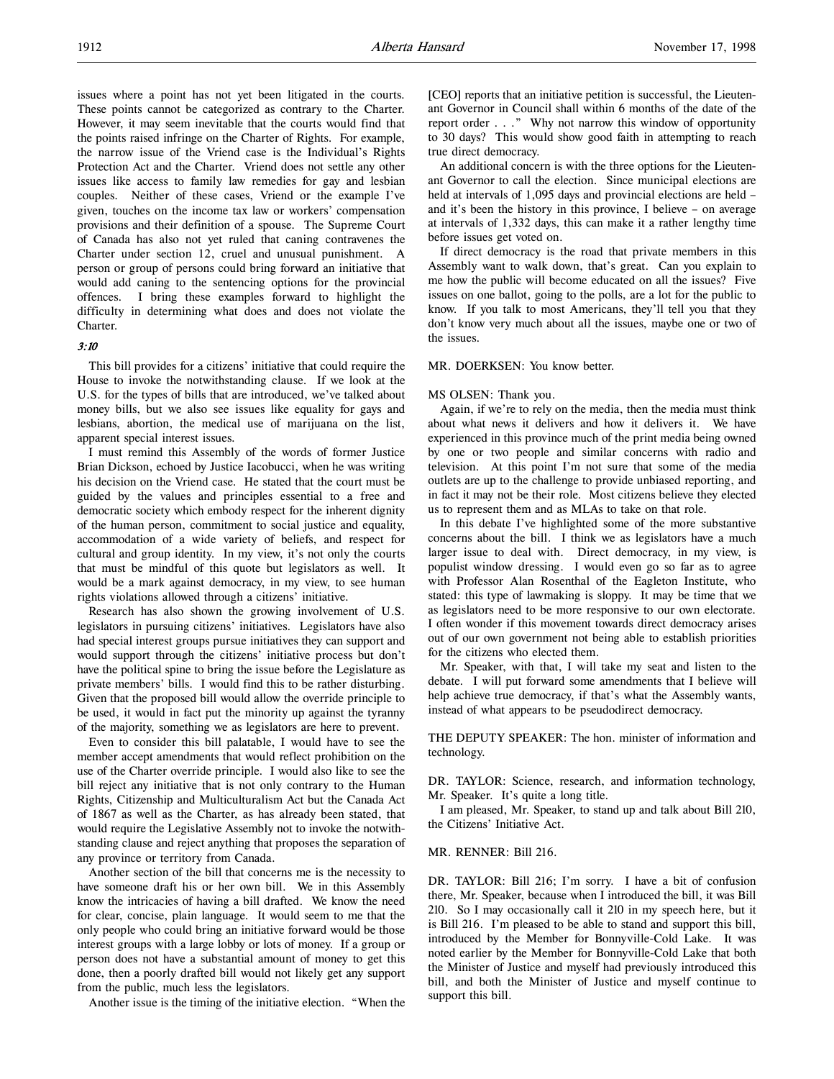issues where a point has not yet been litigated in the courts. These points cannot be categorized as contrary to the Charter. However, it may seem inevitable that the courts would find that the points raised infringe on the Charter of Rights. For example, the narrow issue of the Vriend case is the Individual's Rights Protection Act and the Charter. Vriend does not settle any other issues like access to family law remedies for gay and lesbian couples. Neither of these cases, Vriend or the example I've given, touches on the income tax law or workers' compensation provisions and their definition of a spouse. The Supreme Court of Canada has also not yet ruled that caning contravenes the Charter under section 12, cruel and unusual punishment. A person or group of persons could bring forward an initiative that would add caning to the sentencing options for the provincial offences. I bring these examples forward to highlight the difficulty in determining what does and does not violate the Charter.

# 3:10

This bill provides for a citizens' initiative that could require the House to invoke the notwithstanding clause. If we look at the U.S. for the types of bills that are introduced, we've talked about money bills, but we also see issues like equality for gays and lesbians, abortion, the medical use of marijuana on the list, apparent special interest issues.

I must remind this Assembly of the words of former Justice Brian Dickson, echoed by Justice Iacobucci, when he was writing his decision on the Vriend case. He stated that the court must be guided by the values and principles essential to a free and democratic society which embody respect for the inherent dignity of the human person, commitment to social justice and equality, accommodation of a wide variety of beliefs, and respect for cultural and group identity. In my view, it's not only the courts that must be mindful of this quote but legislators as well. It would be a mark against democracy, in my view, to see human rights violations allowed through a citizens' initiative.

Research has also shown the growing involvement of U.S. legislators in pursuing citizens' initiatives. Legislators have also had special interest groups pursue initiatives they can support and would support through the citizens' initiative process but don't have the political spine to bring the issue before the Legislature as private members' bills. I would find this to be rather disturbing. Given that the proposed bill would allow the override principle to be used, it would in fact put the minority up against the tyranny of the majority, something we as legislators are here to prevent.

Even to consider this bill palatable, I would have to see the member accept amendments that would reflect prohibition on the use of the Charter override principle. I would also like to see the bill reject any initiative that is not only contrary to the Human Rights, Citizenship and Multiculturalism Act but the Canada Act of 1867 as well as the Charter, as has already been stated, that would require the Legislative Assembly not to invoke the notwithstanding clause and reject anything that proposes the separation of any province or territory from Canada.

Another section of the bill that concerns me is the necessity to have someone draft his or her own bill. We in this Assembly know the intricacies of having a bill drafted. We know the need for clear, concise, plain language. It would seem to me that the only people who could bring an initiative forward would be those interest groups with a large lobby or lots of money. If a group or person does not have a substantial amount of money to get this done, then a poorly drafted bill would not likely get any support from the public, much less the legislators.

Another issue is the timing of the initiative election. "When the

[CEO] reports that an initiative petition is successful, the Lieutenant Governor in Council shall within 6 months of the date of the report order . . ." Why not narrow this window of opportunity to 30 days? This would show good faith in attempting to reach true direct democracy.

An additional concern is with the three options for the Lieutenant Governor to call the election. Since municipal elections are held at intervals of 1,095 days and provincial elections are held – and it's been the history in this province, I believe – on average at intervals of 1,332 days, this can make it a rather lengthy time before issues get voted on.

If direct democracy is the road that private members in this Assembly want to walk down, that's great. Can you explain to me how the public will become educated on all the issues? Five issues on one ballot, going to the polls, are a lot for the public to know. If you talk to most Americans, they'll tell you that they don't know very much about all the issues, maybe one or two of the issues.

#### MR. DOERKSEN: You know better.

#### MS OLSEN: Thank you.

Again, if we're to rely on the media, then the media must think about what news it delivers and how it delivers it. We have experienced in this province much of the print media being owned by one or two people and similar concerns with radio and television. At this point I'm not sure that some of the media outlets are up to the challenge to provide unbiased reporting, and in fact it may not be their role. Most citizens believe they elected us to represent them and as MLAs to take on that role.

In this debate I've highlighted some of the more substantive concerns about the bill. I think we as legislators have a much larger issue to deal with. Direct democracy, in my view, is populist window dressing. I would even go so far as to agree with Professor Alan Rosenthal of the Eagleton Institute, who stated: this type of lawmaking is sloppy. It may be time that we as legislators need to be more responsive to our own electorate. I often wonder if this movement towards direct democracy arises out of our own government not being able to establish priorities for the citizens who elected them.

Mr. Speaker, with that, I will take my seat and listen to the debate. I will put forward some amendments that I believe will help achieve true democracy, if that's what the Assembly wants, instead of what appears to be pseudodirect democracy.

THE DEPUTY SPEAKER: The hon. minister of information and technology.

DR. TAYLOR: Science, research, and information technology, Mr. Speaker. It's quite a long title.

I am pleased, Mr. Speaker, to stand up and talk about Bill 210, the Citizens' Initiative Act.

# MR. RENNER: Bill 216.

DR. TAYLOR: Bill 216; I'm sorry. I have a bit of confusion there, Mr. Speaker, because when I introduced the bill, it was Bill 210. So I may occasionally call it 210 in my speech here, but it is Bill 216. I'm pleased to be able to stand and support this bill, introduced by the Member for Bonnyville-Cold Lake. It was noted earlier by the Member for Bonnyville-Cold Lake that both the Minister of Justice and myself had previously introduced this bill, and both the Minister of Justice and myself continue to support this bill.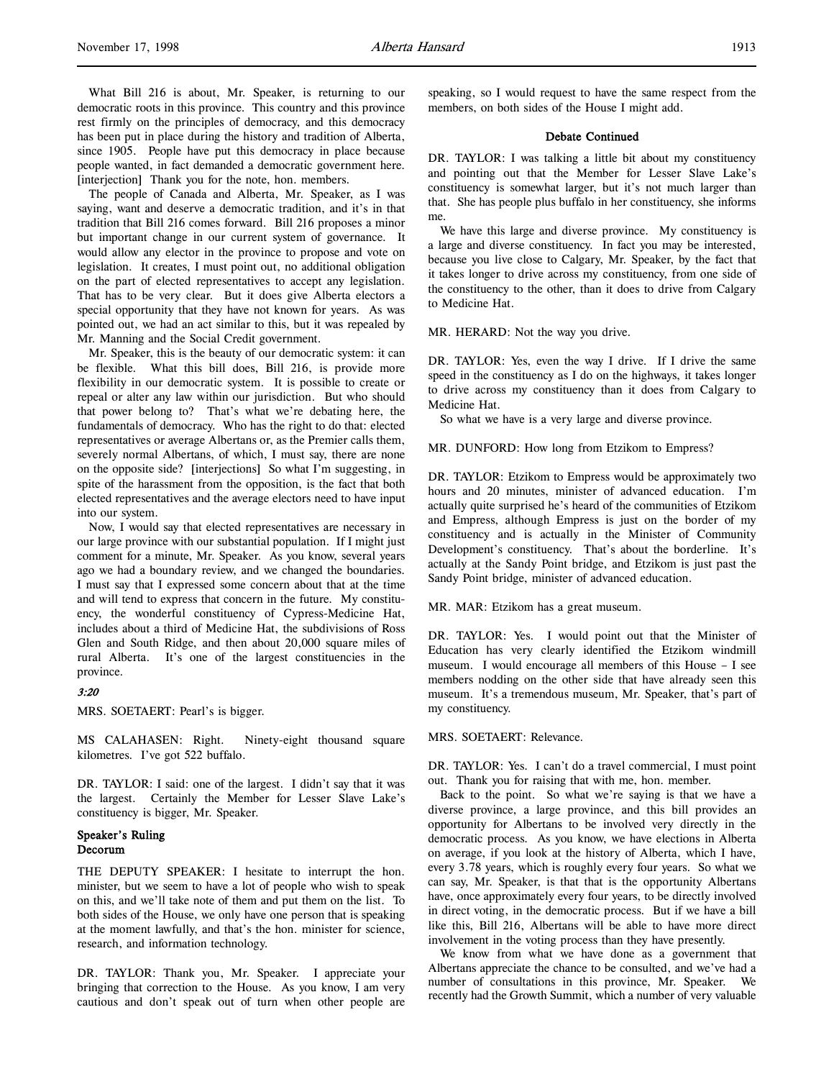The people of Canada and Alberta, Mr. Speaker, as I was saying, want and deserve a democratic tradition, and it's in that tradition that Bill 216 comes forward. Bill 216 proposes a minor but important change in our current system of governance. It would allow any elector in the province to propose and vote on legislation. It creates, I must point out, no additional obligation on the part of elected representatives to accept any legislation. That has to be very clear. But it does give Alberta electors a special opportunity that they have not known for years. As was pointed out, we had an act similar to this, but it was repealed by Mr. Manning and the Social Credit government.

Mr. Speaker, this is the beauty of our democratic system: it can be flexible. What this bill does, Bill 216, is provide more flexibility in our democratic system. It is possible to create or repeal or alter any law within our jurisdiction. But who should that power belong to? That's what we're debating here, the fundamentals of democracy. Who has the right to do that: elected representatives or average Albertans or, as the Premier calls them, severely normal Albertans, of which, I must say, there are none on the opposite side? [interjections] So what I'm suggesting, in spite of the harassment from the opposition, is the fact that both elected representatives and the average electors need to have input into our system.

Now, I would say that elected representatives are necessary in our large province with our substantial population. If I might just comment for a minute, Mr. Speaker. As you know, several years ago we had a boundary review, and we changed the boundaries. I must say that I expressed some concern about that at the time and will tend to express that concern in the future. My constituency, the wonderful constituency of Cypress-Medicine Hat, includes about a third of Medicine Hat, the subdivisions of Ross Glen and South Ridge, and then about 20,000 square miles of rural Alberta. It's one of the largest constituencies in the province.

#### 3:20

MRS. SOETAERT: Pearl's is bigger.

MS CALAHASEN: Right. Ninety-eight thousand square kilometres. I've got 522 buffalo.

DR. TAYLOR: I said: one of the largest. I didn't say that it was the largest. Certainly the Member for Lesser Slave Lake's constituency is bigger, Mr. Speaker.

### Speaker's Ruling Decorum

THE DEPUTY SPEAKER: I hesitate to interrupt the hon. minister, but we seem to have a lot of people who wish to speak on this, and we'll take note of them and put them on the list. To both sides of the House, we only have one person that is speaking at the moment lawfully, and that's the hon. minister for science, research, and information technology.

DR. TAYLOR: Thank you, Mr. Speaker. I appreciate your bringing that correction to the House. As you know, I am very cautious and don't speak out of turn when other people are

speaking, so I would request to have the same respect from the members, on both sides of the House I might add.

# Debate Continued

DR. TAYLOR: I was talking a little bit about my constituency and pointing out that the Member for Lesser Slave Lake's constituency is somewhat larger, but it's not much larger than that. She has people plus buffalo in her constituency, she informs me.

We have this large and diverse province. My constituency is a large and diverse constituency. In fact you may be interested, because you live close to Calgary, Mr. Speaker, by the fact that it takes longer to drive across my constituency, from one side of the constituency to the other, than it does to drive from Calgary to Medicine Hat.

MR. HERARD: Not the way you drive.

DR. TAYLOR: Yes, even the way I drive. If I drive the same speed in the constituency as I do on the highways, it takes longer to drive across my constituency than it does from Calgary to Medicine Hat.

So what we have is a very large and diverse province.

MR. DUNFORD: How long from Etzikom to Empress?

DR. TAYLOR: Etzikom to Empress would be approximately two hours and 20 minutes, minister of advanced education. I'm actually quite surprised he's heard of the communities of Etzikom and Empress, although Empress is just on the border of my constituency and is actually in the Minister of Community Development's constituency. That's about the borderline. It's actually at the Sandy Point bridge, and Etzikom is just past the Sandy Point bridge, minister of advanced education.

MR. MAR: Etzikom has a great museum.

DR. TAYLOR: Yes. I would point out that the Minister of Education has very clearly identified the Etzikom windmill museum. I would encourage all members of this House – I see members nodding on the other side that have already seen this museum. It's a tremendous museum, Mr. Speaker, that's part of my constituency.

#### MRS. SOETAERT: Relevance.

DR. TAYLOR: Yes. I can't do a travel commercial, I must point out. Thank you for raising that with me, hon. member.

Back to the point. So what we're saying is that we have a diverse province, a large province, and this bill provides an opportunity for Albertans to be involved very directly in the democratic process. As you know, we have elections in Alberta on average, if you look at the history of Alberta, which I have, every 3.78 years, which is roughly every four years. So what we can say, Mr. Speaker, is that that is the opportunity Albertans have, once approximately every four years, to be directly involved in direct voting, in the democratic process. But if we have a bill like this, Bill 216, Albertans will be able to have more direct involvement in the voting process than they have presently.

We know from what we have done as a government that Albertans appreciate the chance to be consulted, and we've had a number of consultations in this province, Mr. Speaker. We recently had the Growth Summit, which a number of very valuable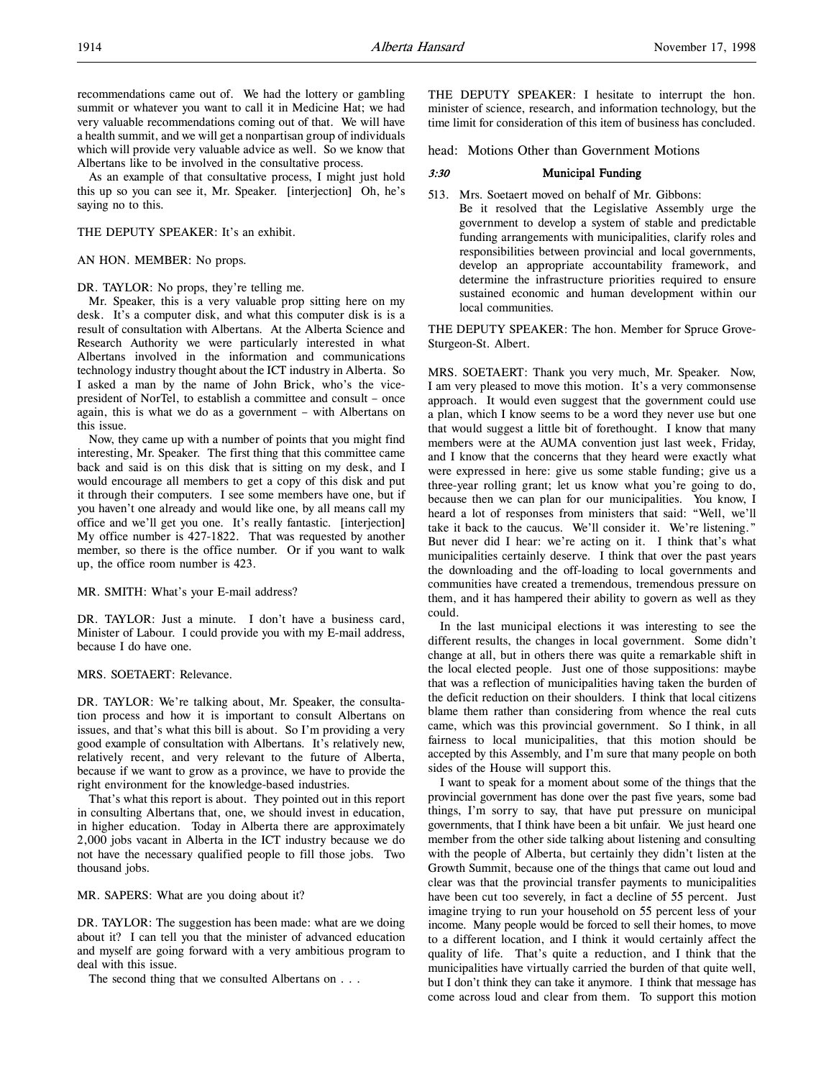recommendations came out of. We had the lottery or gambling summit or whatever you want to call it in Medicine Hat; we had very valuable recommendations coming out of that. We will have a health summit, and we will get a nonpartisan group of individuals which will provide very valuable advice as well. So we know that Albertans like to be involved in the consultative process.

As an example of that consultative process, I might just hold this up so you can see it, Mr. Speaker. [interjection] Oh, he's saying no to this.

# THE DEPUTY SPEAKER: It's an exhibit.

### AN HON. MEMBER: No props.

#### DR. TAYLOR: No props, they're telling me.

Mr. Speaker, this is a very valuable prop sitting here on my desk. It's a computer disk, and what this computer disk is is a result of consultation with Albertans. At the Alberta Science and Research Authority we were particularly interested in what Albertans involved in the information and communications technology industry thought about the ICT industry in Alberta. So I asked a man by the name of John Brick, who's the vicepresident of NorTel, to establish a committee and consult – once again, this is what we do as a government – with Albertans on this issue.

Now, they came up with a number of points that you might find interesting, Mr. Speaker. The first thing that this committee came back and said is on this disk that is sitting on my desk, and I would encourage all members to get a copy of this disk and put it through their computers. I see some members have one, but if you haven't one already and would like one, by all means call my office and we'll get you one. It's really fantastic. [interjection] My office number is 427-1822. That was requested by another member, so there is the office number. Or if you want to walk up, the office room number is 423.

#### MR. SMITH: What's your E-mail address?

DR. TAYLOR: Just a minute. I don't have a business card, Minister of Labour. I could provide you with my E-mail address, because I do have one.

# MRS. SOETAERT: Relevance.

DR. TAYLOR: We're talking about, Mr. Speaker, the consultation process and how it is important to consult Albertans on issues, and that's what this bill is about. So I'm providing a very good example of consultation with Albertans. It's relatively new, relatively recent, and very relevant to the future of Alberta, because if we want to grow as a province, we have to provide the right environment for the knowledge-based industries.

That's what this report is about. They pointed out in this report in consulting Albertans that, one, we should invest in education, in higher education. Today in Alberta there are approximately 2,000 jobs vacant in Alberta in the ICT industry because we do not have the necessary qualified people to fill those jobs. Two thousand jobs.

## MR. SAPERS: What are you doing about it?

DR. TAYLOR: The suggestion has been made: what are we doing about it? I can tell you that the minister of advanced education and myself are going forward with a very ambitious program to deal with this issue.

The second thing that we consulted Albertans on . . .

THE DEPUTY SPEAKER: I hesitate to interrupt the hon. minister of science, research, and information technology, but the time limit for consideration of this item of business has concluded.

# head: Motions Other than Government Motions

# 3:30 Municipal Funding

513. Mrs. Soetaert moved on behalf of Mr. Gibbons: Be it resolved that the Legislative Assembly urge the government to develop a system of stable and predictable funding arrangements with municipalities, clarify roles and responsibilities between provincial and local governments, develop an appropriate accountability framework, and determine the infrastructure priorities required to ensure sustained economic and human development within our local communities.

THE DEPUTY SPEAKER: The hon. Member for Spruce Grove-Sturgeon-St. Albert.

MRS. SOETAERT: Thank you very much, Mr. Speaker. Now, I am very pleased to move this motion. It's a very commonsense approach. It would even suggest that the government could use a plan, which I know seems to be a word they never use but one that would suggest a little bit of forethought. I know that many members were at the AUMA convention just last week, Friday, and I know that the concerns that they heard were exactly what were expressed in here: give us some stable funding; give us a three-year rolling grant; let us know what you're going to do, because then we can plan for our municipalities. You know, I heard a lot of responses from ministers that said: "Well, we'll take it back to the caucus. We'll consider it. We're listening." But never did I hear: we're acting on it. I think that's what municipalities certainly deserve. I think that over the past years the downloading and the off-loading to local governments and communities have created a tremendous, tremendous pressure on them, and it has hampered their ability to govern as well as they could.

In the last municipal elections it was interesting to see the different results, the changes in local government. Some didn't change at all, but in others there was quite a remarkable shift in the local elected people. Just one of those suppositions: maybe that was a reflection of municipalities having taken the burden of the deficit reduction on their shoulders. I think that local citizens blame them rather than considering from whence the real cuts came, which was this provincial government. So I think, in all fairness to local municipalities, that this motion should be accepted by this Assembly, and I'm sure that many people on both sides of the House will support this.

I want to speak for a moment about some of the things that the provincial government has done over the past five years, some bad things, I'm sorry to say, that have put pressure on municipal governments, that I think have been a bit unfair. We just heard one member from the other side talking about listening and consulting with the people of Alberta, but certainly they didn't listen at the Growth Summit, because one of the things that came out loud and clear was that the provincial transfer payments to municipalities have been cut too severely, in fact a decline of 55 percent. Just imagine trying to run your household on 55 percent less of your income. Many people would be forced to sell their homes, to move to a different location, and I think it would certainly affect the quality of life. That's quite a reduction, and I think that the municipalities have virtually carried the burden of that quite well, but I don't think they can take it anymore. I think that message has come across loud and clear from them. To support this motion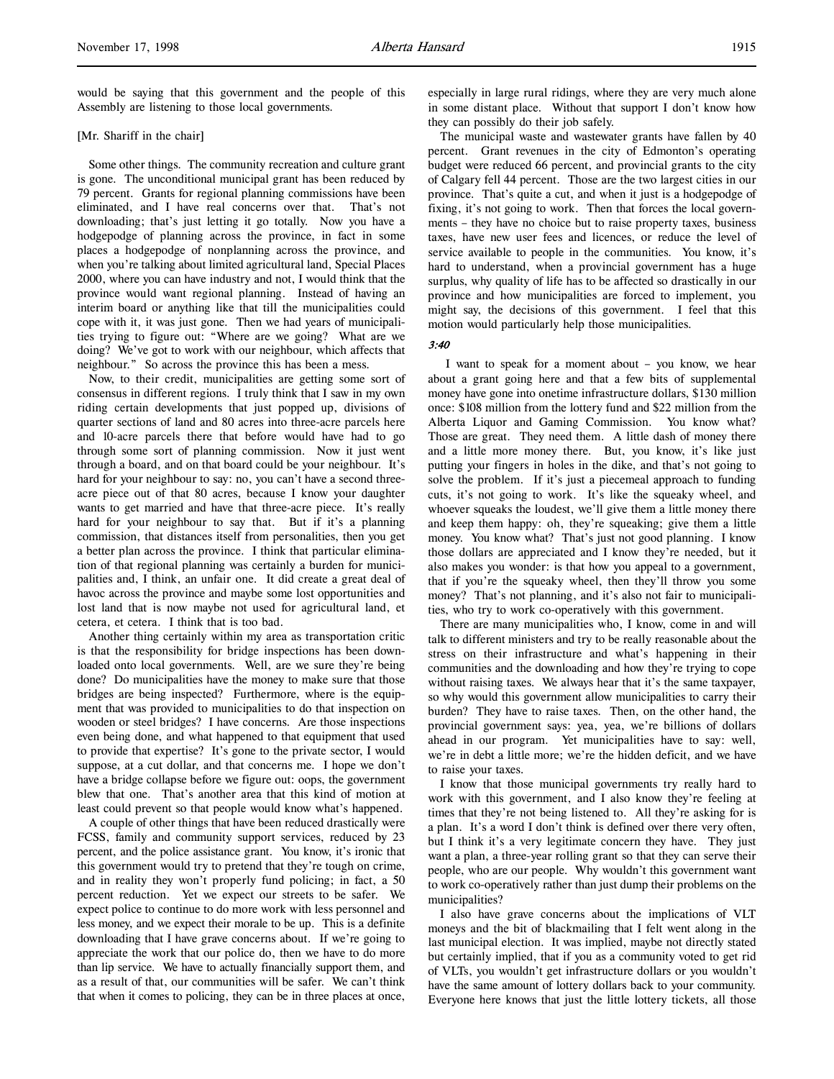would be saying that this government and the people of this Assembly are listening to those local governments.

## [Mr. Shariff in the chair]

Some other things. The community recreation and culture grant is gone. The unconditional municipal grant has been reduced by 79 percent. Grants for regional planning commissions have been eliminated, and I have real concerns over that. That's not downloading; that's just letting it go totally. Now you have a hodgepodge of planning across the province, in fact in some places a hodgepodge of nonplanning across the province, and when you're talking about limited agricultural land, Special Places 2000, where you can have industry and not, I would think that the province would want regional planning. Instead of having an interim board or anything like that till the municipalities could cope with it, it was just gone. Then we had years of municipalities trying to figure out: "Where are we going? What are we doing? We've got to work with our neighbour, which affects that neighbour." So across the province this has been a mess.

Now, to their credit, municipalities are getting some sort of consensus in different regions. I truly think that I saw in my own riding certain developments that just popped up, divisions of quarter sections of land and 80 acres into three-acre parcels here and 10-acre parcels there that before would have had to go through some sort of planning commission. Now it just went through a board, and on that board could be your neighbour. It's hard for your neighbour to say: no, you can't have a second threeacre piece out of that 80 acres, because I know your daughter wants to get married and have that three-acre piece. It's really hard for your neighbour to say that. But if it's a planning commission, that distances itself from personalities, then you get a better plan across the province. I think that particular elimination of that regional planning was certainly a burden for municipalities and, I think, an unfair one. It did create a great deal of havoc across the province and maybe some lost opportunities and lost land that is now maybe not used for agricultural land, et cetera, et cetera. I think that is too bad.

Another thing certainly within my area as transportation critic is that the responsibility for bridge inspections has been downloaded onto local governments. Well, are we sure they're being done? Do municipalities have the money to make sure that those bridges are being inspected? Furthermore, where is the equipment that was provided to municipalities to do that inspection on wooden or steel bridges? I have concerns. Are those inspections even being done, and what happened to that equipment that used to provide that expertise? It's gone to the private sector, I would suppose, at a cut dollar, and that concerns me. I hope we don't have a bridge collapse before we figure out: oops, the government blew that one. That's another area that this kind of motion at least could prevent so that people would know what's happened.

A couple of other things that have been reduced drastically were FCSS, family and community support services, reduced by 23 percent, and the police assistance grant. You know, it's ironic that this government would try to pretend that they're tough on crime, and in reality they won't properly fund policing; in fact, a 50 percent reduction. Yet we expect our streets to be safer. We expect police to continue to do more work with less personnel and less money, and we expect their morale to be up. This is a definite downloading that I have grave concerns about. If we're going to appreciate the work that our police do, then we have to do more than lip service. We have to actually financially support them, and as a result of that, our communities will be safer. We can't think that when it comes to policing, they can be in three places at once,

especially in large rural ridings, where they are very much alone in some distant place. Without that support I don't know how they can possibly do their job safely.

The municipal waste and wastewater grants have fallen by 40 percent. Grant revenues in the city of Edmonton's operating budget were reduced 66 percent, and provincial grants to the city of Calgary fell 44 percent. Those are the two largest cities in our province. That's quite a cut, and when it just is a hodgepodge of fixing, it's not going to work. Then that forces the local governments – they have no choice but to raise property taxes, business taxes, have new user fees and licences, or reduce the level of service available to people in the communities. You know, it's hard to understand, when a provincial government has a huge surplus, why quality of life has to be affected so drastically in our province and how municipalities are forced to implement, you might say, the decisions of this government. I feel that this motion would particularly help those municipalities.

# 3:40

 I want to speak for a moment about – you know, we hear about a grant going here and that a few bits of supplemental money have gone into onetime infrastructure dollars, \$130 million once: \$108 million from the lottery fund and \$22 million from the Alberta Liquor and Gaming Commission. You know what? Those are great. They need them. A little dash of money there and a little more money there. But, you know, it's like just putting your fingers in holes in the dike, and that's not going to solve the problem. If it's just a piecemeal approach to funding cuts, it's not going to work. It's like the squeaky wheel, and whoever squeaks the loudest, we'll give them a little money there and keep them happy: oh, they're squeaking; give them a little money. You know what? That's just not good planning. I know those dollars are appreciated and I know they're needed, but it also makes you wonder: is that how you appeal to a government, that if you're the squeaky wheel, then they'll throw you some money? That's not planning, and it's also not fair to municipalities, who try to work co-operatively with this government.

There are many municipalities who, I know, come in and will talk to different ministers and try to be really reasonable about the stress on their infrastructure and what's happening in their communities and the downloading and how they're trying to cope without raising taxes. We always hear that it's the same taxpayer, so why would this government allow municipalities to carry their burden? They have to raise taxes. Then, on the other hand, the provincial government says: yea, yea, we're billions of dollars ahead in our program. Yet municipalities have to say: well, we're in debt a little more; we're the hidden deficit, and we have to raise your taxes.

I know that those municipal governments try really hard to work with this government, and I also know they're feeling at times that they're not being listened to. All they're asking for is a plan. It's a word I don't think is defined over there very often, but I think it's a very legitimate concern they have. They just want a plan, a three-year rolling grant so that they can serve their people, who are our people. Why wouldn't this government want to work co-operatively rather than just dump their problems on the municipalities?

I also have grave concerns about the implications of VLT moneys and the bit of blackmailing that I felt went along in the last municipal election. It was implied, maybe not directly stated but certainly implied, that if you as a community voted to get rid of VLTs, you wouldn't get infrastructure dollars or you wouldn't have the same amount of lottery dollars back to your community. Everyone here knows that just the little lottery tickets, all those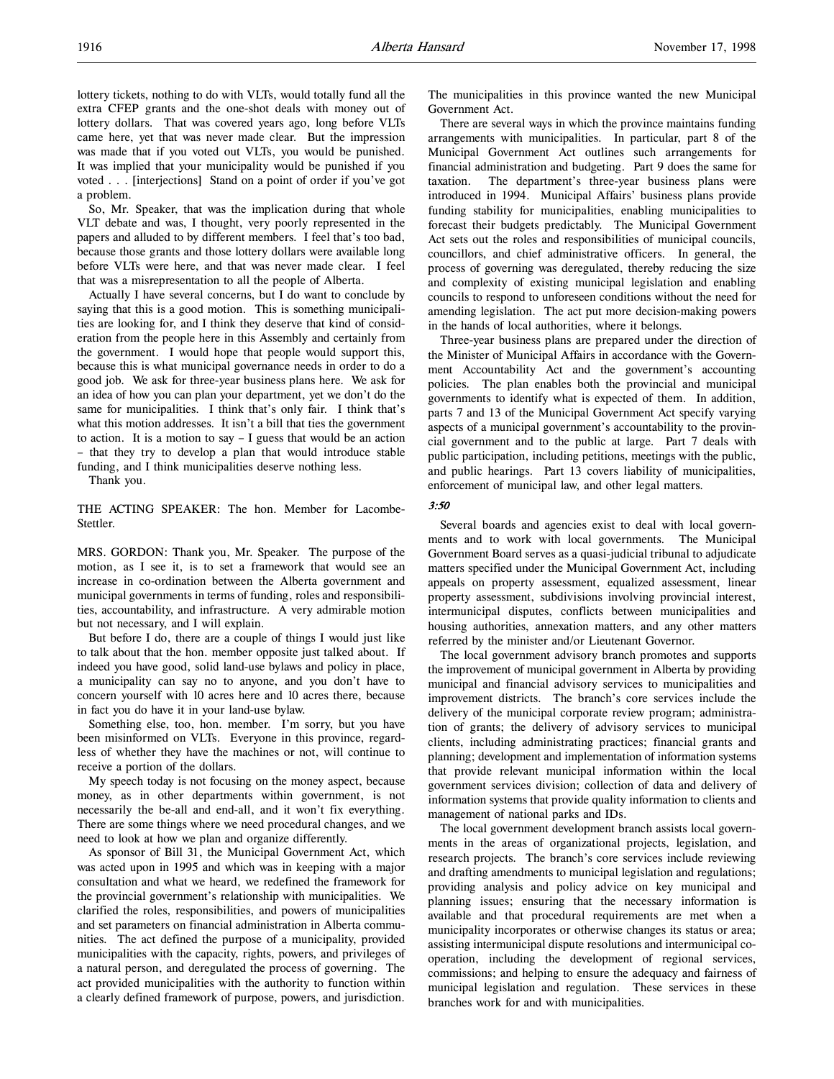extra CFEP grants and the one-shot deals with money out of lottery dollars. That was covered years ago, long before VLTs came here, yet that was never made clear. But the impression was made that if you voted out VLTs, you would be punished. It was implied that your municipality would be punished if you voted . . . [interjections] Stand on a point of order if you've got a problem.

So, Mr. Speaker, that was the implication during that whole VLT debate and was, I thought, very poorly represented in the papers and alluded to by different members. I feel that's too bad, because those grants and those lottery dollars were available long before VLTs were here, and that was never made clear. I feel that was a misrepresentation to all the people of Alberta.

Actually I have several concerns, but I do want to conclude by saying that this is a good motion. This is something municipalities are looking for, and I think they deserve that kind of consideration from the people here in this Assembly and certainly from the government. I would hope that people would support this, because this is what municipal governance needs in order to do a good job. We ask for three-year business plans here. We ask for an idea of how you can plan your department, yet we don't do the same for municipalities. I think that's only fair. I think that's what this motion addresses. It isn't a bill that ties the government to action. It is a motion to say  $-$  I guess that would be an action – that they try to develop a plan that would introduce stable funding, and I think municipalities deserve nothing less.

Thank you.

THE ACTING SPEAKER: The hon. Member for Lacombe-Stettler.

MRS. GORDON: Thank you, Mr. Speaker. The purpose of the motion, as I see it, is to set a framework that would see an increase in co-ordination between the Alberta government and municipal governments in terms of funding, roles and responsibilities, accountability, and infrastructure. A very admirable motion but not necessary, and I will explain.

But before I do, there are a couple of things I would just like to talk about that the hon. member opposite just talked about. If indeed you have good, solid land-use bylaws and policy in place, a municipality can say no to anyone, and you don't have to concern yourself with 10 acres here and 10 acres there, because in fact you do have it in your land-use bylaw.

Something else, too, hon. member. I'm sorry, but you have been misinformed on VLTs. Everyone in this province, regardless of whether they have the machines or not, will continue to receive a portion of the dollars.

My speech today is not focusing on the money aspect, because money, as in other departments within government, is not necessarily the be-all and end-all, and it won't fix everything. There are some things where we need procedural changes, and we need to look at how we plan and organize differently.

As sponsor of Bill 31, the Municipal Government Act, which was acted upon in 1995 and which was in keeping with a major consultation and what we heard, we redefined the framework for the provincial government's relationship with municipalities. We clarified the roles, responsibilities, and powers of municipalities and set parameters on financial administration in Alberta communities. The act defined the purpose of a municipality, provided municipalities with the capacity, rights, powers, and privileges of a natural person, and deregulated the process of governing. The act provided municipalities with the authority to function within a clearly defined framework of purpose, powers, and jurisdiction.

The municipalities in this province wanted the new Municipal Government Act.

There are several ways in which the province maintains funding arrangements with municipalities. In particular, part 8 of the Municipal Government Act outlines such arrangements for financial administration and budgeting. Part 9 does the same for taxation. The department's three-year business plans were introduced in 1994. Municipal Affairs' business plans provide funding stability for municipalities, enabling municipalities to forecast their budgets predictably. The Municipal Government Act sets out the roles and responsibilities of municipal councils, councillors, and chief administrative officers. In general, the process of governing was deregulated, thereby reducing the size and complexity of existing municipal legislation and enabling councils to respond to unforeseen conditions without the need for amending legislation. The act put more decision-making powers in the hands of local authorities, where it belongs.

Three-year business plans are prepared under the direction of the Minister of Municipal Affairs in accordance with the Government Accountability Act and the government's accounting policies. The plan enables both the provincial and municipal governments to identify what is expected of them. In addition, parts 7 and 13 of the Municipal Government Act specify varying aspects of a municipal government's accountability to the provincial government and to the public at large. Part 7 deals with public participation, including petitions, meetings with the public, and public hearings. Part 13 covers liability of municipalities, enforcement of municipal law, and other legal matters.

# 3:50

Several boards and agencies exist to deal with local governments and to work with local governments. The Municipal Government Board serves as a quasi-judicial tribunal to adjudicate matters specified under the Municipal Government Act, including appeals on property assessment, equalized assessment, linear property assessment, subdivisions involving provincial interest, intermunicipal disputes, conflicts between municipalities and housing authorities, annexation matters, and any other matters referred by the minister and/or Lieutenant Governor.

The local government advisory branch promotes and supports the improvement of municipal government in Alberta by providing municipal and financial advisory services to municipalities and improvement districts. The branch's core services include the delivery of the municipal corporate review program; administration of grants; the delivery of advisory services to municipal clients, including administrating practices; financial grants and planning; development and implementation of information systems that provide relevant municipal information within the local government services division; collection of data and delivery of information systems that provide quality information to clients and management of national parks and IDs.

The local government development branch assists local governments in the areas of organizational projects, legislation, and research projects. The branch's core services include reviewing and drafting amendments to municipal legislation and regulations; providing analysis and policy advice on key municipal and planning issues; ensuring that the necessary information is available and that procedural requirements are met when a municipality incorporates or otherwise changes its status or area; assisting intermunicipal dispute resolutions and intermunicipal cooperation, including the development of regional services, commissions; and helping to ensure the adequacy and fairness of municipal legislation and regulation. These services in these branches work for and with municipalities.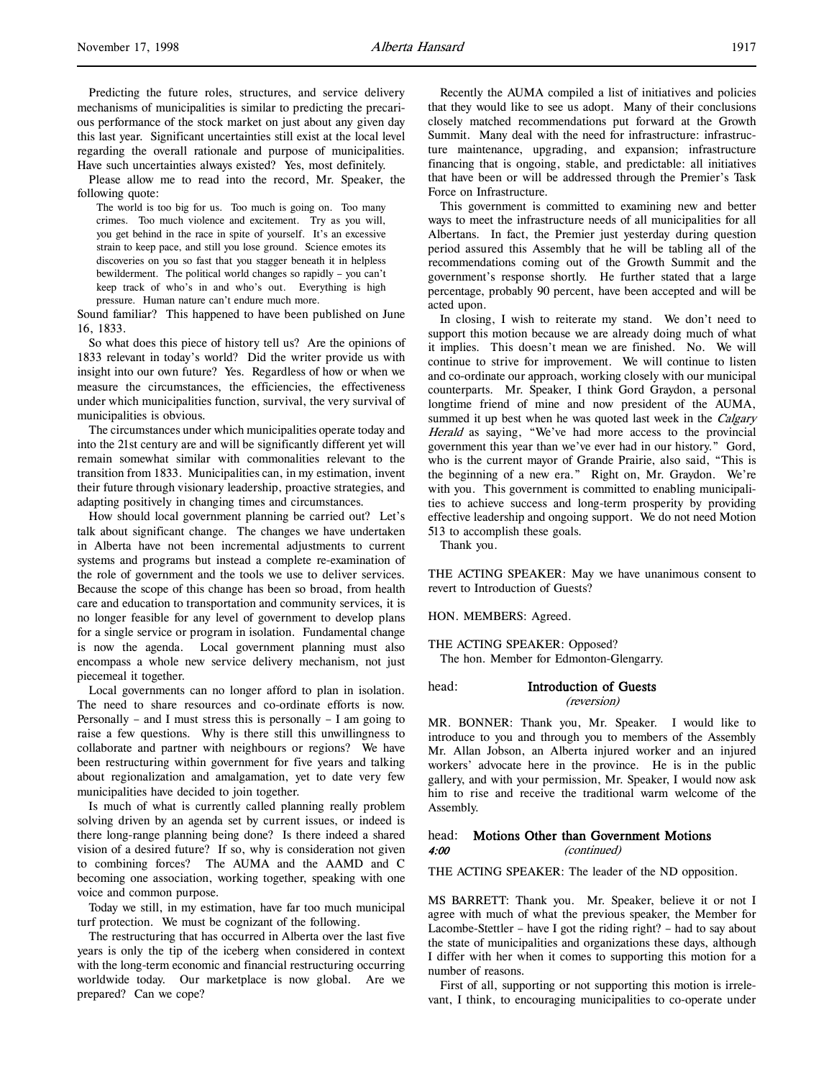Predicting the future roles, structures, and service delivery mechanisms of municipalities is similar to predicting the precarious performance of the stock market on just about any given day this last year. Significant uncertainties still exist at the local level regarding the overall rationale and purpose of municipalities. Have such uncertainties always existed? Yes, most definitely.

Please allow me to read into the record, Mr. Speaker, the following quote:

The world is too big for us. Too much is going on. Too many crimes. Too much violence and excitement. Try as you will, you get behind in the race in spite of yourself. It's an excessive strain to keep pace, and still you lose ground. Science emotes its discoveries on you so fast that you stagger beneath it in helpless bewilderment. The political world changes so rapidly – you can't keep track of who's in and who's out. Everything is high pressure. Human nature can't endure much more.

Sound familiar? This happened to have been published on June 16, 1833.

So what does this piece of history tell us? Are the opinions of 1833 relevant in today's world? Did the writer provide us with insight into our own future? Yes. Regardless of how or when we measure the circumstances, the efficiencies, the effectiveness under which municipalities function, survival, the very survival of municipalities is obvious.

The circumstances under which municipalities operate today and into the 21st century are and will be significantly different yet will remain somewhat similar with commonalities relevant to the transition from 1833. Municipalities can, in my estimation, invent their future through visionary leadership, proactive strategies, and adapting positively in changing times and circumstances.

How should local government planning be carried out? Let's talk about significant change. The changes we have undertaken in Alberta have not been incremental adjustments to current systems and programs but instead a complete re-examination of the role of government and the tools we use to deliver services. Because the scope of this change has been so broad, from health care and education to transportation and community services, it is no longer feasible for any level of government to develop plans for a single service or program in isolation. Fundamental change is now the agenda. Local government planning must also encompass a whole new service delivery mechanism, not just piecemeal it together.

Local governments can no longer afford to plan in isolation. The need to share resources and co-ordinate efforts is now. Personally – and I must stress this is personally – I am going to raise a few questions. Why is there still this unwillingness to collaborate and partner with neighbours or regions? We have been restructuring within government for five years and talking about regionalization and amalgamation, yet to date very few municipalities have decided to join together.

Is much of what is currently called planning really problem solving driven by an agenda set by current issues, or indeed is there long-range planning being done? Is there indeed a shared vision of a desired future? If so, why is consideration not given to combining forces? The AUMA and the AAMD and C becoming one association, working together, speaking with one voice and common purpose.

Today we still, in my estimation, have far too much municipal turf protection. We must be cognizant of the following.

The restructuring that has occurred in Alberta over the last five years is only the tip of the iceberg when considered in context with the long-term economic and financial restructuring occurring worldwide today. Our marketplace is now global. Are we prepared? Can we cope?

Recently the AUMA compiled a list of initiatives and policies that they would like to see us adopt. Many of their conclusions closely matched recommendations put forward at the Growth Summit. Many deal with the need for infrastructure: infrastructure maintenance, upgrading, and expansion; infrastructure financing that is ongoing, stable, and predictable: all initiatives that have been or will be addressed through the Premier's Task Force on Infrastructure.

This government is committed to examining new and better ways to meet the infrastructure needs of all municipalities for all Albertans. In fact, the Premier just yesterday during question period assured this Assembly that he will be tabling all of the recommendations coming out of the Growth Summit and the government's response shortly. He further stated that a large percentage, probably 90 percent, have been accepted and will be acted upon.

In closing, I wish to reiterate my stand. We don't need to support this motion because we are already doing much of what it implies. This doesn't mean we are finished. No. We will continue to strive for improvement. We will continue to listen and co-ordinate our approach, working closely with our municipal counterparts. Mr. Speaker, I think Gord Graydon, a personal longtime friend of mine and now president of the AUMA, summed it up best when he was quoted last week in the Calgary Herald as saying, "We've had more access to the provincial government this year than we've ever had in our history." Gord, who is the current mayor of Grande Prairie, also said, "This is the beginning of a new era." Right on, Mr. Graydon. We're with you. This government is committed to enabling municipalities to achieve success and long-term prosperity by providing effective leadership and ongoing support. We do not need Motion 513 to accomplish these goals.

Thank you.

THE ACTING SPEAKER: May we have unanimous consent to revert to Introduction of Guests?

HON. MEMBERS: Agreed.

THE ACTING SPEAKER: Opposed?

The hon. Member for Edmonton-Glengarry.

# head: Introduction of Guests (reversion)

MR. BONNER: Thank you, Mr. Speaker. I would like to introduce to you and through you to members of the Assembly Mr. Allan Jobson, an Alberta injured worker and an injured workers' advocate here in the province. He is in the public gallery, and with your permission, Mr. Speaker, I would now ask him to rise and receive the traditional warm welcome of the Assembly.

# head: Motions Other than Government Motions 4:00 (continued)

THE ACTING SPEAKER: The leader of the ND opposition.

MS BARRETT: Thank you. Mr. Speaker, believe it or not I agree with much of what the previous speaker, the Member for Lacombe-Stettler – have I got the riding right? – had to say about the state of municipalities and organizations these days, although I differ with her when it comes to supporting this motion for a number of reasons.

First of all, supporting or not supporting this motion is irrelevant, I think, to encouraging municipalities to co-operate under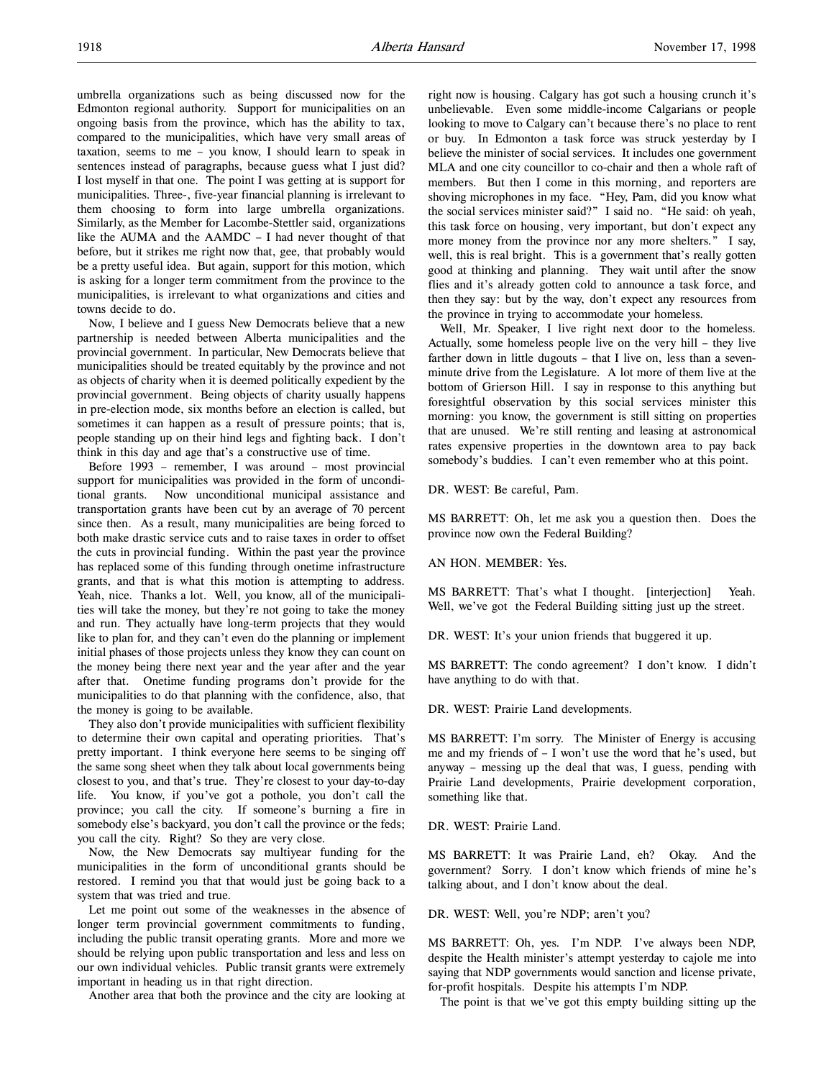umbrella organizations such as being discussed now for the Edmonton regional authority. Support for municipalities on an ongoing basis from the province, which has the ability to tax, compared to the municipalities, which have very small areas of taxation, seems to me – you know, I should learn to speak in sentences instead of paragraphs, because guess what I just did? I lost myself in that one. The point I was getting at is support for municipalities. Three-, five-year financial planning is irrelevant to them choosing to form into large umbrella organizations. Similarly, as the Member for Lacombe-Stettler said, organizations like the AUMA and the AAMDC – I had never thought of that before, but it strikes me right now that, gee, that probably would be a pretty useful idea. But again, support for this motion, which is asking for a longer term commitment from the province to the municipalities, is irrelevant to what organizations and cities and towns decide to do.

Now, I believe and I guess New Democrats believe that a new partnership is needed between Alberta municipalities and the provincial government. In particular, New Democrats believe that municipalities should be treated equitably by the province and not as objects of charity when it is deemed politically expedient by the provincial government. Being objects of charity usually happens in pre-election mode, six months before an election is called, but sometimes it can happen as a result of pressure points; that is, people standing up on their hind legs and fighting back. I don't think in this day and age that's a constructive use of time.

Before 1993 – remember, I was around – most provincial support for municipalities was provided in the form of unconditional grants. Now unconditional municipal assistance and transportation grants have been cut by an average of 70 percent since then. As a result, many municipalities are being forced to both make drastic service cuts and to raise taxes in order to offset the cuts in provincial funding. Within the past year the province has replaced some of this funding through onetime infrastructure grants, and that is what this motion is attempting to address. Yeah, nice. Thanks a lot. Well, you know, all of the municipalities will take the money, but they're not going to take the money and run. They actually have long-term projects that they would like to plan for, and they can't even do the planning or implement initial phases of those projects unless they know they can count on the money being there next year and the year after and the year after that. Onetime funding programs don't provide for the municipalities to do that planning with the confidence, also, that the money is going to be available.

They also don't provide municipalities with sufficient flexibility to determine their own capital and operating priorities. That's pretty important. I think everyone here seems to be singing off the same song sheet when they talk about local governments being closest to you, and that's true. They're closest to your day-to-day life. You know, if you've got a pothole, you don't call the province; you call the city. If someone's burning a fire in somebody else's backyard, you don't call the province or the feds; you call the city. Right? So they are very close.

Now, the New Democrats say multiyear funding for the municipalities in the form of unconditional grants should be restored. I remind you that that would just be going back to a system that was tried and true.

Let me point out some of the weaknesses in the absence of longer term provincial government commitments to funding, including the public transit operating grants. More and more we should be relying upon public transportation and less and less on our own individual vehicles. Public transit grants were extremely important in heading us in that right direction.

Another area that both the province and the city are looking at

right now is housing. Calgary has got such a housing crunch it's unbelievable. Even some middle-income Calgarians or people looking to move to Calgary can't because there's no place to rent or buy. In Edmonton a task force was struck yesterday by I believe the minister of social services. It includes one government MLA and one city councillor to co-chair and then a whole raft of members. But then I come in this morning, and reporters are shoving microphones in my face. "Hey, Pam, did you know what the social services minister said?" I said no. "He said: oh yeah, this task force on housing, very important, but don't expect any more money from the province nor any more shelters." I say, well, this is real bright. This is a government that's really gotten good at thinking and planning. They wait until after the snow flies and it's already gotten cold to announce a task force, and then they say: but by the way, don't expect any resources from the province in trying to accommodate your homeless.

Well, Mr. Speaker, I live right next door to the homeless. Actually, some homeless people live on the very hill – they live farther down in little dugouts – that I live on, less than a sevenminute drive from the Legislature. A lot more of them live at the bottom of Grierson Hill. I say in response to this anything but foresightful observation by this social services minister this morning: you know, the government is still sitting on properties that are unused. We're still renting and leasing at astronomical rates expensive properties in the downtown area to pay back somebody's buddies. I can't even remember who at this point.

DR. WEST: Be careful, Pam.

MS BARRETT: Oh, let me ask you a question then. Does the province now own the Federal Building?

AN HON. MEMBER: Yes.

MS BARRETT: That's what I thought. [interjection] Yeah. Well, we've got the Federal Building sitting just up the street.

DR. WEST: It's your union friends that buggered it up.

MS BARRETT: The condo agreement? I don't know. I didn't have anything to do with that.

DR. WEST: Prairie Land developments.

MS BARRETT: I'm sorry. The Minister of Energy is accusing me and my friends of – I won't use the word that he's used, but anyway – messing up the deal that was, I guess, pending with Prairie Land developments, Prairie development corporation, something like that.

DR. WEST: Prairie Land.

MS BARRETT: It was Prairie Land, eh? Okay. And the government? Sorry. I don't know which friends of mine he's talking about, and I don't know about the deal.

DR. WEST: Well, you're NDP; aren't you?

MS BARRETT: Oh, yes. I'm NDP. I've always been NDP, despite the Health minister's attempt yesterday to cajole me into saying that NDP governments would sanction and license private, for-profit hospitals. Despite his attempts I'm NDP.

The point is that we've got this empty building sitting up the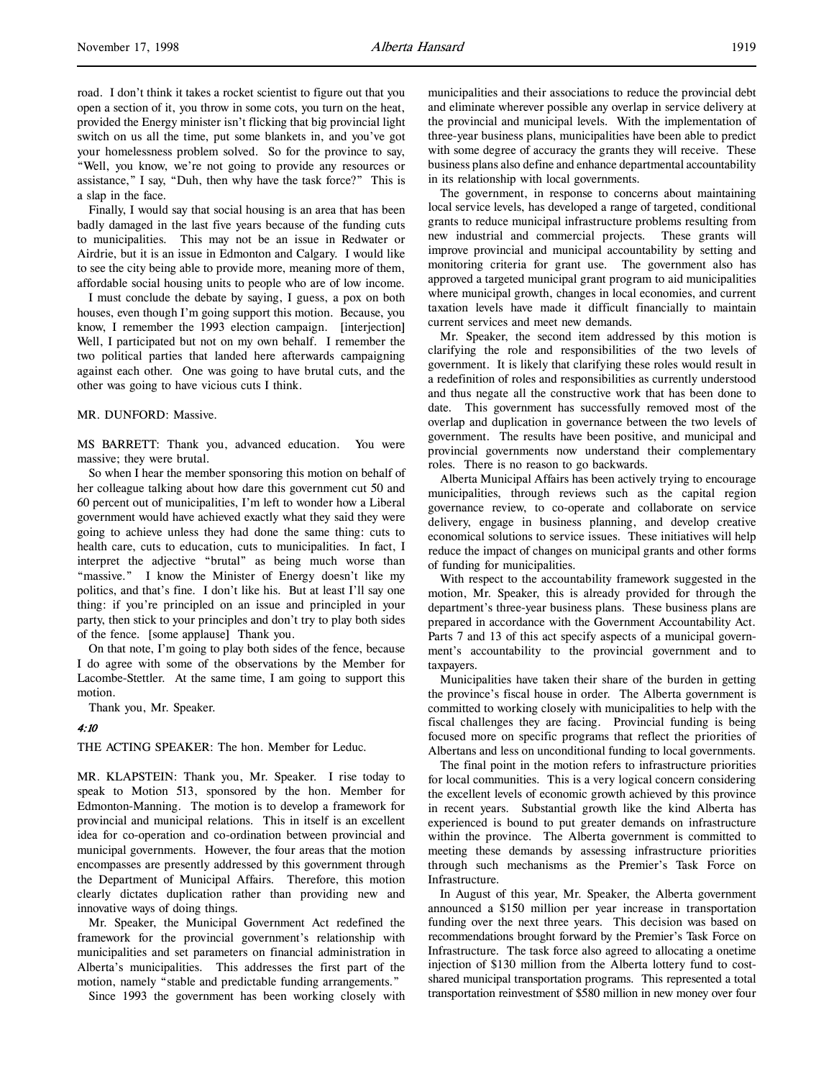road. I don't think it takes a rocket scientist to figure out that you open a section of it, you throw in some cots, you turn on the heat, provided the Energy minister isn't flicking that big provincial light switch on us all the time, put some blankets in, and you've got your homelessness problem solved. So for the province to say, "Well, you know, we're not going to provide any resources or assistance," I say, "Duh, then why have the task force?" This is a slap in the face.

Finally, I would say that social housing is an area that has been badly damaged in the last five years because of the funding cuts to municipalities. This may not be an issue in Redwater or Airdrie, but it is an issue in Edmonton and Calgary. I would like to see the city being able to provide more, meaning more of them, affordable social housing units to people who are of low income.

I must conclude the debate by saying, I guess, a pox on both houses, even though I'm going support this motion. Because, you know, I remember the 1993 election campaign. [interjection] Well, I participated but not on my own behalf. I remember the two political parties that landed here afterwards campaigning against each other. One was going to have brutal cuts, and the other was going to have vicious cuts I think.

# MR. DUNFORD: Massive.

MS BARRETT: Thank you, advanced education. You were massive; they were brutal.

So when I hear the member sponsoring this motion on behalf of her colleague talking about how dare this government cut 50 and 60 percent out of municipalities, I'm left to wonder how a Liberal government would have achieved exactly what they said they were going to achieve unless they had done the same thing: cuts to health care, cuts to education, cuts to municipalities. In fact, I interpret the adjective "brutal" as being much worse than "massive." I know the Minister of Energy doesn't like my politics, and that's fine. I don't like his. But at least I'll say one thing: if you're principled on an issue and principled in your party, then stick to your principles and don't try to play both sides of the fence. [some applause] Thank you.

On that note, I'm going to play both sides of the fence, because I do agree with some of the observations by the Member for Lacombe-Stettler. At the same time, I am going to support this motion.

Thank you, Mr. Speaker.

#### 4:10

THE ACTING SPEAKER: The hon. Member for Leduc.

MR. KLAPSTEIN: Thank you, Mr. Speaker. I rise today to speak to Motion 513, sponsored by the hon. Member for Edmonton-Manning. The motion is to develop a framework for provincial and municipal relations. This in itself is an excellent idea for co-operation and co-ordination between provincial and municipal governments. However, the four areas that the motion encompasses are presently addressed by this government through the Department of Municipal Affairs. Therefore, this motion clearly dictates duplication rather than providing new and innovative ways of doing things.

Mr. Speaker, the Municipal Government Act redefined the framework for the provincial government's relationship with municipalities and set parameters on financial administration in Alberta's municipalities. This addresses the first part of the motion, namely "stable and predictable funding arrangements."

Since 1993 the government has been working closely with

municipalities and their associations to reduce the provincial debt and eliminate wherever possible any overlap in service delivery at the provincial and municipal levels. With the implementation of three-year business plans, municipalities have been able to predict with some degree of accuracy the grants they will receive. These business plans also define and enhance departmental accountability in its relationship with local governments.

The government, in response to concerns about maintaining local service levels, has developed a range of targeted, conditional grants to reduce municipal infrastructure problems resulting from new industrial and commercial projects. These grants will improve provincial and municipal accountability by setting and monitoring criteria for grant use. The government also has approved a targeted municipal grant program to aid municipalities where municipal growth, changes in local economies, and current taxation levels have made it difficult financially to maintain current services and meet new demands.

Mr. Speaker, the second item addressed by this motion is clarifying the role and responsibilities of the two levels of government. It is likely that clarifying these roles would result in a redefinition of roles and responsibilities as currently understood and thus negate all the constructive work that has been done to date. This government has successfully removed most of the overlap and duplication in governance between the two levels of government. The results have been positive, and municipal and provincial governments now understand their complementary roles. There is no reason to go backwards.

Alberta Municipal Affairs has been actively trying to encourage municipalities, through reviews such as the capital region governance review, to co-operate and collaborate on service delivery, engage in business planning, and develop creative economical solutions to service issues. These initiatives will help reduce the impact of changes on municipal grants and other forms of funding for municipalities.

With respect to the accountability framework suggested in the motion, Mr. Speaker, this is already provided for through the department's three-year business plans. These business plans are prepared in accordance with the Government Accountability Act. Parts 7 and 13 of this act specify aspects of a municipal government's accountability to the provincial government and to taxpayers.

Municipalities have taken their share of the burden in getting the province's fiscal house in order. The Alberta government is committed to working closely with municipalities to help with the fiscal challenges they are facing. Provincial funding is being focused more on specific programs that reflect the priorities of Albertans and less on unconditional funding to local governments.

The final point in the motion refers to infrastructure priorities for local communities. This is a very logical concern considering the excellent levels of economic growth achieved by this province in recent years. Substantial growth like the kind Alberta has experienced is bound to put greater demands on infrastructure within the province. The Alberta government is committed to meeting these demands by assessing infrastructure priorities through such mechanisms as the Premier's Task Force on Infrastructure.

In August of this year, Mr. Speaker, the Alberta government announced a \$150 million per year increase in transportation funding over the next three years. This decision was based on recommendations brought forward by the Premier's Task Force on Infrastructure. The task force also agreed to allocating a onetime injection of \$130 million from the Alberta lottery fund to costshared municipal transportation programs. This represented a total transportation reinvestment of \$580 million in new money over four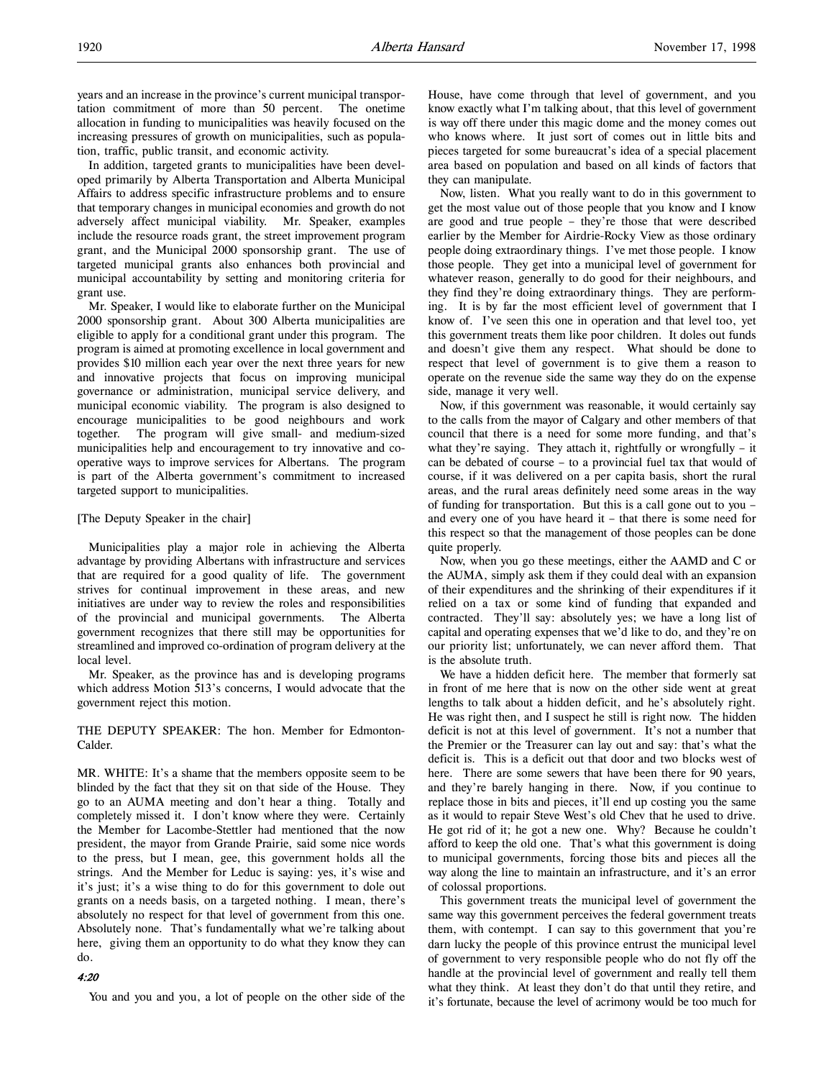In addition, targeted grants to municipalities have been developed primarily by Alberta Transportation and Alberta Municipal Affairs to address specific infrastructure problems and to ensure that temporary changes in municipal economies and growth do not adversely affect municipal viability. Mr. Speaker, examples include the resource roads grant, the street improvement program grant, and the Municipal 2000 sponsorship grant. The use of targeted municipal grants also enhances both provincial and municipal accountability by setting and monitoring criteria for grant use.

Mr. Speaker, I would like to elaborate further on the Municipal 2000 sponsorship grant. About 300 Alberta municipalities are eligible to apply for a conditional grant under this program. The program is aimed at promoting excellence in local government and provides \$10 million each year over the next three years for new and innovative projects that focus on improving municipal governance or administration, municipal service delivery, and municipal economic viability. The program is also designed to encourage municipalities to be good neighbours and work together. The program will give small- and medium-sized municipalities help and encouragement to try innovative and cooperative ways to improve services for Albertans. The program is part of the Alberta government's commitment to increased targeted support to municipalities.

### [The Deputy Speaker in the chair]

Municipalities play a major role in achieving the Alberta advantage by providing Albertans with infrastructure and services that are required for a good quality of life. The government strives for continual improvement in these areas, and new initiatives are under way to review the roles and responsibilities of the provincial and municipal governments. The Alberta government recognizes that there still may be opportunities for streamlined and improved co-ordination of program delivery at the local level.

Mr. Speaker, as the province has and is developing programs which address Motion 513's concerns, I would advocate that the government reject this motion.

THE DEPUTY SPEAKER: The hon. Member for Edmonton-Calder.

MR. WHITE: It's a shame that the members opposite seem to be blinded by the fact that they sit on that side of the House. They go to an AUMA meeting and don't hear a thing. Totally and completely missed it. I don't know where they were. Certainly the Member for Lacombe-Stettler had mentioned that the now president, the mayor from Grande Prairie, said some nice words to the press, but I mean, gee, this government holds all the strings. And the Member for Leduc is saying: yes, it's wise and it's just; it's a wise thing to do for this government to dole out grants on a needs basis, on a targeted nothing. I mean, there's absolutely no respect for that level of government from this one. Absolutely none. That's fundamentally what we're talking about here, giving them an opportunity to do what they know they can do.

#### 4:20

You and you and you, a lot of people on the other side of the

House, have come through that level of government, and you know exactly what I'm talking about, that this level of government is way off there under this magic dome and the money comes out who knows where. It just sort of comes out in little bits and pieces targeted for some bureaucrat's idea of a special placement area based on population and based on all kinds of factors that they can manipulate.

Now, listen. What you really want to do in this government to get the most value out of those people that you know and I know are good and true people – they're those that were described earlier by the Member for Airdrie-Rocky View as those ordinary people doing extraordinary things. I've met those people. I know those people. They get into a municipal level of government for whatever reason, generally to do good for their neighbours, and they find they're doing extraordinary things. They are performing. It is by far the most efficient level of government that I know of. I've seen this one in operation and that level too, yet this government treats them like poor children. It doles out funds and doesn't give them any respect. What should be done to respect that level of government is to give them a reason to operate on the revenue side the same way they do on the expense side, manage it very well.

Now, if this government was reasonable, it would certainly say to the calls from the mayor of Calgary and other members of that council that there is a need for some more funding, and that's what they're saying. They attach it, rightfully or wrongfully  $-$  it can be debated of course – to a provincial fuel tax that would of course, if it was delivered on a per capita basis, short the rural areas, and the rural areas definitely need some areas in the way of funding for transportation. But this is a call gone out to you – and every one of you have heard it – that there is some need for this respect so that the management of those peoples can be done quite properly.

Now, when you go these meetings, either the AAMD and C or the AUMA, simply ask them if they could deal with an expansion of their expenditures and the shrinking of their expenditures if it relied on a tax or some kind of funding that expanded and contracted. They'll say: absolutely yes; we have a long list of capital and operating expenses that we'd like to do, and they're on our priority list; unfortunately, we can never afford them. That is the absolute truth.

We have a hidden deficit here. The member that formerly sat in front of me here that is now on the other side went at great lengths to talk about a hidden deficit, and he's absolutely right. He was right then, and I suspect he still is right now. The hidden deficit is not at this level of government. It's not a number that the Premier or the Treasurer can lay out and say: that's what the deficit is. This is a deficit out that door and two blocks west of here. There are some sewers that have been there for 90 years, and they're barely hanging in there. Now, if you continue to replace those in bits and pieces, it'll end up costing you the same as it would to repair Steve West's old Chev that he used to drive. He got rid of it; he got a new one. Why? Because he couldn't afford to keep the old one. That's what this government is doing to municipal governments, forcing those bits and pieces all the way along the line to maintain an infrastructure, and it's an error of colossal proportions.

This government treats the municipal level of government the same way this government perceives the federal government treats them, with contempt. I can say to this government that you're darn lucky the people of this province entrust the municipal level of government to very responsible people who do not fly off the handle at the provincial level of government and really tell them what they think. At least they don't do that until they retire, and it's fortunate, because the level of acrimony would be too much for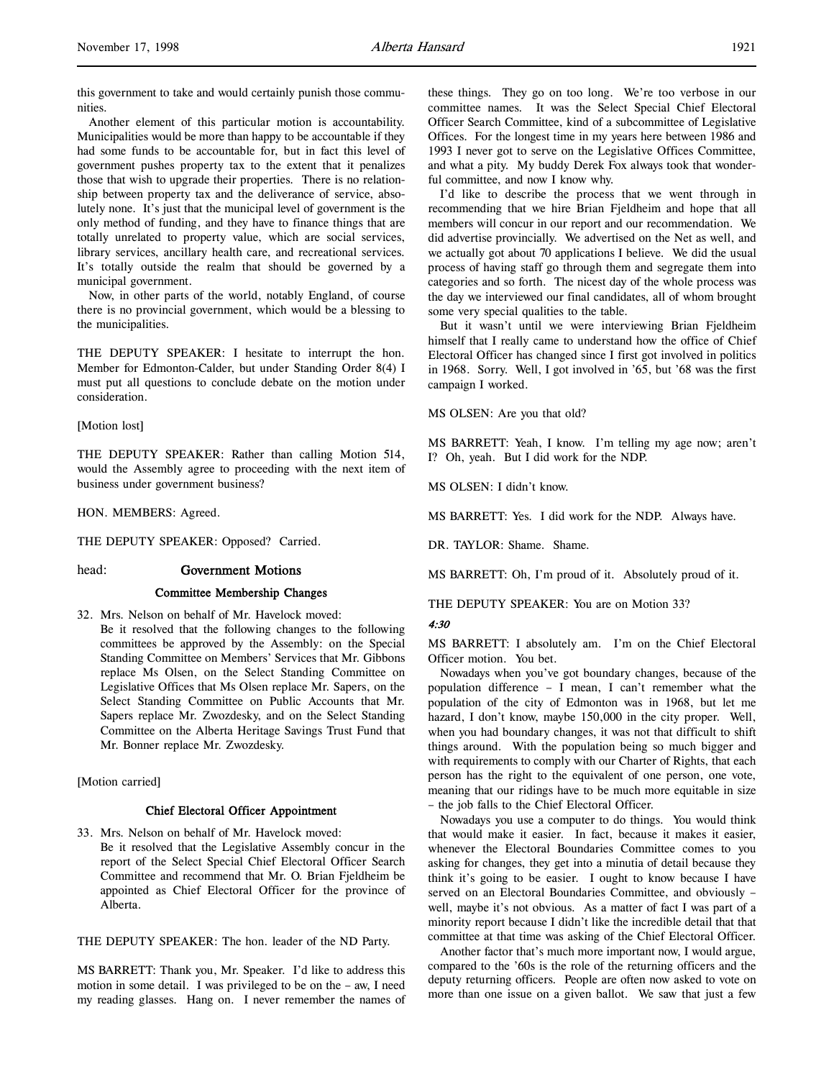this government to take and would certainly punish those communities.

Another element of this particular motion is accountability. Municipalities would be more than happy to be accountable if they had some funds to be accountable for, but in fact this level of government pushes property tax to the extent that it penalizes those that wish to upgrade their properties. There is no relationship between property tax and the deliverance of service, absolutely none. It's just that the municipal level of government is the only method of funding, and they have to finance things that are totally unrelated to property value, which are social services, library services, ancillary health care, and recreational services. It's totally outside the realm that should be governed by a municipal government.

Now, in other parts of the world, notably England, of course there is no provincial government, which would be a blessing to the municipalities.

THE DEPUTY SPEAKER: I hesitate to interrupt the hon. Member for Edmonton-Calder, but under Standing Order 8(4) I must put all questions to conclude debate on the motion under consideration.

[Motion lost]

THE DEPUTY SPEAKER: Rather than calling Motion 514, would the Assembly agree to proceeding with the next item of business under government business?

HON. MEMBERS: Agreed.

THE DEPUTY SPEAKER: Opposed? Carried.

#### head: Government Motions

#### Committee Membership Changes

32. Mrs. Nelson on behalf of Mr. Havelock moved: Be it resolved that the following changes to the following committees be approved by the Assembly: on the Special Standing Committee on Members' Services that Mr. Gibbons replace Ms Olsen, on the Select Standing Committee on Legislative Offices that Ms Olsen replace Mr. Sapers, on the Select Standing Committee on Public Accounts that Mr. Sapers replace Mr. Zwozdesky, and on the Select Standing Committee on the Alberta Heritage Savings Trust Fund that Mr. Bonner replace Mr. Zwozdesky.

[Motion carried]

## Chief Electoral Officer Appointment

33. Mrs. Nelson on behalf of Mr. Havelock moved: Be it resolved that the Legislative Assembly concur in the report of the Select Special Chief Electoral Officer Search Committee and recommend that Mr. O. Brian Fjeldheim be appointed as Chief Electoral Officer for the province of Alberta.

THE DEPUTY SPEAKER: The hon. leader of the ND Party.

MS BARRETT: Thank you, Mr. Speaker. I'd like to address this motion in some detail. I was privileged to be on the – aw, I need my reading glasses. Hang on. I never remember the names of these things. They go on too long. We're too verbose in our committee names. It was the Select Special Chief Electoral Officer Search Committee, kind of a subcommittee of Legislative Offices. For the longest time in my years here between 1986 and 1993 I never got to serve on the Legislative Offices Committee, and what a pity. My buddy Derek Fox always took that wonderful committee, and now I know why.

I'd like to describe the process that we went through in recommending that we hire Brian Fjeldheim and hope that all members will concur in our report and our recommendation. We did advertise provincially. We advertised on the Net as well, and we actually got about 70 applications I believe. We did the usual process of having staff go through them and segregate them into categories and so forth. The nicest day of the whole process was the day we interviewed our final candidates, all of whom brought some very special qualities to the table.

But it wasn't until we were interviewing Brian Fjeldheim himself that I really came to understand how the office of Chief Electoral Officer has changed since I first got involved in politics in 1968. Sorry. Well, I got involved in '65, but '68 was the first campaign I worked.

MS OLSEN: Are you that old?

MS BARRETT: Yeah, I know. I'm telling my age now; aren't I? Oh, yeah. But I did work for the NDP.

MS OLSEN: I didn't know.

MS BARRETT: Yes. I did work for the NDP. Always have.

DR. TAYLOR: Shame. Shame.

MS BARRETT: Oh, I'm proud of it. Absolutely proud of it.

THE DEPUTY SPEAKER: You are on Motion 33?

#### 4:30

MS BARRETT: I absolutely am. I'm on the Chief Electoral Officer motion. You bet.

Nowadays when you've got boundary changes, because of the population difference – I mean, I can't remember what the population of the city of Edmonton was in 1968, but let me hazard, I don't know, maybe 150,000 in the city proper. Well, when you had boundary changes, it was not that difficult to shift things around. With the population being so much bigger and with requirements to comply with our Charter of Rights, that each person has the right to the equivalent of one person, one vote, meaning that our ridings have to be much more equitable in size – the job falls to the Chief Electoral Officer.

Nowadays you use a computer to do things. You would think that would make it easier. In fact, because it makes it easier, whenever the Electoral Boundaries Committee comes to you asking for changes, they get into a minutia of detail because they think it's going to be easier. I ought to know because I have served on an Electoral Boundaries Committee, and obviously – well, maybe it's not obvious. As a matter of fact I was part of a minority report because I didn't like the incredible detail that that committee at that time was asking of the Chief Electoral Officer.

Another factor that's much more important now, I would argue, compared to the '60s is the role of the returning officers and the deputy returning officers. People are often now asked to vote on more than one issue on a given ballot. We saw that just a few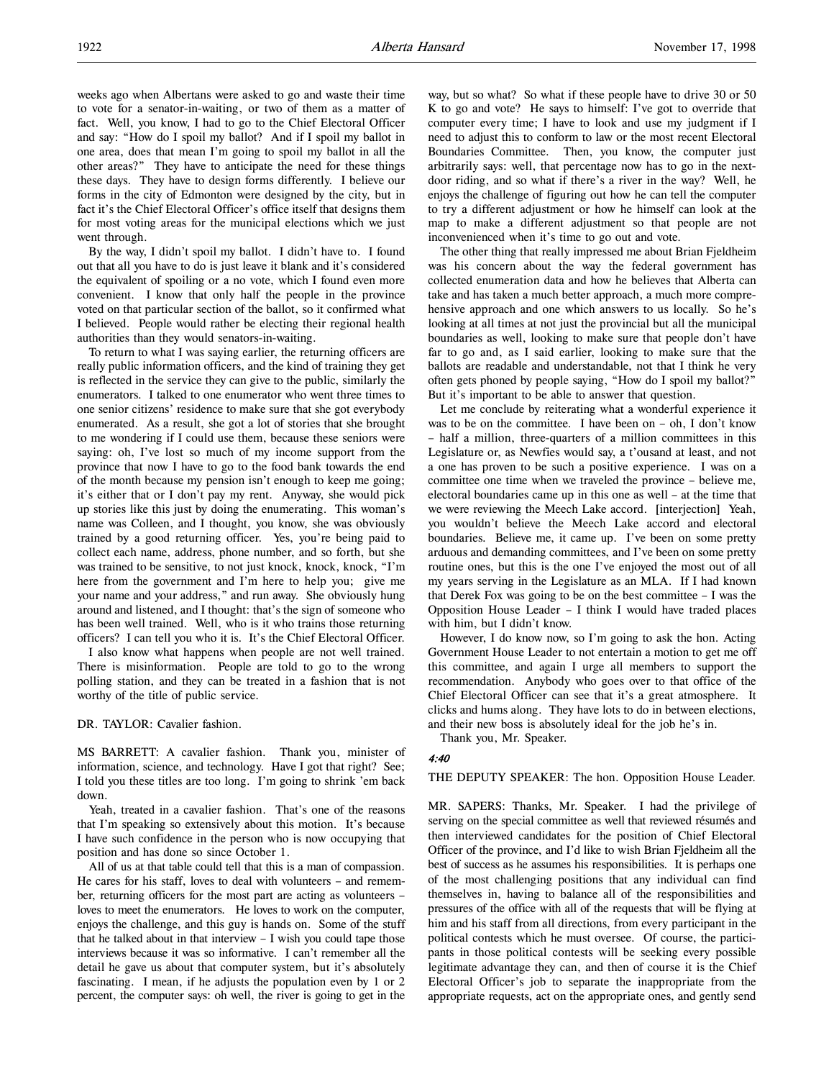weeks ago when Albertans were asked to go and waste their time to vote for a senator-in-waiting, or two of them as a matter of fact. Well, you know, I had to go to the Chief Electoral Officer and say: "How do I spoil my ballot? And if I spoil my ballot in one area, does that mean I'm going to spoil my ballot in all the other areas?" They have to anticipate the need for these things these days. They have to design forms differently. I believe our forms in the city of Edmonton were designed by the city, but in fact it's the Chief Electoral Officer's office itself that designs them for most voting areas for the municipal elections which we just went through.

By the way, I didn't spoil my ballot. I didn't have to. I found out that all you have to do is just leave it blank and it's considered the equivalent of spoiling or a no vote, which I found even more convenient. I know that only half the people in the province voted on that particular section of the ballot, so it confirmed what I believed. People would rather be electing their regional health authorities than they would senators-in-waiting.

To return to what I was saying earlier, the returning officers are really public information officers, and the kind of training they get is reflected in the service they can give to the public, similarly the enumerators. I talked to one enumerator who went three times to one senior citizens' residence to make sure that she got everybody enumerated. As a result, she got a lot of stories that she brought to me wondering if I could use them, because these seniors were saying: oh, I've lost so much of my income support from the province that now I have to go to the food bank towards the end of the month because my pension isn't enough to keep me going; it's either that or I don't pay my rent. Anyway, she would pick up stories like this just by doing the enumerating. This woman's name was Colleen, and I thought, you know, she was obviously trained by a good returning officer. Yes, you're being paid to collect each name, address, phone number, and so forth, but she was trained to be sensitive, to not just knock, knock, knock, "I'm here from the government and I'm here to help you; give me your name and your address," and run away. She obviously hung around and listened, and I thought: that's the sign of someone who has been well trained. Well, who is it who trains those returning officers? I can tell you who it is. It's the Chief Electoral Officer.

I also know what happens when people are not well trained. There is misinformation. People are told to go to the wrong polling station, and they can be treated in a fashion that is not worthy of the title of public service.

## DR. TAYLOR: Cavalier fashion.

MS BARRETT: A cavalier fashion. Thank you, minister of information, science, and technology. Have I got that right? See; I told you these titles are too long. I'm going to shrink 'em back down.

Yeah, treated in a cavalier fashion. That's one of the reasons that I'm speaking so extensively about this motion. It's because I have such confidence in the person who is now occupying that position and has done so since October 1.

All of us at that table could tell that this is a man of compassion. He cares for his staff, loves to deal with volunteers – and remember, returning officers for the most part are acting as volunteers – loves to meet the enumerators. He loves to work on the computer, enjoys the challenge, and this guy is hands on. Some of the stuff that he talked about in that interview – I wish you could tape those interviews because it was so informative. I can't remember all the detail he gave us about that computer system, but it's absolutely fascinating. I mean, if he adjusts the population even by 1 or 2 percent, the computer says: oh well, the river is going to get in the

way, but so what? So what if these people have to drive 30 or 50 K to go and vote? He says to himself: I've got to override that computer every time; I have to look and use my judgment if I need to adjust this to conform to law or the most recent Electoral Boundaries Committee. Then, you know, the computer just arbitrarily says: well, that percentage now has to go in the nextdoor riding, and so what if there's a river in the way? Well, he enjoys the challenge of figuring out how he can tell the computer to try a different adjustment or how he himself can look at the map to make a different adjustment so that people are not inconvenienced when it's time to go out and vote.

The other thing that really impressed me about Brian Fjeldheim was his concern about the way the federal government has collected enumeration data and how he believes that Alberta can take and has taken a much better approach, a much more comprehensive approach and one which answers to us locally. So he's looking at all times at not just the provincial but all the municipal boundaries as well, looking to make sure that people don't have far to go and, as I said earlier, looking to make sure that the ballots are readable and understandable, not that I think he very often gets phoned by people saying, "How do I spoil my ballot?" But it's important to be able to answer that question.

Let me conclude by reiterating what a wonderful experience it was to be on the committee. I have been on  $-$  oh, I don't know – half a million, three-quarters of a million committees in this Legislature or, as Newfies would say, a t'ousand at least, and not a one has proven to be such a positive experience. I was on a committee one time when we traveled the province – believe me, electoral boundaries came up in this one as well – at the time that we were reviewing the Meech Lake accord. [interjection] Yeah, you wouldn't believe the Meech Lake accord and electoral boundaries. Believe me, it came up. I've been on some pretty arduous and demanding committees, and I've been on some pretty routine ones, but this is the one I've enjoyed the most out of all my years serving in the Legislature as an MLA. If I had known that Derek Fox was going to be on the best committee – I was the Opposition House Leader – I think I would have traded places with him, but I didn't know.

However, I do know now, so I'm going to ask the hon. Acting Government House Leader to not entertain a motion to get me off this committee, and again I urge all members to support the recommendation. Anybody who goes over to that office of the Chief Electoral Officer can see that it's a great atmosphere. It clicks and hums along. They have lots to do in between elections, and their new boss is absolutely ideal for the job he's in.

Thank you, Mr. Speaker.

#### 4:40

THE DEPUTY SPEAKER: The hon. Opposition House Leader.

MR. SAPERS: Thanks, Mr. Speaker. I had the privilege of serving on the special committee as well that reviewed résumés and then interviewed candidates for the position of Chief Electoral Officer of the province, and I'd like to wish Brian Fjeldheim all the best of success as he assumes his responsibilities. It is perhaps one of the most challenging positions that any individual can find themselves in, having to balance all of the responsibilities and pressures of the office with all of the requests that will be flying at him and his staff from all directions, from every participant in the political contests which he must oversee. Of course, the participants in those political contests will be seeking every possible legitimate advantage they can, and then of course it is the Chief Electoral Officer's job to separate the inappropriate from the appropriate requests, act on the appropriate ones, and gently send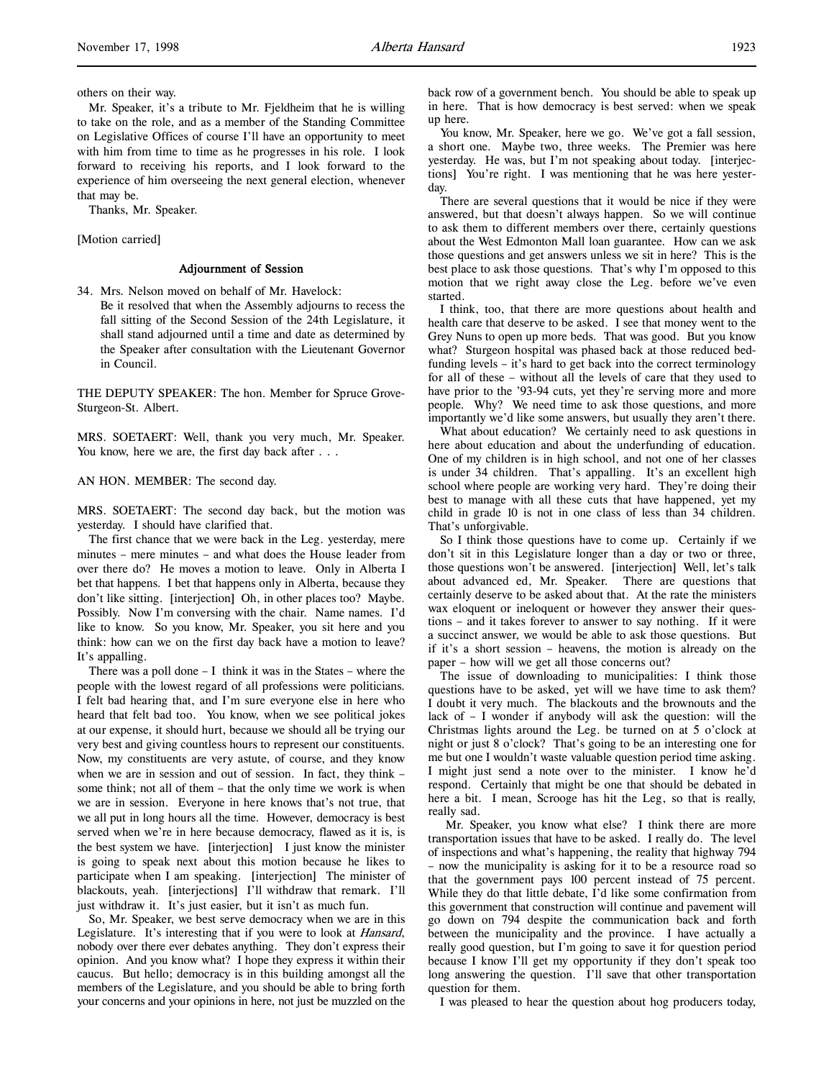others on their way.

Mr. Speaker, it's a tribute to Mr. Fjeldheim that he is willing to take on the role, and as a member of the Standing Committee on Legislative Offices of course I'll have an opportunity to meet with him from time to time as he progresses in his role. I look forward to receiving his reports, and I look forward to the experience of him overseeing the next general election, whenever that may be.

Thanks, Mr. Speaker.

[Motion carried]

## Adjournment of Session

34. Mrs. Nelson moved on behalf of Mr. Havelock:

Be it resolved that when the Assembly adjourns to recess the fall sitting of the Second Session of the 24th Legislature, it shall stand adjourned until a time and date as determined by the Speaker after consultation with the Lieutenant Governor in Council.

THE DEPUTY SPEAKER: The hon. Member for Spruce Grove-Sturgeon-St. Albert.

MRS. SOETAERT: Well, thank you very much, Mr. Speaker. You know, here we are, the first day back after . . .

# AN HON. MEMBER: The second day.

MRS. SOETAERT: The second day back, but the motion was yesterday. I should have clarified that.

The first chance that we were back in the Leg. yesterday, mere minutes – mere minutes – and what does the House leader from over there do? He moves a motion to leave. Only in Alberta I bet that happens. I bet that happens only in Alberta, because they don't like sitting. [interjection] Oh, in other places too? Maybe. Possibly. Now I'm conversing with the chair. Name names. I'd like to know. So you know, Mr. Speaker, you sit here and you think: how can we on the first day back have a motion to leave? It's appalling.

There was a poll done  $- I$  think it was in the States – where the people with the lowest regard of all professions were politicians. I felt bad hearing that, and I'm sure everyone else in here who heard that felt bad too. You know, when we see political jokes at our expense, it should hurt, because we should all be trying our very best and giving countless hours to represent our constituents. Now, my constituents are very astute, of course, and they know when we are in session and out of session. In fact, they think – some think; not all of them – that the only time we work is when we are in session. Everyone in here knows that's not true, that we all put in long hours all the time. However, democracy is best served when we're in here because democracy, flawed as it is, is the best system we have. [interjection] I just know the minister is going to speak next about this motion because he likes to participate when I am speaking. [interjection] The minister of blackouts, yeah. [interjections] I'll withdraw that remark. I'll just withdraw it. It's just easier, but it isn't as much fun.

So, Mr. Speaker, we best serve democracy when we are in this Legislature. It's interesting that if you were to look at *Hansard*, nobody over there ever debates anything. They don't express their opinion. And you know what? I hope they express it within their caucus. But hello; democracy is in this building amongst all the members of the Legislature, and you should be able to bring forth your concerns and your opinions in here, not just be muzzled on the

back row of a government bench. You should be able to speak up in here. That is how democracy is best served: when we speak up here.

You know, Mr. Speaker, here we go. We've got a fall session, a short one. Maybe two, three weeks. The Premier was here yesterday. He was, but I'm not speaking about today. [interjections] You're right. I was mentioning that he was here yesterday.

There are several questions that it would be nice if they were answered, but that doesn't always happen. So we will continue to ask them to different members over there, certainly questions about the West Edmonton Mall loan guarantee. How can we ask those questions and get answers unless we sit in here? This is the best place to ask those questions. That's why I'm opposed to this motion that we right away close the Leg. before we've even started.

I think, too, that there are more questions about health and health care that deserve to be asked. I see that money went to the Grey Nuns to open up more beds. That was good. But you know what? Sturgeon hospital was phased back at those reduced bedfunding levels – it's hard to get back into the correct terminology for all of these – without all the levels of care that they used to have prior to the '93-94 cuts, yet they're serving more and more people. Why? We need time to ask those questions, and more importantly we'd like some answers, but usually they aren't there.

What about education? We certainly need to ask questions in here about education and about the underfunding of education. One of my children is in high school, and not one of her classes is under 34 children. That's appalling. It's an excellent high school where people are working very hard. They're doing their best to manage with all these cuts that have happened, yet my child in grade 10 is not in one class of less than 34 children. That's unforgivable.

So I think those questions have to come up. Certainly if we don't sit in this Legislature longer than a day or two or three, those questions won't be answered. [interjection] Well, let's talk about advanced ed, Mr. Speaker. There are questions that certainly deserve to be asked about that. At the rate the ministers wax eloquent or ineloquent or however they answer their questions – and it takes forever to answer to say nothing. If it were a succinct answer, we would be able to ask those questions. But if it's a short session – heavens, the motion is already on the paper – how will we get all those concerns out?

The issue of downloading to municipalities: I think those questions have to be asked, yet will we have time to ask them? I doubt it very much. The blackouts and the brownouts and the lack of – I wonder if anybody will ask the question: will the Christmas lights around the Leg. be turned on at 5 o'clock at night or just 8 o'clock? That's going to be an interesting one for me but one I wouldn't waste valuable question period time asking. I might just send a note over to the minister. I know he'd respond. Certainly that might be one that should be debated in here a bit. I mean, Scrooge has hit the Leg, so that is really, really sad.

 Mr. Speaker, you know what else? I think there are more transportation issues that have to be asked. I really do. The level of inspections and what's happening, the reality that highway 794 – now the municipality is asking for it to be a resource road so that the government pays 100 percent instead of 75 percent. While they do that little debate, I'd like some confirmation from this government that construction will continue and pavement will go down on 794 despite the communication back and forth between the municipality and the province. I have actually a really good question, but I'm going to save it for question period because I know I'll get my opportunity if they don't speak too long answering the question. I'll save that other transportation question for them.

I was pleased to hear the question about hog producers today,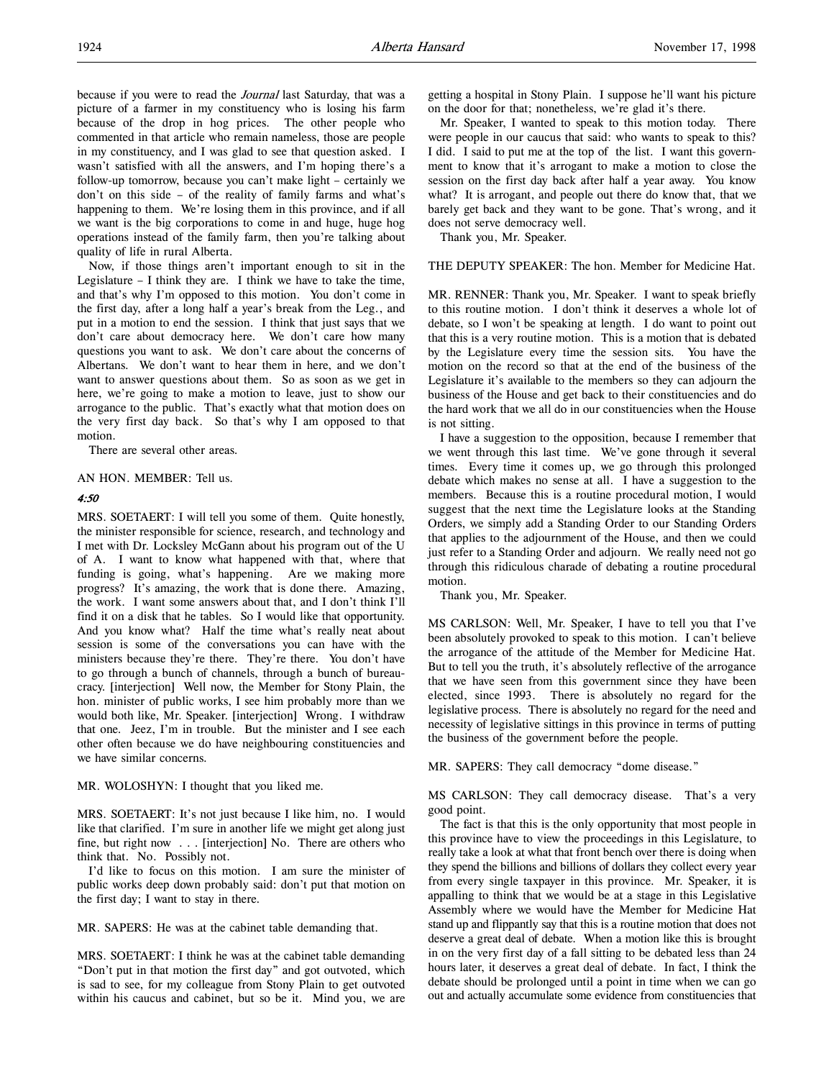because if you were to read the Journal last Saturday, that was a picture of a farmer in my constituency who is losing his farm because of the drop in hog prices. The other people who commented in that article who remain nameless, those are people in my constituency, and I was glad to see that question asked. I wasn't satisfied with all the answers, and I'm hoping there's a follow-up tomorrow, because you can't make light – certainly we don't on this side – of the reality of family farms and what's happening to them. We're losing them in this province, and if all we want is the big corporations to come in and huge, huge hog operations instead of the family farm, then you're talking about quality of life in rural Alberta.

Now, if those things aren't important enough to sit in the Legislature – I think they are. I think we have to take the time, and that's why I'm opposed to this motion. You don't come in the first day, after a long half a year's break from the Leg., and put in a motion to end the session. I think that just says that we don't care about democracy here. We don't care how many questions you want to ask. We don't care about the concerns of Albertans. We don't want to hear them in here, and we don't want to answer questions about them. So as soon as we get in here, we're going to make a motion to leave, just to show our arrogance to the public. That's exactly what that motion does on the very first day back. So that's why I am opposed to that motion.

There are several other areas.

#### AN HON. MEMBER: Tell us.

# 4:50

MRS. SOETAERT: I will tell you some of them. Quite honestly, the minister responsible for science, research, and technology and I met with Dr. Locksley McGann about his program out of the U of A. I want to know what happened with that, where that funding is going, what's happening. Are we making more progress? It's amazing, the work that is done there. Amazing, the work. I want some answers about that, and I don't think I'll find it on a disk that he tables. So I would like that opportunity. And you know what? Half the time what's really neat about session is some of the conversations you can have with the ministers because they're there. They're there. You don't have to go through a bunch of channels, through a bunch of bureaucracy. [interjection] Well now, the Member for Stony Plain, the hon. minister of public works, I see him probably more than we would both like, Mr. Speaker. [interjection] Wrong. I withdraw that one. Jeez, I'm in trouble. But the minister and I see each other often because we do have neighbouring constituencies and we have similar concerns.

MR. WOLOSHYN: I thought that you liked me.

MRS. SOETAERT: It's not just because I like him, no. I would like that clarified. I'm sure in another life we might get along just fine, but right now . . . [interjection] No. There are others who think that. No. Possibly not.

I'd like to focus on this motion. I am sure the minister of public works deep down probably said: don't put that motion on the first day; I want to stay in there.

MR. SAPERS: He was at the cabinet table demanding that.

MRS. SOETAERT: I think he was at the cabinet table demanding "Don't put in that motion the first day" and got outvoted, which is sad to see, for my colleague from Stony Plain to get outvoted within his caucus and cabinet, but so be it. Mind you, we are getting a hospital in Stony Plain. I suppose he'll want his picture on the door for that; nonetheless, we're glad it's there.

Mr. Speaker, I wanted to speak to this motion today. There were people in our caucus that said: who wants to speak to this? I did. I said to put me at the top of the list. I want this government to know that it's arrogant to make a motion to close the session on the first day back after half a year away. You know what? It is arrogant, and people out there do know that, that we barely get back and they want to be gone. That's wrong, and it does not serve democracy well.

Thank you, Mr. Speaker.

THE DEPUTY SPEAKER: The hon. Member for Medicine Hat.

MR. RENNER: Thank you, Mr. Speaker. I want to speak briefly to this routine motion. I don't think it deserves a whole lot of debate, so I won't be speaking at length. I do want to point out that this is a very routine motion. This is a motion that is debated by the Legislature every time the session sits. You have the motion on the record so that at the end of the business of the Legislature it's available to the members so they can adjourn the business of the House and get back to their constituencies and do the hard work that we all do in our constituencies when the House is not sitting.

I have a suggestion to the opposition, because I remember that we went through this last time. We've gone through it several times. Every time it comes up, we go through this prolonged debate which makes no sense at all. I have a suggestion to the members. Because this is a routine procedural motion, I would suggest that the next time the Legislature looks at the Standing Orders, we simply add a Standing Order to our Standing Orders that applies to the adjournment of the House, and then we could just refer to a Standing Order and adjourn. We really need not go through this ridiculous charade of debating a routine procedural motion.

Thank you, Mr. Speaker.

MS CARLSON: Well, Mr. Speaker, I have to tell you that I've been absolutely provoked to speak to this motion. I can't believe the arrogance of the attitude of the Member for Medicine Hat. But to tell you the truth, it's absolutely reflective of the arrogance that we have seen from this government since they have been elected, since 1993. There is absolutely no regard for the legislative process. There is absolutely no regard for the need and necessity of legislative sittings in this province in terms of putting the business of the government before the people.

MR. SAPERS: They call democracy "dome disease."

MS CARLSON: They call democracy disease. That's a very good point.

The fact is that this is the only opportunity that most people in this province have to view the proceedings in this Legislature, to really take a look at what that front bench over there is doing when they spend the billions and billions of dollars they collect every year from every single taxpayer in this province. Mr. Speaker, it is appalling to think that we would be at a stage in this Legislative Assembly where we would have the Member for Medicine Hat stand up and flippantly say that this is a routine motion that does not deserve a great deal of debate. When a motion like this is brought in on the very first day of a fall sitting to be debated less than 24 hours later, it deserves a great deal of debate. In fact, I think the debate should be prolonged until a point in time when we can go out and actually accumulate some evidence from constituencies that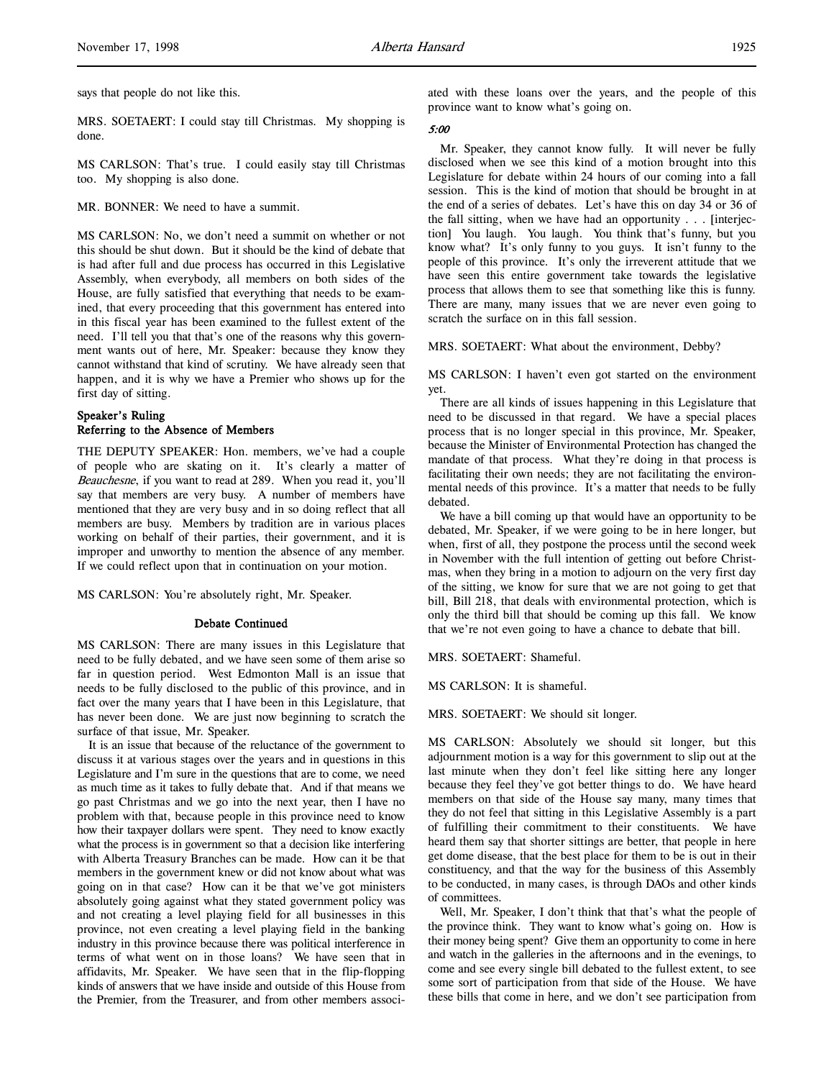MRS. SOETAERT: I could stay till Christmas. My shopping is done.

MS CARLSON: That's true. I could easily stay till Christmas too. My shopping is also done.

MR. BONNER: We need to have a summit.

MS CARLSON: No, we don't need a summit on whether or not this should be shut down. But it should be the kind of debate that is had after full and due process has occurred in this Legislative Assembly, when everybody, all members on both sides of the House, are fully satisfied that everything that needs to be examined, that every proceeding that this government has entered into in this fiscal year has been examined to the fullest extent of the need. I'll tell you that that's one of the reasons why this government wants out of here, Mr. Speaker: because they know they cannot withstand that kind of scrutiny. We have already seen that happen, and it is why we have a Premier who shows up for the first day of sitting.

# Speaker's Ruling Referring to the Absence of Members

THE DEPUTY SPEAKER: Hon. members, we've had a couple of people who are skating on it. It's clearly a matter of Beauchesne, if you want to read at 289. When you read it, you'll say that members are very busy. A number of members have mentioned that they are very busy and in so doing reflect that all members are busy. Members by tradition are in various places working on behalf of their parties, their government, and it is improper and unworthy to mention the absence of any member. If we could reflect upon that in continuation on your motion.

MS CARLSON: You're absolutely right, Mr. Speaker.

#### Debate Continued

MS CARLSON: There are many issues in this Legislature that need to be fully debated, and we have seen some of them arise so far in question period. West Edmonton Mall is an issue that needs to be fully disclosed to the public of this province, and in fact over the many years that I have been in this Legislature, that has never been done. We are just now beginning to scratch the surface of that issue, Mr. Speaker.

It is an issue that because of the reluctance of the government to discuss it at various stages over the years and in questions in this Legislature and I'm sure in the questions that are to come, we need as much time as it takes to fully debate that. And if that means we go past Christmas and we go into the next year, then I have no problem with that, because people in this province need to know how their taxpayer dollars were spent. They need to know exactly what the process is in government so that a decision like interfering with Alberta Treasury Branches can be made. How can it be that members in the government knew or did not know about what was going on in that case? How can it be that we've got ministers absolutely going against what they stated government policy was and not creating a level playing field for all businesses in this province, not even creating a level playing field in the banking industry in this province because there was political interference in terms of what went on in those loans? We have seen that in affidavits, Mr. Speaker. We have seen that in the flip-flopping kinds of answers that we have inside and outside of this House from the Premier, from the Treasurer, and from other members associated with these loans over the years, and the people of this province want to know what's going on.

### 5:00

Mr. Speaker, they cannot know fully. It will never be fully disclosed when we see this kind of a motion brought into this Legislature for debate within 24 hours of our coming into a fall session. This is the kind of motion that should be brought in at the end of a series of debates. Let's have this on day 34 or 36 of the fall sitting, when we have had an opportunity . . . [interjection] You laugh. You laugh. You think that's funny, but you know what? It's only funny to you guys. It isn't funny to the people of this province. It's only the irreverent attitude that we have seen this entire government take towards the legislative process that allows them to see that something like this is funny. There are many, many issues that we are never even going to scratch the surface on in this fall session.

#### MRS. SOETAERT: What about the environment, Debby?

MS CARLSON: I haven't even got started on the environment yet.

There are all kinds of issues happening in this Legislature that need to be discussed in that regard. We have a special places process that is no longer special in this province, Mr. Speaker, because the Minister of Environmental Protection has changed the mandate of that process. What they're doing in that process is facilitating their own needs; they are not facilitating the environmental needs of this province. It's a matter that needs to be fully debated.

We have a bill coming up that would have an opportunity to be debated, Mr. Speaker, if we were going to be in here longer, but when, first of all, they postpone the process until the second week in November with the full intention of getting out before Christmas, when they bring in a motion to adjourn on the very first day of the sitting, we know for sure that we are not going to get that bill, Bill 218, that deals with environmental protection, which is only the third bill that should be coming up this fall. We know that we're not even going to have a chance to debate that bill.

MRS. SOETAERT: Shameful.

MS CARLSON: It is shameful.

MRS. SOETAERT: We should sit longer.

MS CARLSON: Absolutely we should sit longer, but this adjournment motion is a way for this government to slip out at the last minute when they don't feel like sitting here any longer because they feel they've got better things to do. We have heard members on that side of the House say many, many times that they do not feel that sitting in this Legislative Assembly is a part of fulfilling their commitment to their constituents. We have heard them say that shorter sittings are better, that people in here get dome disease, that the best place for them to be is out in their constituency, and that the way for the business of this Assembly to be conducted, in many cases, is through DAOs and other kinds of committees.

Well, Mr. Speaker, I don't think that that's what the people of the province think. They want to know what's going on. How is their money being spent? Give them an opportunity to come in here and watch in the galleries in the afternoons and in the evenings, to come and see every single bill debated to the fullest extent, to see some sort of participation from that side of the House. We have these bills that come in here, and we don't see participation from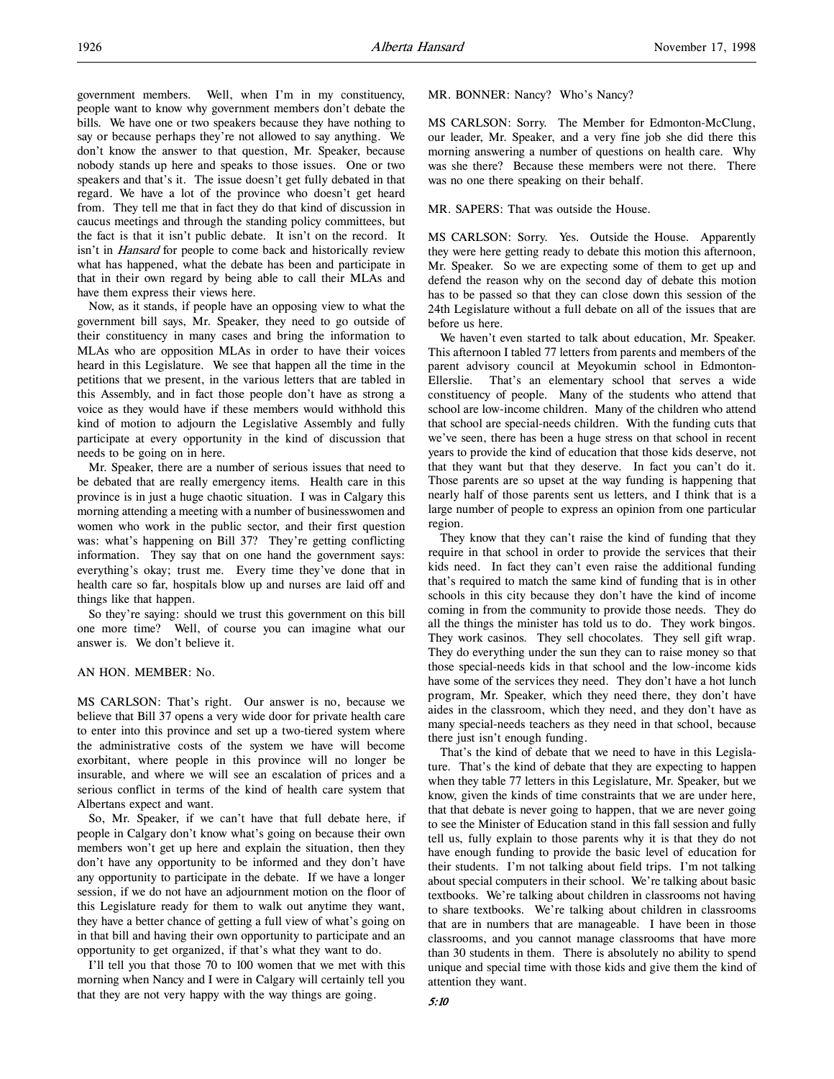government members. Well, when I'm in my constituency, people want to know why government members don't debate the bills. We have one or two speakers because they have nothing to say or because perhaps they're not allowed to say anything. We don't know the answer to that question, Mr. Speaker, because nobody stands up here and speaks to those issues. One or two speakers and that's it. The issue doesn't get fully debated in that regard. We have a lot of the province who doesn't get heard from. They tell me that in fact they do that kind of discussion in caucus meetings and through the standing policy committees, but the fact is that it isn't public debate. It isn't on the record. It isn't in *Hansard* for people to come back and historically review what has happened, what the debate has been and participate in that in their own regard by being able to call their MLAs and have them express their views here.

Now, as it stands, if people have an opposing view to what the government bill says, Mr. Speaker, they need to go outside of their constituency in many cases and bring the information to MLAs who are opposition MLAs in order to have their voices heard in this Legislature. We see that happen all the time in the petitions that we present, in the various letters that are tabled in this Assembly, and in fact those people don't have as strong a voice as they would have if these members would withhold this kind of motion to adjourn the Legislative Assembly and fully participate at every opportunity in the kind of discussion that needs to be going on in here.

Mr. Speaker, there are a number of serious issues that need to be debated that are really emergency items. Health care in this province is in just a huge chaotic situation. I was in Calgary this morning attending a meeting with a number of businesswomen and women who work in the public sector, and their first question was: what's happening on Bill 37? They're getting conflicting information. They say that on one hand the government says: everything's okay; trust me. Every time they've done that in health care so far, hospitals blow up and nurses are laid off and things like that happen.

So they're saying: should we trust this government on this bill one more time? Well, of course you can imagine what our answer is. We don't believe it.

# AN HON. MEMBER: No.

MS CARLSON: That's right. Our answer is no, because we believe that Bill 37 opens a very wide door for private health care to enter into this province and set up a two-tiered system where the administrative costs of the system we have will become exorbitant, where people in this province will no longer be insurable, and where we will see an escalation of prices and a serious conflict in terms of the kind of health care system that Albertans expect and want.

So, Mr. Speaker, if we can't have that full debate here, if people in Calgary don't know what's going on because their own members won't get up here and explain the situation, then they don't have any opportunity to be informed and they don't have any opportunity to participate in the debate. If we have a longer session, if we do not have an adjournment motion on the floor of this Legislature ready for them to walk out anytime they want, they have a better chance of getting a full view of what's going on in that bill and having their own opportunity to participate and an opportunity to get organized, if that's what they want to do.

I'll tell you that those 70 to 100 women that we met with this morning when Nancy and I were in Calgary will certainly tell you that they are not very happy with the way things are going.

## MR. BONNER: Nancy? Who's Nancy?

MS CARLSON: Sorry. The Member for Edmonton-McClung, our leader, Mr. Speaker, and a very fine job she did there this morning answering a number of questions on health care. Why was she there? Because these members were not there. There was no one there speaking on their behalf.

# MR. SAPERS: That was outside the House.

MS CARLSON: Sorry. Yes. Outside the House. Apparently they were here getting ready to debate this motion this afternoon, Mr. Speaker. So we are expecting some of them to get up and defend the reason why on the second day of debate this motion has to be passed so that they can close down this session of the 24th Legislature without a full debate on all of the issues that are before us here.

We haven't even started to talk about education, Mr. Speaker. This afternoon I tabled 77 letters from parents and members of the parent advisory council at Meyokumin school in Edmonton-Ellerslie. That's an elementary school that serves a wide constituency of people. Many of the students who attend that school are low-income children. Many of the children who attend that school are special-needs children. With the funding cuts that we've seen, there has been a huge stress on that school in recent years to provide the kind of education that those kids deserve, not that they want but that they deserve. In fact you can't do it. Those parents are so upset at the way funding is happening that nearly half of those parents sent us letters, and I think that is a large number of people to express an opinion from one particular region.

They know that they can't raise the kind of funding that they require in that school in order to provide the services that their kids need. In fact they can't even raise the additional funding that's required to match the same kind of funding that is in other schools in this city because they don't have the kind of income coming in from the community to provide those needs. They do all the things the minister has told us to do. They work bingos. They work casinos. They sell chocolates. They sell gift wrap. They do everything under the sun they can to raise money so that those special-needs kids in that school and the low-income kids have some of the services they need. They don't have a hot lunch program, Mr. Speaker, which they need there, they don't have aides in the classroom, which they need, and they don't have as many special-needs teachers as they need in that school, because there just isn't enough funding.

That's the kind of debate that we need to have in this Legislature. That's the kind of debate that they are expecting to happen when they table 77 letters in this Legislature, Mr. Speaker, but we know, given the kinds of time constraints that we are under here, that that debate is never going to happen, that we are never going to see the Minister of Education stand in this fall session and fully tell us, fully explain to those parents why it is that they do not have enough funding to provide the basic level of education for their students. I'm not talking about field trips. I'm not talking about special computers in their school. We're talking about basic textbooks. We're talking about children in classrooms not having to share textbooks. We're talking about children in classrooms that are in numbers that are manageable. I have been in those classrooms, and you cannot manage classrooms that have more than 30 students in them. There is absolutely no ability to spend unique and special time with those kids and give them the kind of attention they want.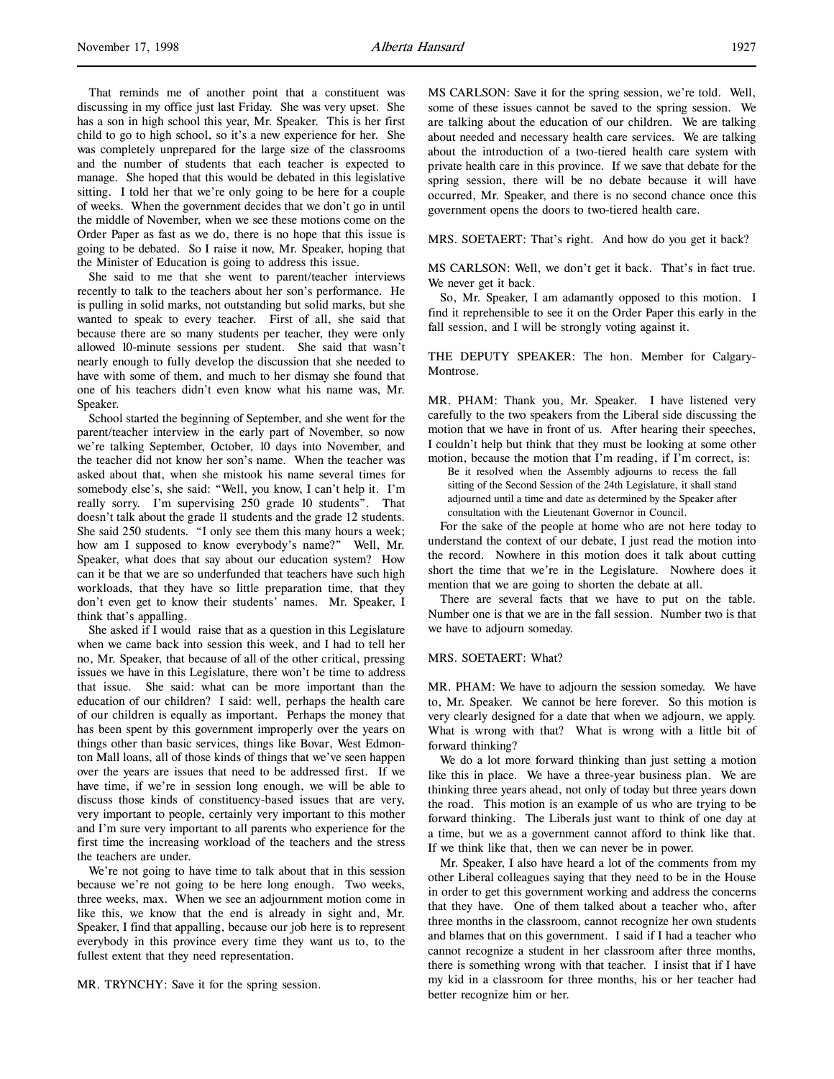That reminds me of another point that a constituent was discussing in my office just last Friday. She was very upset. She has a son in high school this year, Mr. Speaker. This is her first child to go to high school, so it's a new experience for her. She was completely unprepared for the large size of the classrooms and the number of students that each teacher is expected to manage. She hoped that this would be debated in this legislative sitting. I told her that we're only going to be here for a couple of weeks. When the government decides that we don't go in until the middle of November, when we see these motions come on the Order Paper as fast as we do, there is no hope that this issue is going to be debated. So I raise it now, Mr. Speaker, hoping that the Minister of Education is going to address this issue.

She said to me that she went to parent/teacher interviews recently to talk to the teachers about her son's performance. He is pulling in solid marks, not outstanding but solid marks, but she wanted to speak to every teacher. First of all, she said that because there are so many students per teacher, they were only allowed 10-minute sessions per student. She said that wasn't nearly enough to fully develop the discussion that she needed to have with some of them, and much to her dismay she found that one of his teachers didn't even know what his name was, Mr. Speaker.

School started the beginning of September, and she went for the parent/teacher interview in the early part of November, so now we're talking September, October, 10 days into November, and the teacher did not know her son's name. When the teacher was asked about that, when she mistook his name several times for somebody else's, she said: "Well, you know, I can't help it. I'm really sorry. I'm supervising 250 grade 10 students". That doesn't talk about the grade 11 students and the grade 12 students. She said 250 students. "I only see them this many hours a week; how am I supposed to know everybody's name?" Well, Mr. Speaker, what does that say about our education system? How can it be that we are so underfunded that teachers have such high workloads, that they have so little preparation time, that they don't even get to know their students' names. Mr. Speaker, I think that's appalling.

She asked if I would raise that as a question in this Legislature when we came back into session this week, and I had to tell her no, Mr. Speaker, that because of all of the other critical, pressing issues we have in this Legislature, there won't be time to address that issue. She said: what can be more important than the education of our children? I said: well, perhaps the health care of our children is equally as important. Perhaps the money that has been spent by this government improperly over the years on things other than basic services, things like Bovar, West Edmonton Mall loans, all of those kinds of things that we've seen happen over the years are issues that need to be addressed first. If we have time, if we're in session long enough, we will be able to discuss those kinds of constituency-based issues that are very, very important to people, certainly very important to this mother and I'm sure very important to all parents who experience for the first time the increasing workload of the teachers and the stress the teachers are under.

We're not going to have time to talk about that in this session because we're not going to be here long enough. Two weeks, three weeks, max. When we see an adjournment motion come in like this, we know that the end is already in sight and, Mr. Speaker, I find that appalling, because our job here is to represent everybody in this province every time they want us to, to the fullest extent that they need representation.

MR. TRYNCHY: Save it for the spring session.

MS CARLSON: Save it for the spring session, we're told. Well, some of these issues cannot be saved to the spring session. We are talking about the education of our children. We are talking about needed and necessary health care services. We are talking about the introduction of a two-tiered health care system with private health care in this province. If we save that debate for the spring session, there will be no debate because it will have occurred, Mr. Speaker, and there is no second chance once this government opens the doors to two-tiered health care.

MRS. SOETAERT: That's right. And how do you get it back?

MS CARLSON: Well, we don't get it back. That's in fact true. We never get it back.

So, Mr. Speaker, I am adamantly opposed to this motion. I find it reprehensible to see it on the Order Paper this early in the fall session, and I will be strongly voting against it.

THE DEPUTY SPEAKER: The hon. Member for Calgary-Montrose.

MR. PHAM: Thank you, Mr. Speaker. I have listened very carefully to the two speakers from the Liberal side discussing the motion that we have in front of us. After hearing their speeches, I couldn't help but think that they must be looking at some other motion, because the motion that I'm reading, if I'm correct, is:

Be it resolved when the Assembly adjourns to recess the fall sitting of the Second Session of the 24th Legislature, it shall stand adjourned until a time and date as determined by the Speaker after consultation with the Lieutenant Governor in Council.

For the sake of the people at home who are not here today to understand the context of our debate, I just read the motion into the record. Nowhere in this motion does it talk about cutting short the time that we're in the Legislature. Nowhere does it mention that we are going to shorten the debate at all.

There are several facts that we have to put on the table. Number one is that we are in the fall session. Number two is that we have to adjourn someday.

## MRS. SOETAERT: What?

MR. PHAM: We have to adjourn the session someday. We have to, Mr. Speaker. We cannot be here forever. So this motion is very clearly designed for a date that when we adjourn, we apply. What is wrong with that? What is wrong with a little bit of forward thinking?

We do a lot more forward thinking than just setting a motion like this in place. We have a three-year business plan. We are thinking three years ahead, not only of today but three years down the road. This motion is an example of us who are trying to be forward thinking. The Liberals just want to think of one day at a time, but we as a government cannot afford to think like that. If we think like that, then we can never be in power.

Mr. Speaker, I also have heard a lot of the comments from my other Liberal colleagues saying that they need to be in the House in order to get this government working and address the concerns that they have. One of them talked about a teacher who, after three months in the classroom, cannot recognize her own students and blames that on this government. I said if I had a teacher who cannot recognize a student in her classroom after three months, there is something wrong with that teacher. I insist that if I have my kid in a classroom for three months, his or her teacher had better recognize him or her.